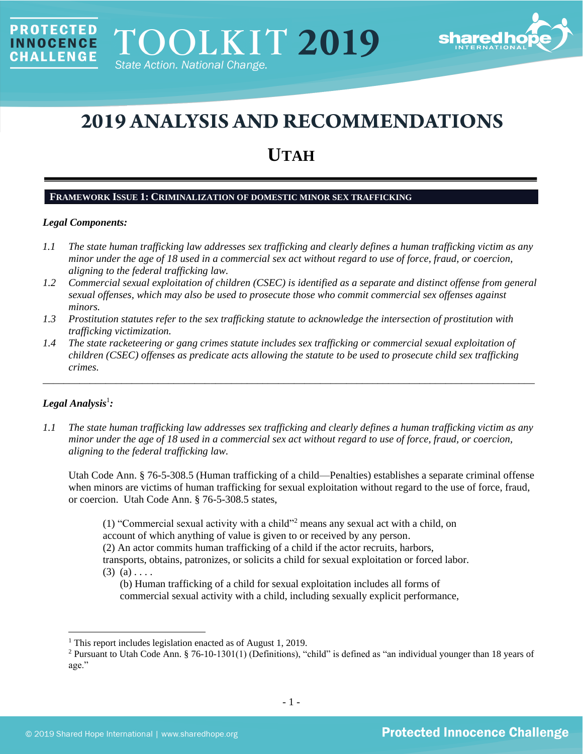

# **2019 ANALYSIS AND RECOMMENDATIONS**

## **UTAH**

## **FRAMEWORK ISSUE 1: CRIMINALIZATION OF DOMESTIC MINOR SEX TRAFFICKING**

## *Legal Components:*

**PROTECTED** 

**INNOCENCE CHALLENGE** 

- *1.1 The state human trafficking law addresses sex trafficking and clearly defines a human trafficking victim as any minor under the age of 18 used in a commercial sex act without regard to use of force, fraud, or coercion, aligning to the federal trafficking law.*
- *1.2 Commercial sexual exploitation of children (CSEC) is identified as a separate and distinct offense from general sexual offenses, which may also be used to prosecute those who commit commercial sex offenses against minors.*
- *1.3 Prostitution statutes refer to the sex trafficking statute to acknowledge the intersection of prostitution with trafficking victimization.*
- *1.4 The state racketeering or gang crimes statute includes sex trafficking or commercial sexual exploitation of children (CSEC) offenses as predicate acts allowing the statute to be used to prosecute child sex trafficking crimes.*

\_\_\_\_\_\_\_\_\_\_\_\_\_\_\_\_\_\_\_\_\_\_\_\_\_\_\_\_\_\_\_\_\_\_\_\_\_\_\_\_\_\_\_\_\_\_\_\_\_\_\_\_\_\_\_\_\_\_\_\_\_\_\_\_\_\_\_\_\_\_\_\_\_\_\_\_\_\_\_\_\_\_\_\_\_\_\_\_\_\_\_\_\_\_

## ${\it Legal Analysis^!}$  *:*

*1.1 The state human trafficking law addresses sex trafficking and clearly defines a human trafficking victim as any minor under the age of 18 used in a commercial sex act without regard to use of force, fraud, or coercion, aligning to the federal trafficking law.*

Utah Code Ann. § 76-5-308.5 (Human trafficking of a child—Penalties) establishes a separate criminal offense when minors are victims of human trafficking for sexual exploitation without regard to the use of force, fraud, or coercion. Utah Code Ann. § 76-5-308.5 states,

(1) "Commercial sexual activity with a child"<sup>2</sup> means any sexual act with a child, on account of which anything of value is given to or received by any person. (2) An actor commits human trafficking of a child if the actor recruits, harbors, transports, obtains, patronizes, or solicits a child for sexual exploitation or forced labor.  $(3)$   $(a)$ ...

(b) Human trafficking of a child for sexual exploitation includes all forms of commercial sexual activity with a child, including sexually explicit performance,

<sup>&</sup>lt;sup>1</sup> This report includes legislation enacted as of August 1, 2019.

<sup>2</sup> Pursuant to Utah Code Ann. § 76-10-1301(1) (Definitions), "child" is defined as "an individual younger than 18 years of age."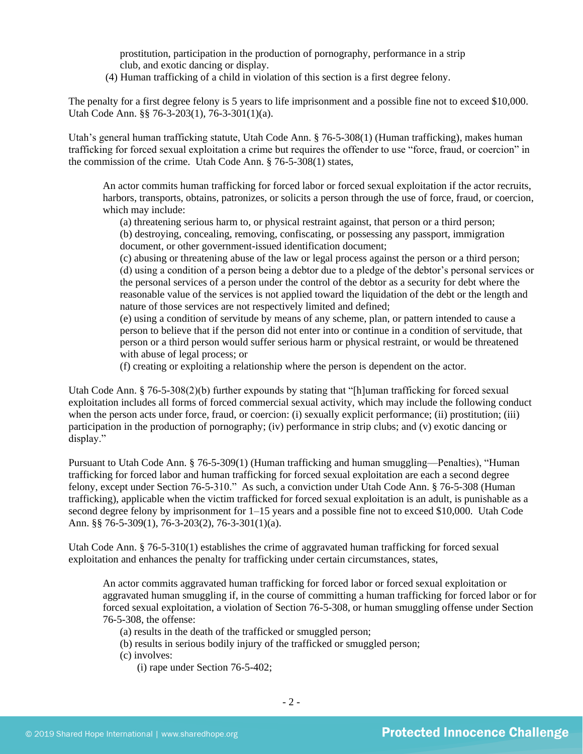prostitution, participation in the production of pornography, performance in a strip club, and exotic dancing or display.

(4) Human trafficking of a child in violation of this section is a first degree felony.

The penalty for a first degree felony is 5 years to life imprisonment and a possible fine not to exceed \$10,000. Utah Code Ann. §§ 76-3-203(1), 76-3-301(1)(a).

Utah's general human trafficking statute, Utah Code Ann. § 76-5-308(1) (Human trafficking), makes human trafficking for forced sexual exploitation a crime but requires the offender to use "force, fraud, or coercion" in the commission of the crime. Utah Code Ann. § 76-5-308(1) states,

An actor commits human trafficking for forced labor or forced sexual exploitation if the actor recruits, harbors, transports, obtains, patronizes, or solicits a person through the use of force, fraud, or coercion, which may include:

(a) threatening serious harm to, or physical restraint against, that person or a third person; (b) destroying, concealing, removing, confiscating, or possessing any passport, immigration document, or other government-issued identification document;

(c) abusing or threatening abuse of the law or legal process against the person or a third person; (d) using a condition of a person being a debtor due to a pledge of the debtor's personal services or the personal services of a person under the control of the debtor as a security for debt where the reasonable value of the services is not applied toward the liquidation of the debt or the length and nature of those services are not respectively limited and defined;

(e) using a condition of servitude by means of any scheme, plan, or pattern intended to cause a person to believe that if the person did not enter into or continue in a condition of servitude, that person or a third person would suffer serious harm or physical restraint, or would be threatened with abuse of legal process; or

(f) creating or exploiting a relationship where the person is dependent on the actor.

Utah Code Ann. § 76-5-308(2)(b) further expounds by stating that "[h]uman trafficking for forced sexual exploitation includes all forms of forced commercial sexual activity, which may include the following conduct when the person acts under force, fraud, or coercion: (i) sexually explicit performance; (ii) prostitution; (iii) participation in the production of pornography; (iv) performance in strip clubs; and (v) exotic dancing or display."

Pursuant to Utah Code Ann. § 76-5-309(1) (Human trafficking and human smuggling—Penalties), "Human trafficking for forced labor and human trafficking for forced sexual exploitation are each a second degree felony, except under Section 76-5-310." As such, a conviction under Utah Code Ann. § 76-5-308 (Human trafficking), applicable when the victim trafficked for forced sexual exploitation is an adult, is punishable as a second degree felony by imprisonment for 1–15 years and a possible fine not to exceed \$10,000. Utah Code Ann. §§ 76-5-309(1), 76-3-203(2), 76-3-301(1)(a).

Utah Code Ann. § 76-5-310(1) establishes the crime of aggravated human trafficking for forced sexual exploitation and enhances the penalty for trafficking under certain circumstances, states,

An actor commits aggravated human trafficking for forced labor or forced sexual exploitation or aggravated human smuggling if, in the course of committing a human trafficking for forced labor or for forced sexual exploitation, a violation of Section 76-5-308, or human smuggling offense under Section 76-5-308, the offense:

- (a) results in the death of the trafficked or smuggled person;
- (b) results in serious bodily injury of the trafficked or smuggled person;

(c) involves:

(i) rape under Section 76-5-402;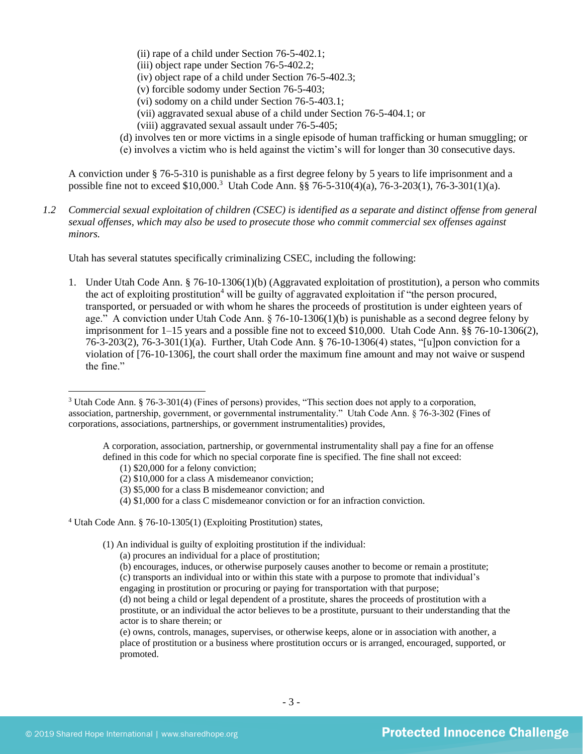- (ii) rape of a child under Section 76-5-402.1;
- (iii) object rape under Section 76-5-402.2;
- (iv) object rape of a child under Section 76-5-402.3;
- (v) forcible sodomy under Section 76-5-403;
- (vi) sodomy on a child under Section 76-5-403.1;
- (vii) aggravated sexual abuse of a child under Section 76-5-404.1; or
- (viii) aggravated sexual assault under 76-5-405;
- (d) involves ten or more victims in a single episode of human trafficking or human smuggling; or
- (e) involves a victim who is held against the victim's will for longer than 30 consecutive days.

A conviction under § 76-5-310 is punishable as a first degree felony by 5 years to life imprisonment and a possible fine not to exceed \$10,000.<sup>3</sup> Utah Code Ann. §§ 76-5-310(4)(a), 76-3-203(1), 76-3-301(1)(a).

*1.2 Commercial sexual exploitation of children (CSEC) is identified as a separate and distinct offense from general sexual offenses, which may also be used to prosecute those who commit commercial sex offenses against minors.*

Utah has several statutes specifically criminalizing CSEC, including the following:

1. Under Utah Code Ann. § 76-10-1306(1)(b) (Aggravated exploitation of prostitution), a person who commits the act of exploiting prostitution<sup>4</sup> will be guilty of aggravated exploitation if "the person procured, transported, or persuaded or with whom he shares the proceeds of prostitution is under eighteen years of age." A conviction under Utah Code Ann.  $\S$  76-10-1306(1)(b) is punishable as a second degree felony by imprisonment for 1–15 years and a possible fine not to exceed \$10,000. Utah Code Ann. §§ 76-10-1306(2), 76-3-203(2), 76-3-301(1)(a). Further, Utah Code Ann. § 76-10-1306(4) states, "[u]pon conviction for a violation of [76-10-1306], the court shall order the maximum fine amount and may not waive or suspend the fine."

A corporation, association, partnership, or governmental instrumentality shall pay a fine for an offense defined in this code for which no special corporate fine is specified. The fine shall not exceed:

(4) \$1,000 for a class C misdemeanor conviction or for an infraction conviction.

<sup>3</sup> Utah Code Ann. § 76-3-301(4) (Fines of persons) provides, "This section does not apply to a corporation, association, partnership, government, or governmental instrumentality." Utah Code Ann. § 76-3-302 (Fines of corporations, associations, partnerships, or government instrumentalities) provides,

<sup>(1) \$20,000</sup> for a felony conviction;

<sup>(2) \$10,000</sup> for a class A misdemeanor conviction;

<sup>(3) \$5,000</sup> for a class B misdemeanor conviction; and

<sup>4</sup> Utah Code Ann. § 76-10-1305(1) (Exploiting Prostitution) states,

<sup>(1)</sup> An individual is guilty of exploiting prostitution if the individual:

<sup>(</sup>a) procures an individual for a place of prostitution;

<sup>(</sup>b) encourages, induces, or otherwise purposely causes another to become or remain a prostitute; (c) transports an individual into or within this state with a purpose to promote that individual's

engaging in prostitution or procuring or paying for transportation with that purpose;

<sup>(</sup>d) not being a child or legal dependent of a prostitute, shares the proceeds of prostitution with a prostitute, or an individual the actor believes to be a prostitute, pursuant to their understanding that the actor is to share therein; or

<sup>(</sup>e) owns, controls, manages, supervises, or otherwise keeps, alone or in association with another, a place of prostitution or a business where prostitution occurs or is arranged, encouraged, supported, or promoted.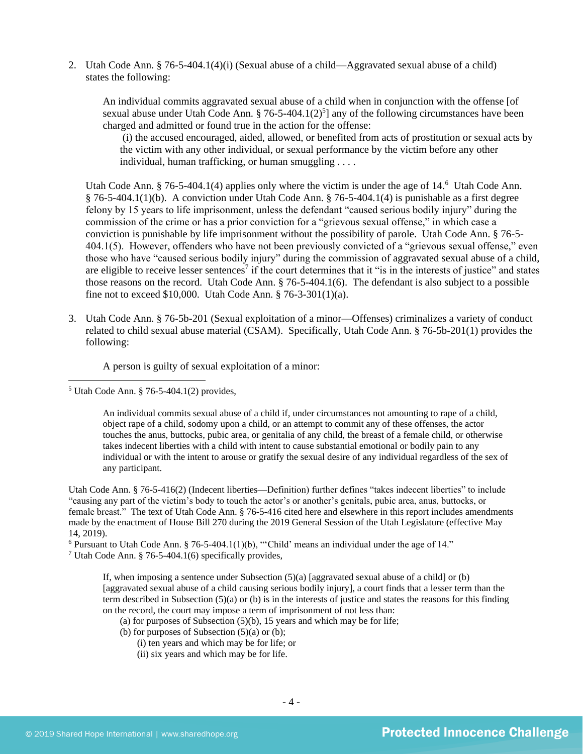2. Utah Code Ann. § 76-5-404.1(4)(i) (Sexual abuse of a child—Aggravated sexual abuse of a child) states the following:

An individual commits aggravated sexual abuse of a child when in conjunction with the offense [of sexual abuse under Utah Code Ann.  $\S 76-5-404.1(2)^{5}$ ] any of the following circumstances have been charged and admitted or found true in the action for the offense:

<span id="page-3-1"></span><span id="page-3-0"></span>(i) the accused encouraged, aided, allowed, or benefited from acts of prostitution or sexual acts by the victim with any other individual, or sexual performance by the victim before any other individual, human trafficking, or human smuggling . . . .

Utah Code Ann. § 76-5-404.1(4) applies only where the victim is under the age of 14.<sup>6</sup> Utah Code Ann. § 76-5-404.1(1)(b). A conviction under Utah Code Ann. § 76-5-404.1(4) is punishable as a first degree felony by 15 years to life imprisonment, unless the defendant "caused serious bodily injury" during the commission of the crime or has a prior conviction for a "grievous sexual offense," in which case a conviction is punishable by life imprisonment without the possibility of parole. Utah Code Ann. § 76-5- 404.1(5). However, offenders who have not been previously convicted of a "grievous sexual offense," even those who have "caused serious bodily injury" during the commission of aggravated sexual abuse of a child, are eligible to receive lesser sentences<sup>7</sup> if the court determines that it "is in the interests of justice" and states those reasons on the record. Utah Code Ann. § 76-5-404.1(6). The defendant is also subject to a possible fine not to exceed \$10,000. Utah Code Ann. § 76-3-301(1)(a).

3. Utah Code Ann. § 76-5b-201 (Sexual exploitation of a minor—Offenses) criminalizes a variety of conduct related to child sexual abuse material (CSAM). Specifically, Utah Code Ann. § 76-5b-201(1) provides the following:

<span id="page-3-2"></span>A person is guilty of sexual exploitation of a minor:

An individual commits sexual abuse of a child if, under circumstances not amounting to rape of a child, object rape of a child, sodomy upon a child, or an attempt to commit any of these offenses, the actor touches the anus, buttocks, pubic area, or genitalia of any child, the breast of a female child, or otherwise takes indecent liberties with a child with intent to cause substantial emotional or bodily pain to any individual or with the intent to arouse or gratify the sexual desire of any individual regardless of the sex of any participant.

Utah Code Ann. § 76-5-416(2) (Indecent liberties—Definition) further defines "takes indecent liberties" to include "causing any part of the victim's body to touch the actor's or another's genitals, pubic area, anus, buttocks, or female breast." The text of Utah Code Ann. § 76-5-416 cited here and elsewhere in this report includes amendments made by the enactment of House Bill 270 during the 2019 General Session of the Utah Legislature (effective May 14, 2019).

 $6$  Pursuant to Utah Code Ann. § 76-5-404.1(1)(b), "'Child' means an individual under the age of 14."

<sup>7</sup> Utah Code Ann. § 76-5-404.1(6) specifically provides,

If, when imposing a sentence under Subsection  $(5)(a)$  [aggravated sexual abuse of a child] or (b) [aggravated sexual abuse of a child causing serious bodily injury], a court finds that a lesser term than the term described in Subsection (5)(a) or (b) is in the interests of justice and states the reasons for this finding on the record, the court may impose a term of imprisonment of not less than:

- (a) for purposes of Subsection  $(5)(b)$ , 15 years and which may be for life;
- (b) for purposes of Subsection  $(5)(a)$  or  $(b)$ ;
	- (i) ten years and which may be for life; or
	- (ii) six years and which may be for life.

 $<sup>5</sup>$  Utah Code Ann. § 76-5-404.1(2) provides,</sup>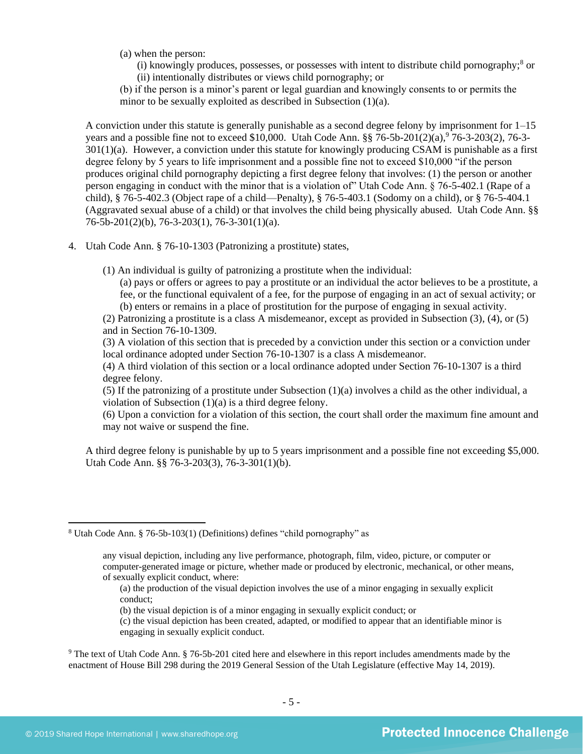(a) when the person:

<span id="page-4-1"></span><span id="page-4-0"></span> $(i)$  knowingly produces, possesses, or possesses with intent to distribute child pornography;<sup>8</sup> or (ii) intentionally distributes or views child pornography; or

(b) if the person is a minor's parent or legal guardian and knowingly consents to or permits the minor to be sexually exploited as described in Subsection (1)(a).

A conviction under this statute is generally punishable as a second degree felony by imprisonment for 1–15 years and a possible fine not to exceed \$10,000. Utah Code Ann.  $\S$  76-5b-201(2)(a),  $\overline{7}$ 6-3-203(2), 76-3-301(1)(a). However, a conviction under this statute for knowingly producing CSAM is punishable as a first degree felony by 5 years to life imprisonment and a possible fine not to exceed \$10,000 "if the person produces original child pornography depicting a first degree felony that involves: (1) the person or another person engaging in conduct with the minor that is a violation of" Utah Code Ann. § 76-5-402.1 (Rape of a child), § 76-5-402.3 (Object rape of a child—Penalty), § 76-5-403.1 (Sodomy on a child), or § 76-5-404.1 (Aggravated sexual abuse of a child) or that involves the child being physically abused. Utah Code Ann. §§ 76-5b-201(2)(b), 76-3-203(1), 76-3-301(1)(a).

- 4. Utah Code Ann. § 76-10-1303 (Patronizing a prostitute) states,
	- (1) An individual is guilty of patronizing a prostitute when the individual:

(a) pays or offers or agrees to pay a prostitute or an individual the actor believes to be a prostitute, a fee, or the functional equivalent of a fee, for the purpose of engaging in an act of sexual activity; or (b) enters or remains in a place of prostitution for the purpose of engaging in sexual activity.

(2) Patronizing a prostitute is a class A misdemeanor, except as provided in Subsection (3), (4), or (5) and in Section 76-10-1309.

(3) A violation of this section that is preceded by a conviction under this section or a conviction under local ordinance adopted under Section 76-10-1307 is a class A misdemeanor.

(4) A third violation of this section or a local ordinance adopted under Section 76-10-1307 is a third degree felony.

(5) If the patronizing of a prostitute under Subsection (1)(a) involves a child as the other individual, a violation of Subsection (1)(a) is a third degree felony.

(6) Upon a conviction for a violation of this section, the court shall order the maximum fine amount and may not waive or suspend the fine.

A third degree felony is punishable by up to 5 years imprisonment and a possible fine not exceeding \$5,000. Utah Code Ann. §§ 76-3-203(3), 76-3-301(1)(b).

<sup>8</sup> Utah Code Ann. § 76-5b-103(1) (Definitions) defines "child pornography" as

any visual depiction, including any live performance, photograph, film, video, picture, or computer or computer-generated image or picture, whether made or produced by electronic, mechanical, or other means, of sexually explicit conduct, where:

<sup>(</sup>a) the production of the visual depiction involves the use of a minor engaging in sexually explicit conduct;

<sup>(</sup>b) the visual depiction is of a minor engaging in sexually explicit conduct; or

<sup>(</sup>c) the visual depiction has been created, adapted, or modified to appear that an identifiable minor is engaging in sexually explicit conduct.

<sup>&</sup>lt;sup>9</sup> The text of Utah Code Ann. § 76-5b-201 cited here and elsewhere in this report includes amendments made by the enactment of House Bill 298 during the 2019 General Session of the Utah Legislature (effective May 14, 2019).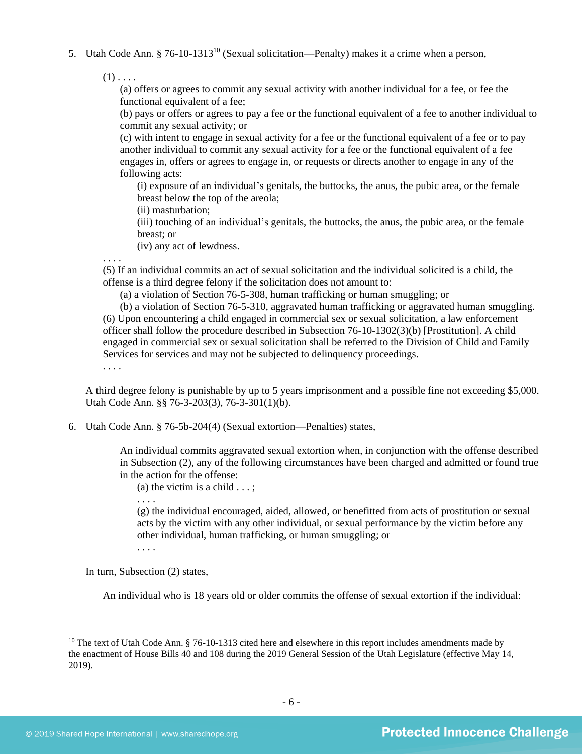5. Utah Code Ann. § 76-10-1313<sup>10</sup> (Sexual solicitation—Penalty) makes it a crime when a person,

 $(1)$ ...

<span id="page-5-0"></span>(a) offers or agrees to commit any sexual activity with another individual for a fee, or fee the functional equivalent of a fee;

(b) pays or offers or agrees to pay a fee or the functional equivalent of a fee to another individual to commit any sexual activity; or

(c) with intent to engage in sexual activity for a fee or the functional equivalent of a fee or to pay another individual to commit any sexual activity for a fee or the functional equivalent of a fee engages in, offers or agrees to engage in, or requests or directs another to engage in any of the following acts:

(i) exposure of an individual's genitals, the buttocks, the anus, the pubic area, or the female breast below the top of the areola;

(ii) masturbation;

(iii) touching of an individual's genitals, the buttocks, the anus, the pubic area, or the female breast; or

(iv) any act of lewdness.

. . . .

(5) If an individual commits an act of sexual solicitation and the individual solicited is a child, the offense is a third degree felony if the solicitation does not amount to:

(a) a violation of Section 76-5-308, human trafficking or human smuggling; or

(b) a violation of Section 76-5-310, aggravated human trafficking or aggravated human smuggling. (6) Upon encountering a child engaged in commercial sex or sexual solicitation, a law enforcement officer shall follow the procedure described in Subsection 76-10-1302(3)(b) [Prostitution]. A child engaged in commercial sex or sexual solicitation shall be referred to the Division of Child and Family Services for services and may not be subjected to delinquency proceedings.

. . . .

A third degree felony is punishable by up to 5 years imprisonment and a possible fine not exceeding \$5,000. Utah Code Ann. §§ 76-3-203(3), 76-3-301(1)(b).

6. Utah Code Ann. § 76-5b-204(4) (Sexual extortion—Penalties) states,

An individual commits aggravated sexual extortion when, in conjunction with the offense described in Subsection (2), any of the following circumstances have been charged and admitted or found true in the action for the offense:

(a) the victim is a child  $\dots$ ;

(g) the individual encouraged, aided, allowed, or benefitted from acts of prostitution or sexual acts by the victim with any other individual, or sexual performance by the victim before any other individual, human trafficking, or human smuggling; or

. . . .

. . . .

In turn, Subsection (2) states,

An individual who is 18 years old or older commits the offense of sexual extortion if the individual:

<sup>&</sup>lt;sup>10</sup> The text of Utah Code Ann.  $\S$  76-10-1313 cited here and elsewhere in this report includes amendments made by the enactment of House Bills 40 and 108 during the 2019 General Session of the Utah Legislature (effective May 14, 2019).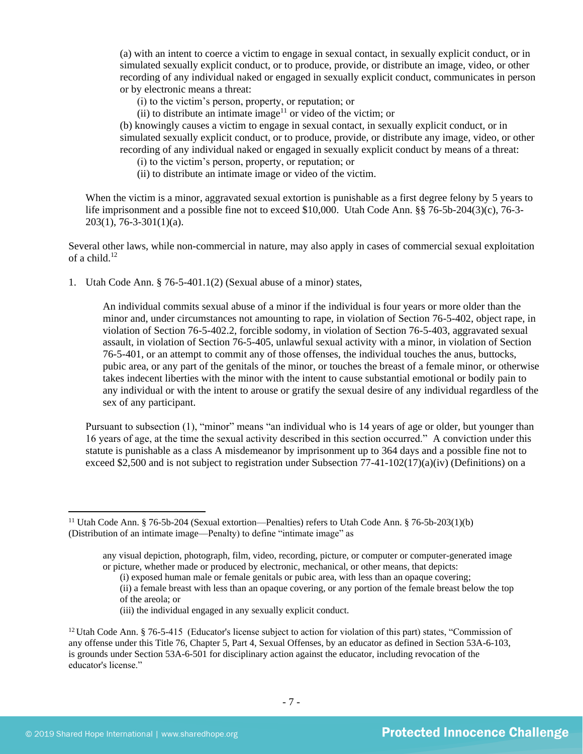(a) with an intent to coerce a victim to engage in sexual contact, in sexually explicit conduct, or in simulated sexually explicit conduct, or to produce, provide, or distribute an image, video, or other recording of any individual naked or engaged in sexually explicit conduct, communicates in person or by electronic means a threat:

(i) to the victim's person, property, or reputation; or

(ii) to distribute an intimate image<sup>11</sup> or video of the victim; or

(b) knowingly causes a victim to engage in sexual contact, in sexually explicit conduct, or in simulated sexually explicit conduct, or to produce, provide, or distribute any image, video, or other recording of any individual naked or engaged in sexually explicit conduct by means of a threat:

(i) to the victim's person, property, or reputation; or

(ii) to distribute an intimate image or video of the victim.

When the victim is a minor, aggravated sexual extortion is punishable as a first degree felony by 5 years to life imprisonment and a possible fine not to exceed \$10,000. Utah Code Ann. §§ 76-5b-204(3)(c), 76-3- 203(1), 76-3-301(1)(a).

Several other laws, while non-commercial in nature, may also apply in cases of commercial sexual exploitation of a child. $12$ 

1. Utah Code Ann. § 76-5-401.1(2) (Sexual abuse of a minor) states,

An individual commits sexual abuse of a minor if the individual is four years or more older than the minor and, under circumstances not amounting to rape, in violation of Section 76-5-402, object rape, in violation of Section 76-5-402.2, forcible sodomy, in violation of Section 76-5-403, aggravated sexual assault, in violation of Section 76-5-405, unlawful sexual activity with a minor, in violation of Section 76-5-401, or an attempt to commit any of those offenses, the individual touches the anus, buttocks, pubic area, or any part of the genitals of the minor, or touches the breast of a female minor, or otherwise takes indecent liberties with the minor with the intent to cause substantial emotional or bodily pain to any individual or with the intent to arouse or gratify the sexual desire of any individual regardless of the sex of any participant.

Pursuant to subsection (1), "minor" means "an individual who is 14 years of age or older, but younger than 16 years of age, at the time the sexual activity described in this section occurred." A conviction under this statute is punishable as a class A misdemeanor by imprisonment up to 364 days and a possible fine not to exceed \$2,500 and is not subject to registration under Subsection  $77-41-102(17)(a)(iv)$  (Definitions) on a

<sup>11</sup> Utah Code Ann. § 76-5b-204 (Sexual extortion—Penalties) refers to Utah Code Ann. § 76-5b-203(1)(b) (Distribution of an intimate image—Penalty) to define "intimate image" as

any visual depiction, photograph, film, video, recording, picture, or computer or computer-generated image or picture, whether made or produced by electronic, mechanical, or other means, that depicts:

<sup>(</sup>i) exposed human male or female genitals or pubic area, with less than an opaque covering;

<sup>(</sup>ii) a female breast with less than an opaque covering, or any portion of the female breast below the top of the areola; or

<sup>(</sup>iii) the individual engaged in any sexually explicit conduct.

<sup>&</sup>lt;sup>12</sup> Utah Code Ann. § 76-5-415 (Educator's license subject to action for violation of this part) states, "Commission of any offense under this Title 76, Chapter 5, Part 4, Sexual Offenses, by an educator as defined in Section 53A-6-103, is grounds under Section 53A-6-501 for disciplinary action against the educator, including revocation of the educator's license."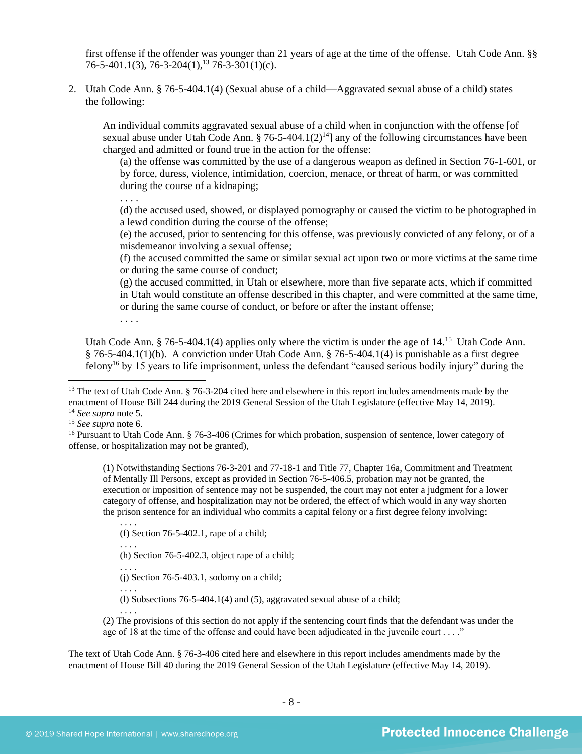first offense if the offender was younger than 21 years of age at the time of the offense. Utah Code Ann. §§ 76-5-401.1(3), 76-3-204(1),  $^{13}$  76-3-301(1)(c).

2. Utah Code Ann. § 76-5-404.1(4) (Sexual abuse of a child—Aggravated sexual abuse of a child) states the following:

<span id="page-7-1"></span>An individual commits aggravated sexual abuse of a child when in conjunction with the offense [of sexual abuse under Utah Code Ann. § 76-5-404.1(2)<sup>14</sup>] any of the following circumstances have been charged and admitted or found true in the action for the offense:

(a) the offense was committed by the use of a dangerous weapon as defined in Section 76-1-601, or by force, duress, violence, intimidation, coercion, menace, or threat of harm, or was committed during the course of a kidnaping;

. . . .

(d) the accused used, showed, or displayed pornography or caused the victim to be photographed in a lewd condition during the course of the offense;

(e) the accused, prior to sentencing for this offense, was previously convicted of any felony, or of a misdemeanor involving a sexual offense;

(f) the accused committed the same or similar sexual act upon two or more victims at the same time or during the same course of conduct;

(g) the accused committed, in Utah or elsewhere, more than five separate acts, which if committed in Utah would constitute an offense described in this chapter, and were committed at the same time, or during the same course of conduct, or before or after the instant offense;

. . . .

<span id="page-7-0"></span>Utah Code Ann. § 76-5-404.1(4) applies only where the victim is under the age of  $14$ .<sup>15</sup> Utah Code Ann. § 76-5-404.1(1)(b). A conviction under Utah Code Ann. § 76-5-404.1(4) is punishable as a first degree felony<sup>16</sup> by 15 years to life imprisonment, unless the defendant "caused serious bodily injury" during the

(1) Notwithstanding Sections 76-3-201 and 77-18-1 and Title 77, Chapter 16a, Commitment and Treatment of Mentally Ill Persons, except as provided in Section 76-5-406.5, probation may not be granted, the execution or imposition of sentence may not be suspended, the court may not enter a judgment for a lower category of offense, and hospitalization may not be ordered, the effect of which would in any way shorten the prison sentence for an individual who commits a capital felony or a first degree felony involving:

(f) Section 76-5-402.1, rape of a child;

. . . . (h) Section 76-5-402.3, object rape of a child;

. . . .  $(i)$  Section 76-5-403.1, sodomy on a child;

. . . .

. . . .

(l) Subsections 76-5-404.1(4) and (5), aggravated sexual abuse of a child;

. . . . (2) The provisions of this section do not apply if the sentencing court finds that the defendant was under the age of 18 at the time of the offense and could have been adjudicated in the juvenile court . . . ."

The text of Utah Code Ann. § 76-3-406 cited here and elsewhere in this report includes amendments made by the enactment of House Bill 40 during the 2019 General Session of the Utah Legislature (effective May 14, 2019).

<sup>&</sup>lt;sup>13</sup> The text of Utah Code Ann.  $\S$  76-3-204 cited here and elsewhere in this report includes amendments made by the enactment of House Bill 244 during the 2019 General Session of the Utah Legislature (effective May 14, 2019).

<sup>14</sup> *See supra* note [5.](#page-3-0)

<sup>15</sup> *See supra* note [6.](#page-3-1)

<sup>&</sup>lt;sup>16</sup> Pursuant to Utah Code Ann. § 76-3-406 (Crimes for which probation, suspension of sentence, lower category of offense, or hospitalization may not be granted),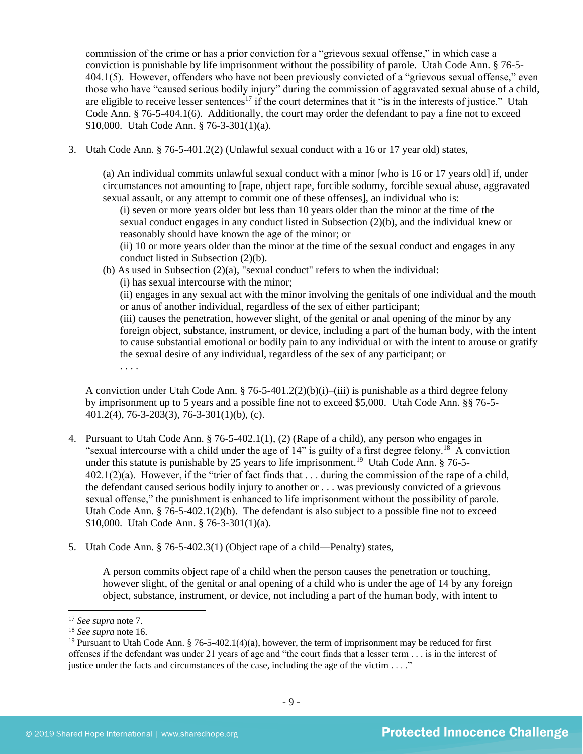commission of the crime or has a prior conviction for a "grievous sexual offense," in which case a conviction is punishable by life imprisonment without the possibility of parole. Utah Code Ann. § 76-5- 404.1(5). However, offenders who have not been previously convicted of a "grievous sexual offense," even those who have "caused serious bodily injury" during the commission of aggravated sexual abuse of a child, are eligible to receive lesser sentences<sup>17</sup> if the court determines that it "is in the interests of justice." Utah Code Ann. § 76-5-404.1(6). Additionally, the court may order the defendant to pay a fine not to exceed \$10,000. Utah Code Ann. § 76-3-301(1)(a).

3. Utah Code Ann. § 76-5-401.2(2) (Unlawful sexual conduct with a 16 or 17 year old) states,

(a) An individual commits unlawful sexual conduct with a minor [who is 16 or 17 years old] if, under circumstances not amounting to [rape, object rape, forcible sodomy, forcible sexual abuse, aggravated sexual assault, or any attempt to commit one of these offenses], an individual who is:

(i) seven or more years older but less than 10 years older than the minor at the time of the sexual conduct engages in any conduct listed in Subsection (2)(b), and the individual knew or reasonably should have known the age of the minor; or

(ii) 10 or more years older than the minor at the time of the sexual conduct and engages in any conduct listed in Subsection (2)(b).

(b) As used in Subsection  $(2)(a)$ , "sexual conduct" refers to when the individual:

(i) has sexual intercourse with the minor;

(ii) engages in any sexual act with the minor involving the genitals of one individual and the mouth or anus of another individual, regardless of the sex of either participant;

(iii) causes the penetration, however slight, of the genital or anal opening of the minor by any foreign object, substance, instrument, or device, including a part of the human body, with the intent to cause substantial emotional or bodily pain to any individual or with the intent to arouse or gratify the sexual desire of any individual, regardless of the sex of any participant; or . . . .

A conviction under Utah Code Ann. § 76-5-401.2(2)(b)(i)–(iii) is punishable as a third degree felony by imprisonment up to 5 years and a possible fine not to exceed \$5,000. Utah Code Ann. §§ 76-5- 401.2(4), 76-3-203(3), 76-3-301(1)(b), (c).

- 4. Pursuant to Utah Code Ann. § 76-5-402.1(1), (2) (Rape of a child), any person who engages in "sexual intercourse with a child under the age of  $14$ " is guilty of a first degree felony.<sup>18</sup> A conviction under this statute is punishable by 25 years to life imprisonment.<sup>19</sup> Utah Code Ann. § 76-5-402.1(2)(a). However, if the "trier of fact finds that . . . during the commission of the rape of a child, the defendant caused serious bodily injury to another or . . . was previously convicted of a grievous sexual offense," the punishment is enhanced to life imprisonment without the possibility of parole. Utah Code Ann.  $§ 76-5-402.1(2)(b)$ . The defendant is also subject to a possible fine not to exceed \$10,000. Utah Code Ann. § 76-3-301(1)(a).
- 5. Utah Code Ann. § 76-5-402.3(1) (Object rape of a child—Penalty) states,

A person commits object rape of a child when the person causes the penetration or touching, however slight, of the genital or anal opening of a child who is under the age of 14 by any foreign object, substance, instrument, or device, not including a part of the human body, with intent to

<sup>17</sup> *See supra* note [7.](#page-3-2)

<sup>18</sup> *See supra* note [16.](#page-7-0)

<sup>&</sup>lt;sup>19</sup> Pursuant to Utah Code Ann. § 76-5-402.1(4)(a), however, the term of imprisonment may be reduced for first offenses if the defendant was under 21 years of age and "the court finds that a lesser term . . . is in the interest of justice under the facts and circumstances of the case, including the age of the victim . . . ."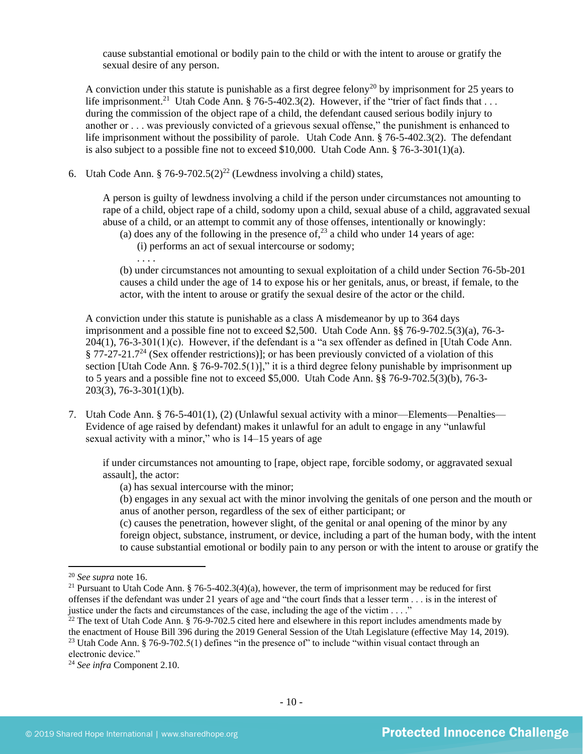cause substantial emotional or bodily pain to the child or with the intent to arouse or gratify the sexual desire of any person.

A conviction under this statute is punishable as a first degree felony<sup>20</sup> by imprisonment for 25 years to life imprisonment.<sup>21</sup> Utah Code Ann. § 76-5-402.3(2). However, if the "trier of fact finds that  $\dots$ during the commission of the object rape of a child, the defendant caused serious bodily injury to another or . . . was previously convicted of a grievous sexual offense," the punishment is enhanced to life imprisonment without the possibility of parole. Utah Code Ann. § 76-5-402.3(2). The defendant is also subject to a possible fine not to exceed \$10,000. Utah Code Ann.  $\S 76-3-301(1)(a)$ .

6. Utah Code Ann. § 76-9-702.5 $(2)^{22}$  (Lewdness involving a child) states,

A person is guilty of lewdness involving a child if the person under circumstances not amounting to rape of a child, object rape of a child, sodomy upon a child, sexual abuse of a child, aggravated sexual abuse of a child, or an attempt to commit any of those offenses, intentionally or knowingly:

- (a) does any of the following in the presence of,  $^{23}$  a child who under 14 years of age:
- (i) performs an act of sexual intercourse or sodomy;

. . . .

(b) under circumstances not amounting to sexual exploitation of a child under Section 76-5b-201 causes a child under the age of 14 to expose his or her genitals, anus, or breast, if female, to the actor, with the intent to arouse or gratify the sexual desire of the actor or the child.

A conviction under this statute is punishable as a class A misdemeanor by up to 364 days imprisonment and a possible fine not to exceed \$2,500. Utah Code Ann. §§ 76-9-702.5(3)(a), 76-3- 204(1), 76-3-301(1)(c). However, if the defendant is a "a sex offender as defined in [Utah Code Ann.  $§$  77-27-21.7<sup>24</sup> (Sex offender restrictions)]; or has been previously convicted of a violation of this section [Utah Code Ann. § 76-9-702.5(1)]," it is a third degree felony punishable by imprisonment up to 5 years and a possible fine not to exceed \$5,000. Utah Code Ann. §§ 76-9-702.5(3)(b), 76-3- 203(3), 76-3-301(1)(b).

7. Utah Code Ann. § 76-5-401(1), (2) (Unlawful sexual activity with a minor—Elements—Penalties— Evidence of age raised by defendant) makes it unlawful for an adult to engage in any "unlawful sexual activity with a minor," who is 14–15 years of age

if under circumstances not amounting to [rape, object rape, forcible sodomy, or aggravated sexual assault], the actor:

(a) has sexual intercourse with the minor;

(b) engages in any sexual act with the minor involving the genitals of one person and the mouth or anus of another person, regardless of the sex of either participant; or

(c) causes the penetration, however slight, of the genital or anal opening of the minor by any foreign object, substance, instrument, or device, including a part of the human body, with the intent to cause substantial emotional or bodily pain to any person or with the intent to arouse or gratify the

<sup>20</sup> *See supra* note [16.](#page-7-0)

<sup>&</sup>lt;sup>21</sup> Pursuant to Utah Code Ann. § 76-5-402.3(4)(a), however, the term of imprisonment may be reduced for first offenses if the defendant was under 21 years of age and "the court finds that a lesser term . . . is in the interest of justice under the facts and circumstances of the case, including the age of the victim . . . ."

 $22$  The text of Utah Code Ann. § 76-9-702.5 cited here and elsewhere in this report includes amendments made by the enactment of House Bill 396 during the 2019 General Session of the Utah Legislature (effective May 14, 2019). <sup>23</sup> Utah Code Ann. § 76-9-702.5(1) defines "in the presence of" to include "within visual contact through an electronic device."

<sup>24</sup> *See infra* Component 2.10.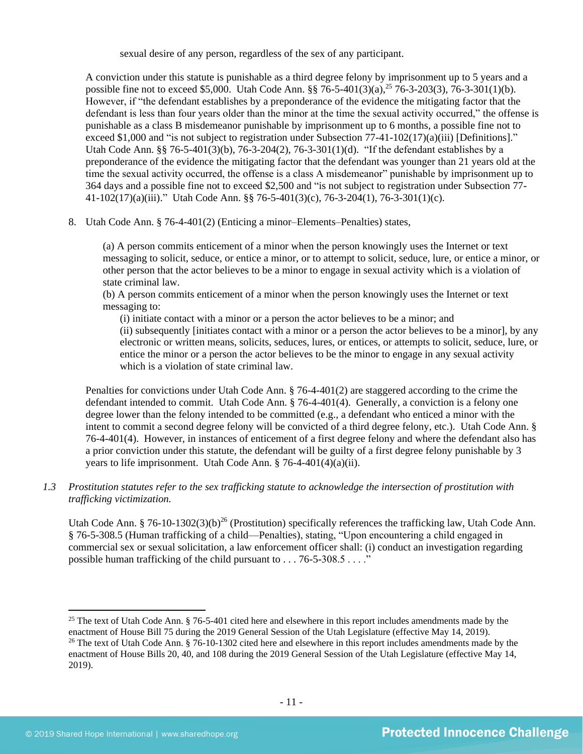sexual desire of any person, regardless of the sex of any participant.

A conviction under this statute is punishable as a third degree felony by imprisonment up to 5 years and a possible fine not to exceed \$5,000. Utah Code Ann. §§ 76-5-401(3)(a),<sup>25</sup> 76-3-203(3), 76-3-301(1)(b). However, if "the defendant establishes by a preponderance of the evidence the mitigating factor that the defendant is less than four years older than the minor at the time the sexual activity occurred," the offense is punishable as a class B misdemeanor punishable by imprisonment up to 6 months, a possible fine not to exceed \$1,000 and "is not subject to registration under Subsection 77-41-102(17)(a)(iii) [Definitions]." Utah Code Ann. §§ 76-5-401(3)(b), 76-3-204(2), 76-3-301(1)(d). "If the defendant establishes by a preponderance of the evidence the mitigating factor that the defendant was younger than 21 years old at the time the sexual activity occurred, the offense is a class A misdemeanor" punishable by imprisonment up to 364 days and a possible fine not to exceed \$2,500 and "is not subject to registration under Subsection 77- 41-102(17)(a)(iii)." Utah Code Ann. §§ 76-5-401(3)(c), 76-3-204(1), 76-3-301(1)(c).

8. Utah Code Ann. § 76-4-401(2) (Enticing a minor–Elements–Penalties) states,

(a) A person commits enticement of a minor when the person knowingly uses the Internet or text messaging to solicit, seduce, or entice a minor, or to attempt to solicit, seduce, lure, or entice a minor, or other person that the actor believes to be a minor to engage in sexual activity which is a violation of state criminal law.

(b) A person commits enticement of a minor when the person knowingly uses the Internet or text messaging to:

(i) initiate contact with a minor or a person the actor believes to be a minor; and

(ii) subsequently [initiates contact with a minor or a person the actor believes to be a minor], by any electronic or written means, solicits, seduces, lures, or entices, or attempts to solicit, seduce, lure, or entice the minor or a person the actor believes to be the minor to engage in any sexual activity which is a violation of state criminal law.

Penalties for convictions under Utah Code Ann. § 76-4-401(2) are staggered according to the crime the defendant intended to commit. Utah Code Ann. § 76-4-401(4). Generally, a conviction is a felony one degree lower than the felony intended to be committed (e.g., a defendant who enticed a minor with the intent to commit a second degree felony will be convicted of a third degree felony, etc.). Utah Code Ann. § 76-4-401(4). However, in instances of enticement of a first degree felony and where the defendant also has a prior conviction under this statute, the defendant will be guilty of a first degree felony punishable by 3 years to life imprisonment. Utah Code Ann. § 76-4-401(4)(a)(ii).

## *1.3 Prostitution statutes refer to the sex trafficking statute to acknowledge the intersection of prostitution with trafficking victimization.*

<span id="page-10-0"></span>Utah Code Ann. § 76-10-1302(3)(b)<sup>26</sup> (Prostitution) specifically references the trafficking law, Utah Code Ann. § 76-5-308.5 (Human trafficking of a child—Penalties), stating, "Upon encountering a child engaged in commercial sex or sexual solicitation, a law enforcement officer shall: (i) conduct an investigation regarding possible human trafficking of the child pursuant to . . . 76-5-308.5 . . . ."

<sup>&</sup>lt;sup>25</sup> The text of Utah Code Ann.  $\S$  76-5-401 cited here and elsewhere in this report includes amendments made by the enactment of House Bill 75 during the 2019 General Session of the Utah Legislature (effective May 14, 2019). <sup>26</sup> The text of Utah Code Ann.  $\S$  76-10-1302 cited here and elsewhere in this report includes amendments made by the enactment of House Bills 20, 40, and 108 during the 2019 General Session of the Utah Legislature (effective May 14, 2019).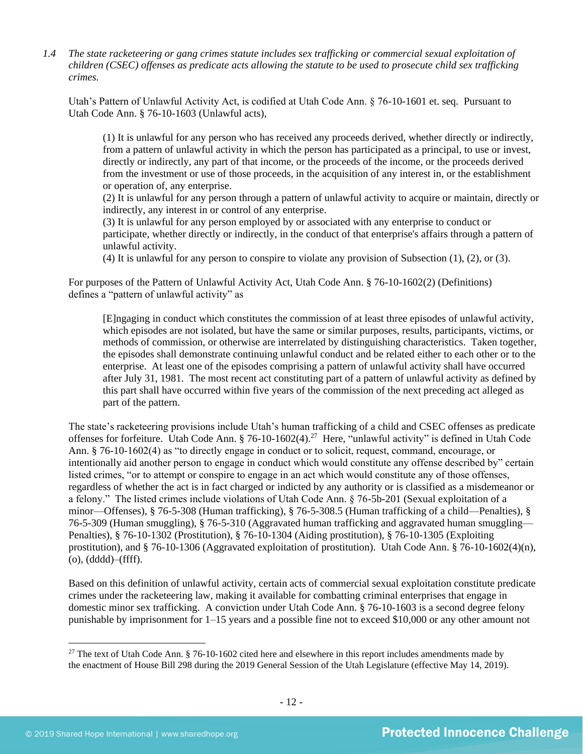*1.4 The state racketeering or gang crimes statute includes sex trafficking or commercial sexual exploitation of children (CSEC) offenses as predicate acts allowing the statute to be used to prosecute child sex trafficking crimes.* 

Utah's Pattern of Unlawful Activity Act, is codified at Utah Code Ann. § 76-10-1601 et. seq. Pursuant to Utah Code Ann. § 76-10-1603 (Unlawful acts),

(1) It is unlawful for any person who has received any proceeds derived, whether directly or indirectly, from a pattern of unlawful activity in which the person has participated as a principal, to use or invest, directly or indirectly, any part of that income, or the proceeds of the income, or the proceeds derived from the investment or use of those proceeds, in the acquisition of any interest in, or the establishment or operation of, any enterprise.

(2) It is unlawful for any person through a pattern of unlawful activity to acquire or maintain, directly or indirectly, any interest in or control of any enterprise.

(3) It is unlawful for any person employed by or associated with any enterprise to conduct or participate, whether directly or indirectly, in the conduct of that enterprise's affairs through a pattern of unlawful activity.

(4) It is unlawful for any person to conspire to violate any provision of Subsection (1), (2), or (3).

For purposes of the Pattern of Unlawful Activity Act, Utah Code Ann. § 76-10-1602(2) (Definitions) defines a "pattern of unlawful activity" as

<span id="page-11-0"></span>[E]ngaging in conduct which constitutes the commission of at least three episodes of unlawful activity, which episodes are not isolated, but have the same or similar purposes, results, participants, victims, or methods of commission, or otherwise are interrelated by distinguishing characteristics. Taken together, the episodes shall demonstrate continuing unlawful conduct and be related either to each other or to the enterprise. At least one of the episodes comprising a pattern of unlawful activity shall have occurred after July 31, 1981. The most recent act constituting part of a pattern of unlawful activity as defined by this part shall have occurred within five years of the commission of the next preceding act alleged as part of the pattern.

The state's racketeering provisions include Utah's human trafficking of a child and CSEC offenses as predicate offenses for forfeiture. Utah Code Ann. § 76-10-1602(4).<sup>27</sup> Here, "unlawful activity" is defined in Utah Code Ann. § 76-10-1602(4) as "to directly engage in conduct or to solicit, request, command, encourage, or intentionally aid another person to engage in conduct which would constitute any offense described by" certain listed crimes, "or to attempt or conspire to engage in an act which would constitute any of those offenses, regardless of whether the act is in fact charged or indicted by any authority or is classified as a misdemeanor or a felony." The listed crimes include violations of Utah Code Ann. § 76-5b-201 (Sexual exploitation of a minor—Offenses), § 76-5-308 (Human trafficking), § 76-5-308.5 (Human trafficking of a child—Penalties), § 76-5-309 (Human smuggling), § 76-5-310 (Aggravated human trafficking and aggravated human smuggling— Penalties), § 76-10-1302 (Prostitution), § 76-10-1304 (Aiding prostitution), § 76-10-1305 (Exploiting prostitution), and § 76-10-1306 (Aggravated exploitation of prostitution). Utah Code Ann. § 76-10-1602(4)(n), (o), (dddd)–(ffff).

Based on this definition of unlawful activity, certain acts of commercial sexual exploitation constitute predicate crimes under the racketeering law, making it available for combatting criminal enterprises that engage in domestic minor sex trafficking. A conviction under Utah Code Ann. § 76-10-1603 is a second degree felony punishable by imprisonment for 1–15 years and a possible fine not to exceed \$10,000 or any other amount not

<sup>&</sup>lt;sup>27</sup> The text of Utah Code Ann. § 76-10-1602 cited here and elsewhere in this report includes amendments made by the enactment of House Bill 298 during the 2019 General Session of the Utah Legislature (effective May 14, 2019).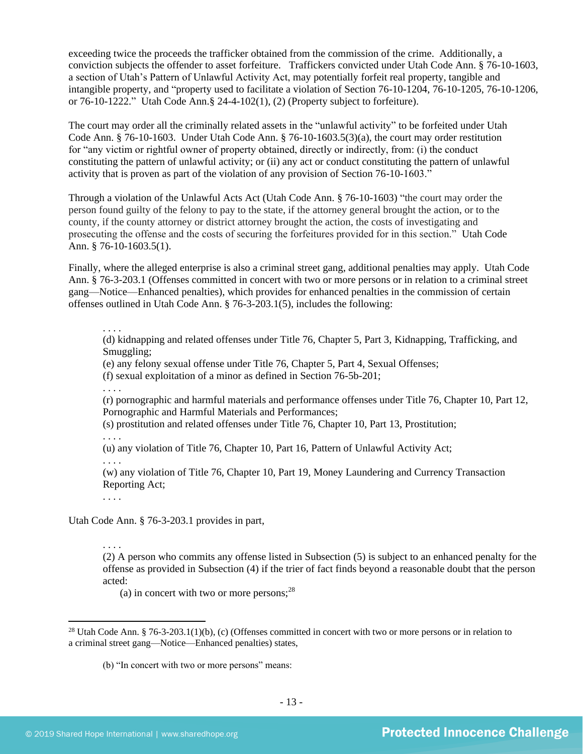exceeding twice the proceeds the trafficker obtained from the commission of the crime. Additionally, a conviction subjects the offender to asset forfeiture. Traffickers convicted under Utah Code Ann. § 76-10-1603, a section of Utah's Pattern of Unlawful Activity Act, may potentially forfeit real property, tangible and intangible property, and "property used to facilitate a violation of Section 76-10-1204, 76-10-1205, 76-10-1206, or 76-10-1222." Utah Code Ann.§ 24-4-102(1), (2) (Property subject to forfeiture).

The court may order all the criminally related assets in the "unlawful activity" to be forfeited under Utah Code Ann.  $\S$  76-10-1603. Under Utah Code Ann.  $\S$  76-10-1603.5(3)(a), the court may order restitution for "any victim or rightful owner of property obtained, directly or indirectly, from: (i) the conduct constituting the pattern of unlawful activity; or (ii) any act or conduct constituting the pattern of unlawful activity that is proven as part of the violation of any provision of Section 76-10-1603."

Through a violation of the Unlawful Acts Act (Utah Code Ann. § 76-10-1603) "the court may order the person found guilty of the felony to pay to the state, if the attorney general brought the action, or to the county, if the county attorney or district attorney brought the action, the costs of investigating and prosecuting the offense and the costs of securing the forfeitures provided for in this section." Utah Code Ann. § 76-10-1603.5(1).

Finally, where the alleged enterprise is also a criminal street gang, additional penalties may apply. Utah Code Ann. § 76-3-203.1 (Offenses committed in concert with two or more persons or in relation to a criminal street gang—Notice—Enhanced penalties), which provides for enhanced penalties in the commission of certain offenses outlined in Utah Code Ann. § 76-3-203.1(5), includes the following:

## . . . .

(d) kidnapping and related offenses under Title 76, Chapter 5, Part 3, Kidnapping, Trafficking, and Smuggling;

(e) any felony sexual offense under Title 76, Chapter 5, Part 4, Sexual Offenses;

(f) sexual exploitation of a minor as defined in Section 76-5b-201;

. . . .

(r) pornographic and harmful materials and performance offenses under Title 76, Chapter 10, Part 12, Pornographic and Harmful Materials and Performances;

(s) prostitution and related offenses under Title 76, Chapter 10, Part 13, Prostitution;

(u) any violation of Title 76, Chapter 10, Part 16, Pattern of Unlawful Activity Act;

. . . .

. . . .

(w) any violation of Title 76, Chapter 10, Part 19, Money Laundering and Currency Transaction Reporting Act;

. . . .

. . . .

Utah Code Ann. § 76-3-203.1 provides in part,

(2) A person who commits any offense listed in Subsection (5) is subject to an enhanced penalty for the offense as provided in Subsection (4) if the trier of fact finds beyond a reasonable doubt that the person acted:

(a) in concert with two or more persons;  $28$ 

<sup>&</sup>lt;sup>28</sup> Utah Code Ann. § 76-3-203.1(1)(b), (c) (Offenses committed in concert with two or more persons or in relation to a criminal street gang—Notice—Enhanced penalties) states,

<sup>(</sup>b) "In concert with two or more persons" means: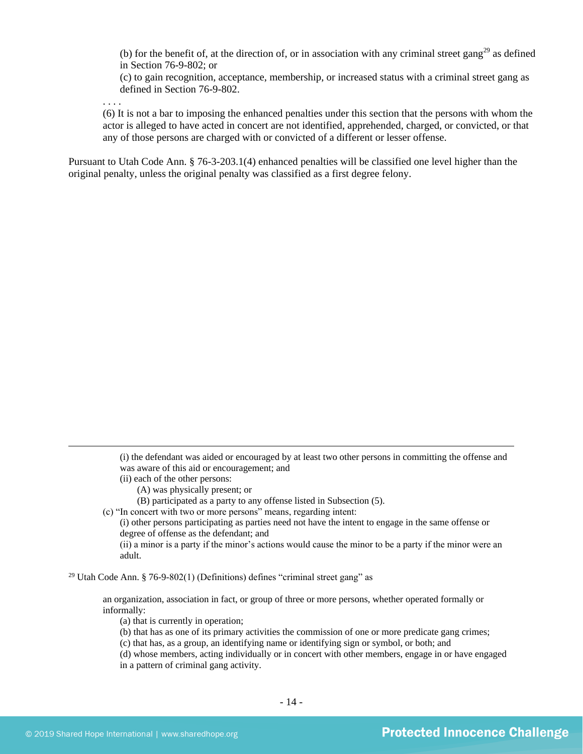(b) for the benefit of, at the direction of, or in association with any criminal street gang<sup>29</sup> as defined in Section 76-9-802; or

(c) to gain recognition, acceptance, membership, or increased status with a criminal street gang as defined in Section 76-9-802.

. . . .

(6) It is not a bar to imposing the enhanced penalties under this section that the persons with whom the actor is alleged to have acted in concert are not identified, apprehended, charged, or convicted, or that any of those persons are charged with or convicted of a different or lesser offense.

Pursuant to Utah Code Ann. § 76-3-203.1(4) enhanced penalties will be classified one level higher than the original penalty, unless the original penalty was classified as a first degree felony.

> (i) the defendant was aided or encouraged by at least two other persons in committing the offense and was aware of this aid or encouragement; and

- (ii) each of the other persons:
	- (A) was physically present; or
	- (B) participated as a party to any offense listed in Subsection (5).
- (c) "In concert with two or more persons" means, regarding intent:

(i) other persons participating as parties need not have the intent to engage in the same offense or degree of offense as the defendant; and

(ii) a minor is a party if the minor's actions would cause the minor to be a party if the minor were an adult.

<sup>29</sup> Utah Code Ann. § 76-9-802(1) (Definitions) defines "criminal street gang" as

an organization, association in fact, or group of three or more persons, whether operated formally or informally:

(a) that is currently in operation;

(b) that has as one of its primary activities the commission of one or more predicate gang crimes;

(c) that has, as a group, an identifying name or identifying sign or symbol, or both; and

(d) whose members, acting individually or in concert with other members, engage in or have engaged in a pattern of criminal gang activity.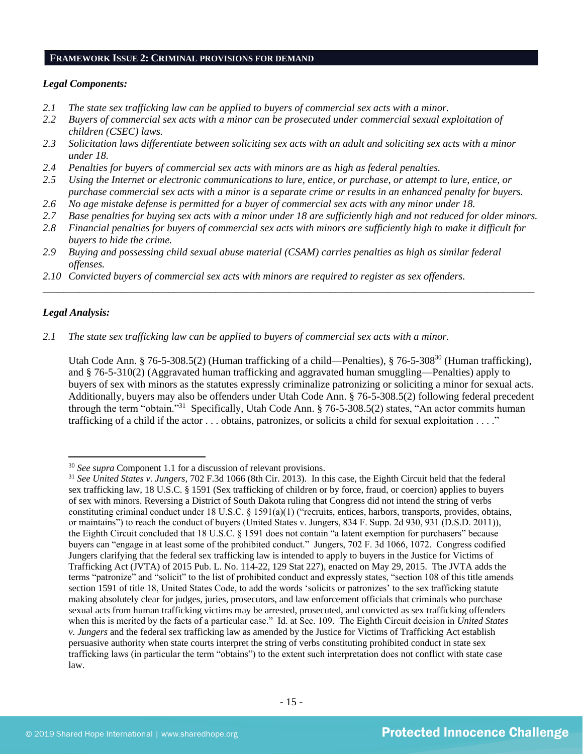#### **FRAMEWORK ISSUE 2: CRIMINAL PROVISIONS FOR DEMAND**

## *Legal Components:*

- *2.1 The state sex trafficking law can be applied to buyers of commercial sex acts with a minor.*
- *2.2 Buyers of commercial sex acts with a minor can be prosecuted under commercial sexual exploitation of children (CSEC) laws.*
- *2.3 Solicitation laws differentiate between soliciting sex acts with an adult and soliciting sex acts with a minor under 18.*
- *2.4 Penalties for buyers of commercial sex acts with minors are as high as federal penalties.*
- *2.5 Using the Internet or electronic communications to lure, entice, or purchase, or attempt to lure, entice, or purchase commercial sex acts with a minor is a separate crime or results in an enhanced penalty for buyers.*
- *2.6 No age mistake defense is permitted for a buyer of commercial sex acts with any minor under 18.*
- *2.7 Base penalties for buying sex acts with a minor under 18 are sufficiently high and not reduced for older minors.*
- *2.8 Financial penalties for buyers of commercial sex acts with minors are sufficiently high to make it difficult for buyers to hide the crime.*

\_\_\_\_\_\_\_\_\_\_\_\_\_\_\_\_\_\_\_\_\_\_\_\_\_\_\_\_\_\_\_\_\_\_\_\_\_\_\_\_\_\_\_\_\_\_\_\_\_\_\_\_\_\_\_\_\_\_\_\_\_\_\_\_\_\_\_\_\_\_\_\_\_\_\_\_\_\_\_\_\_\_\_\_\_\_\_\_\_\_\_\_\_\_

- *2.9 Buying and possessing child sexual abuse material (CSAM) carries penalties as high as similar federal offenses.*
- *2.10 Convicted buyers of commercial sex acts with minors are required to register as sex offenders.*

## *Legal Analysis:*

*2.1 The state sex trafficking law can be applied to buyers of commercial sex acts with a minor.*

Utah Code Ann. § 76-5-308.5(2) (Human trafficking of a child—Penalties), § 76-5-308<sup>30</sup> (Human trafficking), and § 76-5-310(2) (Aggravated human trafficking and aggravated human smuggling—Penalties) apply to buyers of sex with minors as the statutes expressly criminalize patronizing or soliciting a minor for sexual acts. Additionally, buyers may also be offenders under Utah Code Ann. § 76-5-308.5(2) following federal precedent through the term "obtain."<sup>31</sup> Specifically, Utah Code Ann. § 76-5-308.5(2) states, "An actor commits human trafficking of a child if the actor . . . obtains, patronizes, or solicits a child for sexual exploitation . . . ."

<sup>30</sup> *See supra* Component 1.1 for a discussion of relevant provisions.

<sup>31</sup> *See United States v. Jungers*, 702 F.3d 1066 (8th Cir. 2013). In this case, the Eighth Circuit held that the federal sex trafficking law, 18 U.S.C. § 1591 (Sex trafficking of children or by force, fraud, or coercion) applies to buyers of sex with minors. Reversing a District of South Dakota ruling that Congress did not intend the string of verbs constituting criminal conduct under 18 U.S.C. § 1591(a)(1) ("recruits, entices, harbors, transports, provides, obtains, or maintains") to reach the conduct of buyers (United States v. Jungers, 834 F. Supp. 2d 930, 931 (D.S.D. 2011)), the Eighth Circuit concluded that 18 U.S.C. § 1591 does not contain "a latent exemption for purchasers" because buyers can "engage in at least some of the prohibited conduct." Jungers, 702 F. 3d 1066, 1072. Congress codified Jungers clarifying that the federal sex trafficking law is intended to apply to buyers in the Justice for Victims of Trafficking Act (JVTA) of 2015 Pub. L. No. 114-22, 129 Stat 227), enacted on May 29, 2015. The JVTA adds the terms "patronize" and "solicit" to the list of prohibited conduct and expressly states, "section 108 of this title amends section 1591 of title 18, United States Code, to add the words 'solicits or patronizes' to the sex trafficking statute making absolutely clear for judges, juries, prosecutors, and law enforcement officials that criminals who purchase sexual acts from human trafficking victims may be arrested, prosecuted, and convicted as sex trafficking offenders when this is merited by the facts of a particular case." Id. at Sec. 109. The Eighth Circuit decision in *United States v. Jungers* and the federal sex trafficking law as amended by the Justice for Victims of Trafficking Act establish persuasive authority when state courts interpret the string of verbs constituting prohibited conduct in state sex trafficking laws (in particular the term "obtains") to the extent such interpretation does not conflict with state case law.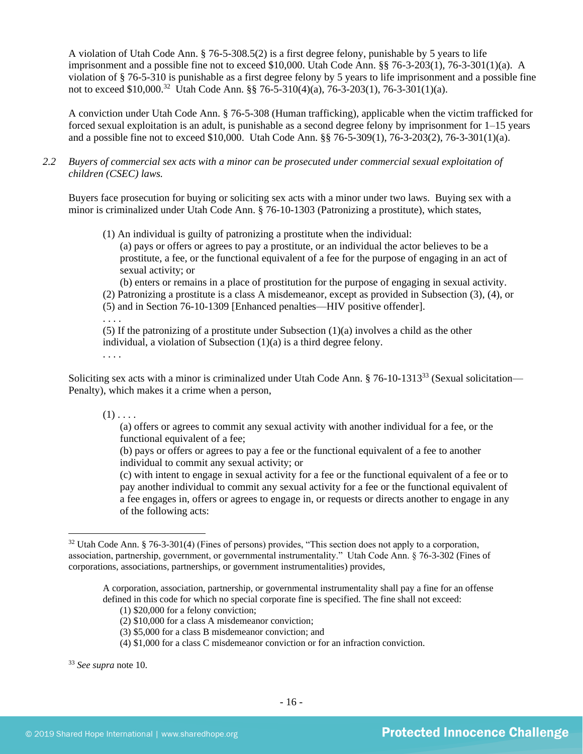A violation of Utah Code Ann. § 76-5-308.5(2) is a first degree felony, punishable by 5 years to life imprisonment and a possible fine not to exceed \$10,000. Utah Code Ann. §§ 76-3-203(1), 76-3-301(1)(a). A violation of § 76-5-310 is punishable as a first degree felony by 5 years to life imprisonment and a possible fine not to exceed \$10,000.<sup>32</sup> Utah Code Ann. §§ 76-5-310(4)(a), 76-3-203(1), 76-3-301(1)(a).

A conviction under Utah Code Ann. § 76-5-308 (Human trafficking), applicable when the victim trafficked for forced sexual exploitation is an adult, is punishable as a second degree felony by imprisonment for 1–15 years and a possible fine not to exceed \$10,000. Utah Code Ann. §§ 76-5-309(1), 76-3-203(2), 76-3-301(1)(a).

*2.2 Buyers of commercial sex acts with a minor can be prosecuted under commercial sexual exploitation of children (CSEC) laws.*

Buyers face prosecution for buying or soliciting sex acts with a minor under two laws. Buying sex with a minor is criminalized under Utah Code Ann. § 76-10-1303 (Patronizing a prostitute), which states,

(1) An individual is guilty of patronizing a prostitute when the individual:

(a) pays or offers or agrees to pay a prostitute, or an individual the actor believes to be a prostitute, a fee, or the functional equivalent of a fee for the purpose of engaging in an act of sexual activity; or

(b) enters or remains in a place of prostitution for the purpose of engaging in sexual activity. (2) Patronizing a prostitute is a class A misdemeanor, except as provided in Subsection (3), (4), or

(5) and in Section 76-10-1309 [Enhanced penalties—HIV positive offender].

. . . .

(5) If the patronizing of a prostitute under Subsection (1)(a) involves a child as the other individual, a violation of Subsection (1)(a) is a third degree felony.

. . . .

Soliciting sex acts with a minor is criminalized under Utah Code Ann. § 76-10-1313<sup>33</sup> (Sexual solicitation— Penalty), which makes it a crime when a person,

 $(1)$ ...

(a) offers or agrees to commit any sexual activity with another individual for a fee, or the functional equivalent of a fee;

(b) pays or offers or agrees to pay a fee or the functional equivalent of a fee to another individual to commit any sexual activity; or

(c) with intent to engage in sexual activity for a fee or the functional equivalent of a fee or to pay another individual to commit any sexual activity for a fee or the functional equivalent of a fee engages in, offers or agrees to engage in, or requests or directs another to engage in any of the following acts:

<sup>32</sup> Utah Code Ann. § 76-3-301(4) (Fines of persons) provides, "This section does not apply to a corporation, association, partnership, government, or governmental instrumentality." Utah Code Ann. § 76-3-302 (Fines of corporations, associations, partnerships, or government instrumentalities) provides,

A corporation, association, partnership, or governmental instrumentality shall pay a fine for an offense defined in this code for which no special corporate fine is specified. The fine shall not exceed:

<sup>(1) \$20,000</sup> for a felony conviction;

<sup>(2) \$10,000</sup> for a class A misdemeanor conviction;

<sup>(3) \$5,000</sup> for a class B misdemeanor conviction; and

<sup>(4) \$1,000</sup> for a class C misdemeanor conviction or for an infraction conviction.

<sup>33</sup> *See supra* note [10.](#page-5-0)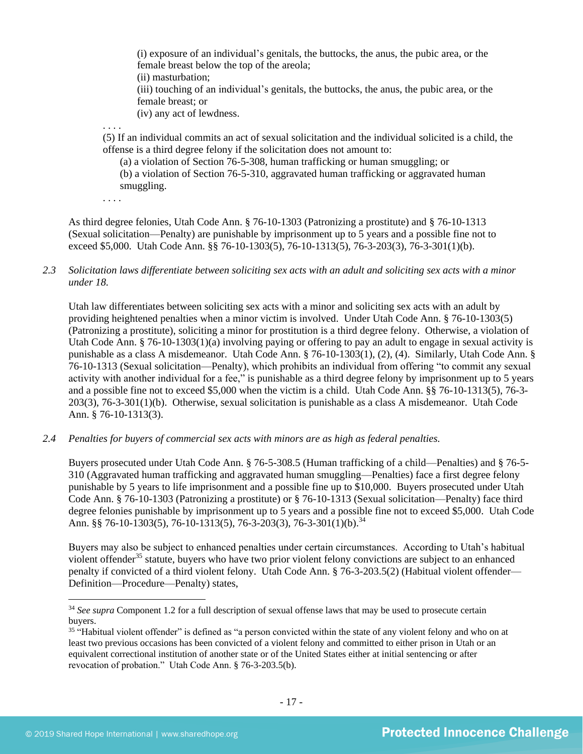(i) exposure of an individual's genitals, the buttocks, the anus, the pubic area, or the female breast below the top of the areola; (ii) masturbation; (iii) touching of an individual's genitals, the buttocks, the anus, the pubic area, or the female breast; or (iv) any act of lewdness.

(5) If an individual commits an act of sexual solicitation and the individual solicited is a child, the offense is a third degree felony if the solicitation does not amount to:

(a) a violation of Section 76-5-308, human trafficking or human smuggling; or (b) a violation of Section 76-5-310, aggravated human trafficking or aggravated human smuggling.

. . . .

. . . .

As third degree felonies, Utah Code Ann. § 76-10-1303 (Patronizing a prostitute) and § 76-10-1313 (Sexual solicitation—Penalty) are punishable by imprisonment up to 5 years and a possible fine not to exceed \$5,000. Utah Code Ann. §§ 76-10-1303(5), 76-10-1313(5), 76-3-203(3), 76-3-301(1)(b).

## *2.3 Solicitation laws differentiate between soliciting sex acts with an adult and soliciting sex acts with a minor under 18.*

Utah law differentiates between soliciting sex acts with a minor and soliciting sex acts with an adult by providing heightened penalties when a minor victim is involved. Under Utah Code Ann. § 76-10-1303(5) (Patronizing a prostitute), soliciting a minor for prostitution is a third degree felony. Otherwise, a violation of Utah Code Ann. § 76-10-1303(1)(a) involving paying or offering to pay an adult to engage in sexual activity is punishable as a class A misdemeanor. Utah Code Ann. § 76-10-1303(1), (2), (4). Similarly, Utah Code Ann. § 76-10-1313 (Sexual solicitation—Penalty), which prohibits an individual from offering "to commit any sexual activity with another individual for a fee," is punishable as a third degree felony by imprisonment up to 5 years and a possible fine not to exceed \$5,000 when the victim is a child. Utah Code Ann. §§ 76-10-1313(5), 76-3- 203(3), 76-3-301(1)(b). Otherwise, sexual solicitation is punishable as a class A misdemeanor. Utah Code Ann. § 76-10-1313(3).

*2.4 Penalties for buyers of commercial sex acts with minors are as high as federal penalties.*

Buyers prosecuted under Utah Code Ann. § 76-5-308.5 (Human trafficking of a child—Penalties) and § 76-5- 310 (Aggravated human trafficking and aggravated human smuggling—Penalties) face a first degree felony punishable by 5 years to life imprisonment and a possible fine up to \$10,000. Buyers prosecuted under Utah Code Ann. § 76-10-1303 (Patronizing a prostitute) or § 76-10-1313 (Sexual solicitation—Penalty) face third degree felonies punishable by imprisonment up to 5 years and a possible fine not to exceed \$5,000. Utah Code Ann. §§ 76-10-1303(5), 76-10-1313(5), 76-3-203(3), 76-3-301(1)(b).<sup>34</sup>

Buyers may also be subject to enhanced penalties under certain circumstances. According to Utah's habitual violent offender<sup>35</sup> statute, buyers who have two prior violent felony convictions are subject to an enhanced penalty if convicted of a third violent felony. Utah Code Ann. § 76-3-203.5(2) (Habitual violent offender— Definition—Procedure—Penalty) states,

<sup>&</sup>lt;sup>34</sup> See supra Component 1.2 for a full description of sexual offense laws that may be used to prosecute certain buyers.

<sup>&</sup>lt;sup>35</sup> "Habitual violent offender" is defined as "a person convicted within the state of any violent felony and who on at least two previous occasions has been convicted of a violent felony and committed to either prison in Utah or an equivalent correctional institution of another state or of the United States either at initial sentencing or after revocation of probation." Utah Code Ann. § 76-3-203.5(b).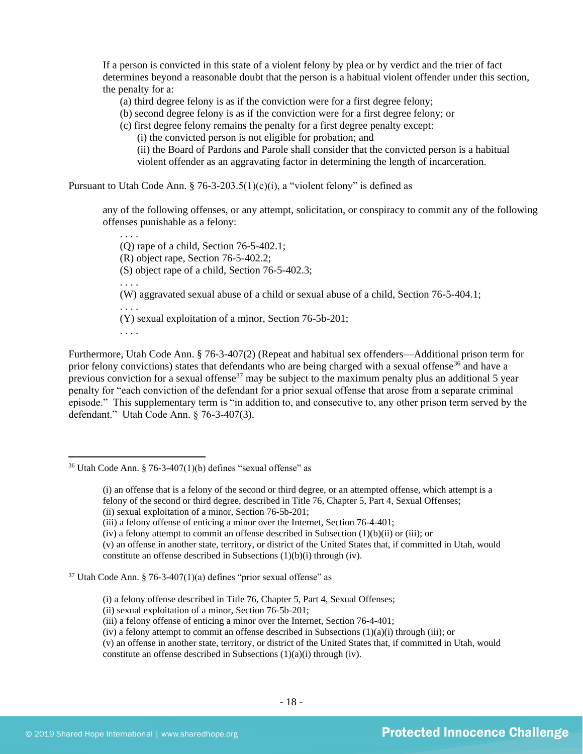If a person is convicted in this state of a violent felony by plea or by verdict and the trier of fact determines beyond a reasonable doubt that the person is a habitual violent offender under this section, the penalty for a:

(a) third degree felony is as if the conviction were for a first degree felony;

(b) second degree felony is as if the conviction were for a first degree felony; or

(c) first degree felony remains the penalty for a first degree penalty except:

(i) the convicted person is not eligible for probation; and

(ii) the Board of Pardons and Parole shall consider that the convicted person is a habitual violent offender as an aggravating factor in determining the length of incarceration.

Pursuant to Utah Code Ann.  $\S$  76-3-203.5(1)(c)(i), a "violent felony" is defined as

any of the following offenses, or any attempt, solicitation, or conspiracy to commit any of the following offenses punishable as a felony:

. . . . (Q) rape of a child, Section 76-5-402.1; (R) object rape, Section 76-5-402.2; (S) object rape of a child, Section 76-5-402.3; . . . . (W) aggravated sexual abuse of a child or sexual abuse of a child, Section 76-5-404.1; . . . . (Y) sexual exploitation of a minor, Section 76-5b-201; . . . .

Furthermore, Utah Code Ann. § 76-3-407(2) (Repeat and habitual sex offenders—Additional prison term for prior felony convictions) states that defendants who are being charged with a sexual offense<sup>36</sup> and have a previous conviction for a sexual offense<sup>37</sup> may be subject to the maximum penalty plus an additional 5 year penalty for "each conviction of the defendant for a prior sexual offense that arose from a separate criminal episode." This supplementary term is "in addition to, and consecutive to, any other prison term served by the defendant." Utah Code Ann. § 76-3-407(3).

(iv) a felony attempt to commit an offense described in Subsection (1)(b)(ii) or (iii); or

(v) an offense in another state, territory, or district of the United States that, if committed in Utah, would constitute an offense described in Subsections (1)(b)(i) through (iv).

(i) a felony offense described in Title 76, Chapter 5, Part 4, Sexual Offenses;

(v) an offense in another state, territory, or district of the United States that, if committed in Utah, would constitute an offense described in Subsections (1)(a)(i) through (iv).

 $36$  Utah Code Ann. § 76-3-407(1)(b) defines "sexual offense" as

<sup>(</sup>i) an offense that is a felony of the second or third degree, or an attempted offense, which attempt is a felony of the second or third degree, described in Title 76, Chapter 5, Part 4, Sexual Offenses;

<sup>(</sup>ii) sexual exploitation of a minor, Section 76-5b-201;

<sup>(</sup>iii) a felony offense of enticing a minor over the Internet, Section 76-4-401;

 $37$  Utah Code Ann. § 76-3-407(1)(a) defines "prior sexual offense" as

<sup>(</sup>ii) sexual exploitation of a minor, Section 76-5b-201;

<sup>(</sup>iii) a felony offense of enticing a minor over the Internet, Section 76-4-401;

<sup>(</sup>iv) a felony attempt to commit an offense described in Subsections  $(1)(a)(i)$  through (iii); or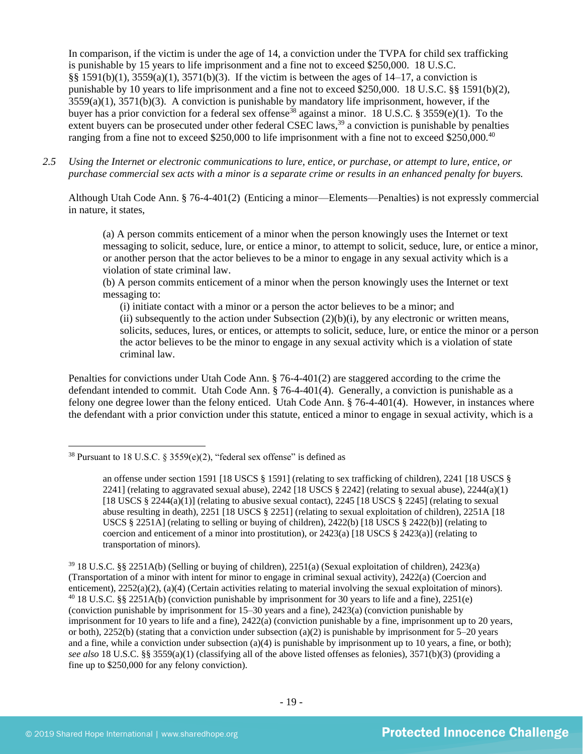In comparison, if the victim is under the age of 14, a conviction under the TVPA for child sex trafficking is punishable by 15 years to life imprisonment and a fine not to exceed \$250,000. 18 U.S.C. §§ 1591(b)(1),  $3559(a)(1)$ ,  $3571(b)(3)$ . If the victim is between the ages of 14–17, a conviction is punishable by 10 years to life imprisonment and a fine not to exceed \$250,000. 18 U.S.C. §§ 1591(b)(2), 3559(a)(1), 3571(b)(3). A conviction is punishable by mandatory life imprisonment, however, if the buyer has a prior conviction for a federal sex offense<sup>38</sup> against a minor. 18 U.S.C. § 3559(e)(1). To the extent buyers can be prosecuted under other federal CSEC laws,<sup>39</sup> a conviction is punishable by penalties ranging from a fine not to exceed \$250,000 to life imprisonment with a fine not to exceed \$250,000.<sup>40</sup>

*2.5 Using the Internet or electronic communications to lure, entice, or purchase, or attempt to lure, entice, or purchase commercial sex acts with a minor is a separate crime or results in an enhanced penalty for buyers.*

Although Utah Code Ann. § 76-4-401(2) (Enticing a minor—Elements—Penalties) is not expressly commercial in nature, it states,

<span id="page-18-0"></span>(a) A person commits enticement of a minor when the person knowingly uses the Internet or text messaging to solicit, seduce, lure, or entice a minor, to attempt to solicit, seduce, lure, or entice a minor, or another person that the actor believes to be a minor to engage in any sexual activity which is a violation of state criminal law.

(b) A person commits enticement of a minor when the person knowingly uses the Internet or text messaging to:

(i) initiate contact with a minor or a person the actor believes to be a minor; and (ii) subsequently to the action under Subsection  $(2)(b)(i)$ , by any electronic or written means, solicits, seduces, lures, or entices, or attempts to solicit, seduce, lure, or entice the minor or a person the actor believes to be the minor to engage in any sexual activity which is a violation of state criminal law.

Penalties for convictions under Utah Code Ann. § 76-4-401(2) are staggered according to the crime the defendant intended to commit. Utah Code Ann. § 76-4-401(4). Generally, a conviction is punishable as a felony one degree lower than the felony enticed. Utah Code Ann. § 76-4-401(4). However, in instances where the defendant with a prior conviction under this statute, enticed a minor to engage in sexual activity, which is a

<sup>&</sup>lt;sup>38</sup> Pursuant to 18 U.S.C. § 3559(e)(2), "federal sex offense" is defined as

an offense under section 1591 [18 USCS § 1591] (relating to sex trafficking of children), 2241 [18 USCS § 2241] (relating to aggravated sexual abuse), 2242 [18 USCS  $\S$  2242] (relating to sexual abuse), 2244(a)(1) [18 USCS  $\S 2244(a)(1)$ ] (relating to abusive sexual contact), 2245 [18 USCS  $\S 2245$ ] (relating to sexual abuse resulting in death), 2251 [18 USCS § 2251] (relating to sexual exploitation of children), 2251A [18 USCS § 2251A] (relating to selling or buying of children), 2422(b) [18 USCS § 2422(b)] (relating to coercion and enticement of a minor into prostitution), or  $2423(a)$  [18 USCS §  $2423(a)$ ] (relating to transportation of minors).

<sup>39</sup> 18 U.S.C. §§ 2251A(b) (Selling or buying of children), 2251(a) (Sexual exploitation of children), 2423(a) (Transportation of a minor with intent for minor to engage in criminal sexual activity), 2422(a) (Coercion and enticement), 2252(a)(2), (a)(4) (Certain activities relating to material involving the sexual exploitation of minors). <sup>40</sup> 18 U.S.C. §§ 2251A(b) (conviction punishable by imprisonment for 30 years to life and a fine), 2251(e) (conviction punishable by imprisonment for 15–30 years and a fine), 2423(a) (conviction punishable by imprisonment for 10 years to life and a fine), 2422(a) (conviction punishable by a fine, imprisonment up to 20 years, or both),  $2252(b)$  (stating that a conviction under subsection (a)(2) is punishable by imprisonment for  $5-20$  years and a fine, while a conviction under subsection (a)(4) is punishable by imprisonment up to 10 years, a fine, or both); *see also* 18 U.S.C. §§ 3559(a)(1) (classifying all of the above listed offenses as felonies), 3571(b)(3) (providing a fine up to \$250,000 for any felony conviction).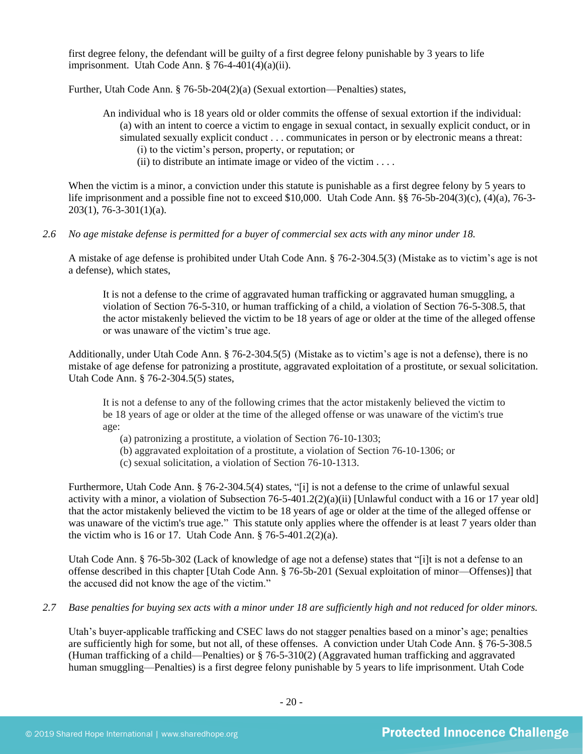first degree felony, the defendant will be guilty of a first degree felony punishable by 3 years to life imprisonment. Utah Code Ann.  $\S$  76-4-401(4)(a)(ii).

Further, Utah Code Ann. § 76-5b-204(2)(a) (Sexual extortion—Penalties) states,

- An individual who is 18 years old or older commits the offense of sexual extortion if the individual: (a) with an intent to coerce a victim to engage in sexual contact, in sexually explicit conduct, or in simulated sexually explicit conduct . . . communicates in person or by electronic means a threat: (i) to the victim's person, property, or reputation; or
	- (ii) to distribute an intimate image or video of the victim  $\dots$

When the victim is a minor, a conviction under this statute is punishable as a first degree felony by 5 years to life imprisonment and a possible fine not to exceed \$10,000. Utah Code Ann. §§ 76-5b-204(3)(c), (4)(a), 76-3-  $203(1)$ , 76-3-301(1)(a).

## *2.6 No age mistake defense is permitted for a buyer of commercial sex acts with any minor under 18.*

A mistake of age defense is prohibited under Utah Code Ann. § 76-2-304.5(3) (Mistake as to victim's age is not a defense), which states,

It is not a defense to the crime of aggravated human trafficking or aggravated human smuggling, a violation of Section 76-5-310, or human trafficking of a child, a violation of Section 76-5-308.5, that the actor mistakenly believed the victim to be 18 years of age or older at the time of the alleged offense or was unaware of the victim's true age.

Additionally, under Utah Code Ann. § 76-2-304.5(5) (Mistake as to victim's age is not a defense), there is no mistake of age defense for patronizing a prostitute, aggravated exploitation of a prostitute, or sexual solicitation. Utah Code Ann. § 76-2-304.5(5) states,

It is not a defense to any of the following crimes that the actor mistakenly believed the victim to be 18 years of age or older at the time of the alleged offense or was unaware of the victim's true age:

- (a) patronizing a prostitute, a violation of Section 76-10-1303;
- (b) aggravated exploitation of a prostitute, a violation of Section 76-10-1306; or
- (c) sexual solicitation, a violation of Section 76-10-1313.

Furthermore, Utah Code Ann. § 76-2-304.5(4) states, "[i] is not a defense to the crime of unlawful sexual activity with a minor, a violation of Subsection 76-5-401.2(2)(a)(ii) [Unlawful conduct with a 16 or 17 year old] that the actor mistakenly believed the victim to be 18 years of age or older at the time of the alleged offense or was unaware of the victim's true age." This statute only applies where the offender is at least 7 years older than the victim who is 16 or 17. Utah Code Ann. § 76-5-401.2(2)(a).

Utah Code Ann. § 76-5b-302 (Lack of knowledge of age not a defense) states that "[i]t is not a defense to an offense described in this chapter [Utah Code Ann. § 76-5b-201 (Sexual exploitation of minor—Offenses)] that the accused did not know the age of the victim."

*2.7 Base penalties for buying sex acts with a minor under 18 are sufficiently high and not reduced for older minors.*

Utah's buyer-applicable trafficking and CSEC laws do not stagger penalties based on a minor's age; penalties are sufficiently high for some, but not all, of these offenses. A conviction under Utah Code Ann. § 76-5-308.5 (Human trafficking of a child—Penalties) or § 76-5-310(2) (Aggravated human trafficking and aggravated human smuggling—Penalties) is a first degree felony punishable by 5 years to life imprisonment. Utah Code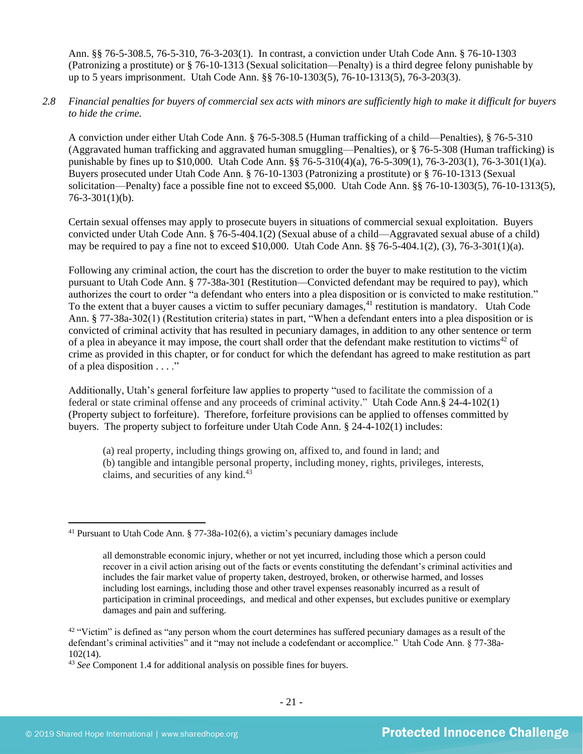Ann. §§ 76-5-308.5, 76-5-310, 76-3-203(1). In contrast, a conviction under Utah Code Ann. § 76-10-1303 (Patronizing a prostitute) or § 76-10-1313 (Sexual solicitation—Penalty) is a third degree felony punishable by up to 5 years imprisonment. Utah Code Ann. §§ 76-10-1303(5), 76-10-1313(5), 76-3-203(3).

*2.8 Financial penalties for buyers of commercial sex acts with minors are sufficiently high to make it difficult for buyers to hide the crime.* 

A conviction under either Utah Code Ann. § 76-5-308.5 (Human trafficking of a child—Penalties), § 76-5-310 (Aggravated human trafficking and aggravated human smuggling—Penalties), or § 76-5-308 (Human trafficking) is punishable by fines up to \$10,000. Utah Code Ann. §§ 76-5-310(4)(a), 76-5-309(1), 76-3-203(1), 76-3-301(1)(a). Buyers prosecuted under Utah Code Ann. § 76-10-1303 (Patronizing a prostitute) or § 76-10-1313 (Sexual solicitation—Penalty) face a possible fine not to exceed \$5,000. Utah Code Ann. §§ 76-10-1303(5), 76-10-1313(5),  $76 - 3 - 301(1)(b)$ .

Certain sexual offenses may apply to prosecute buyers in situations of commercial sexual exploitation. Buyers convicted under Utah Code Ann. § 76-5-404.1(2) (Sexual abuse of a child—Aggravated sexual abuse of a child) may be required to pay a fine not to exceed \$10,000. Utah Code Ann.  $\S$ § 76-5-404.1(2), (3), 76-3-301(1)(a).

Following any criminal action, the court has the discretion to order the buyer to make restitution to the victim pursuant to Utah Code Ann. § 77-38a-301 (Restitution—Convicted defendant may be required to pay), which authorizes the court to order "a defendant who enters into a plea disposition or is convicted to make restitution." To the extent that a buyer causes a victim to suffer pecuniary damages,<sup>41</sup> restitution is mandatory. Utah Code Ann. § 77-38a-302(1) (Restitution criteria) states in part, "When a defendant enters into a plea disposition or is convicted of criminal activity that has resulted in pecuniary damages, in addition to any other sentence or term of a plea in abeyance it may impose, the court shall order that the defendant make restitution to victims<sup>42</sup> of crime as provided in this chapter, or for conduct for which the defendant has agreed to make restitution as part of a plea disposition . . . ."

Additionally, Utah's general forfeiture law applies to property "used to facilitate the commission of a federal or state criminal offense and any proceeds of criminal activity." Utah Code Ann.§ 24-4-102(1) (Property subject to forfeiture). Therefore, forfeiture provisions can be applied to offenses committed by buyers. The property subject to forfeiture under Utah Code Ann. § 24-4-102(1) includes:

(a) real property, including things growing on, affixed to, and found in land; and (b) tangible and intangible personal property, including money, rights, privileges, interests, claims, and securities of any kind.<sup>43</sup>

<sup>41</sup> Pursuant to Utah Code Ann. § 77-38a-102(6), a victim's pecuniary damages include

all demonstrable economic injury, whether or not yet incurred, including those which a person could recover in a civil action arising out of the facts or events constituting the defendant's criminal activities and includes the fair market value of property taken, destroyed, broken, or otherwise harmed, and losses including lost earnings, including those and other travel expenses reasonably incurred as a result of participation in criminal proceedings, and medical and other expenses, but excludes punitive or exemplary damages and pain and suffering.

<sup>&</sup>lt;sup>42</sup> "Victim" is defined as "any person whom the court determines has suffered pecuniary damages as a result of the defendant's criminal activities" and it "may not include a codefendant or accomplice." Utah Code Ann. § 77-38a-102(14).

<sup>43</sup> *See* Component 1.4 for additional analysis on possible fines for buyers.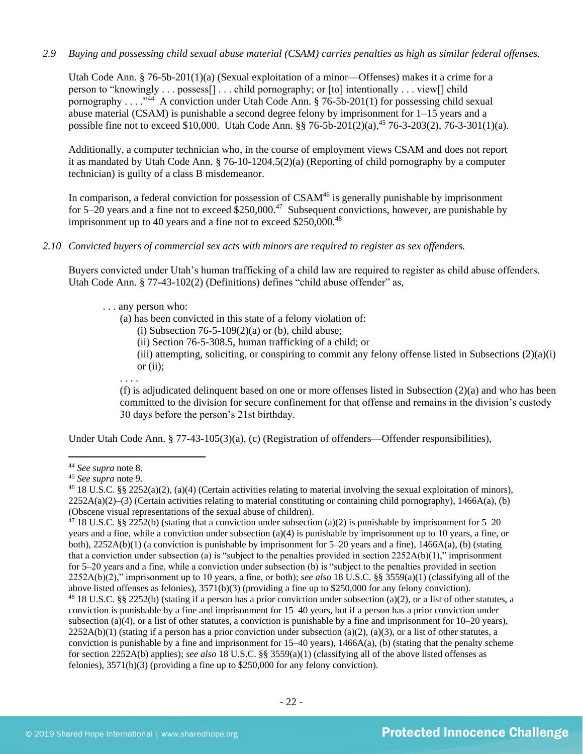## *2.9 Buying and possessing child sexual abuse material (CSAM) carries penalties as high as similar federal offenses.*

Utah Code Ann. § 76-5b-201(1)(a) (Sexual exploitation of a minor—Offenses) makes it a crime for a person to "knowingly . . . possess[] . . . child pornography; or [to] intentionally . . . view[] child pornography . . . . "<sup>44</sup> A conviction under Utah Code Ann. § 76-5b-201(1) for possessing child sexual abuse material (CSAM) is punishable a second degree felony by imprisonment for  $1-15$  years and a possible fine not to exceed \$10,000. Utah Code Ann. §§ 76-5b-201(2)(a),<sup>45</sup> 76-3-203(2), 76-3-301(1)(a).

Additionally, a computer technician who, in the course of employment views CSAM and does not report it as mandated by Utah Code Ann. § 76-10-1204.5(2)(a) (Reporting of child pornography by a computer technician) is guilty of a class B misdemeanor.

In comparison, a federal conviction for possession of  $CSAM<sup>46</sup>$  is generally punishable by imprisonment for 5–20 years and a fine not to exceed  $$250,000.<sup>47</sup>$  Subsequent convictions, however, are punishable by imprisonment up to 40 years and a fine not to exceed  $$250,000.<sup>48</sup>$ 

## *2.10 Convicted buyers of commercial sex acts with minors are required to register as sex offenders.*

Buyers convicted under Utah's human trafficking of a child law are required to register as child abuse offenders. Utah Code Ann. § 77-43-102(2) (Definitions) defines "child abuse offender" as,

## . . . any person who:

- (a) has been convicted in this state of a felony violation of:
	- (i) Subsection  $76-5-109(2)(a)$  or (b), child abuse;
	- (ii) Section 76-5-308.5, human trafficking of a child; or
	- (iii) attempting, soliciting, or conspiring to commit any felony offense listed in Subsections  $(2)(a)(i)$ or  $(ii)$ ;
- . . . .

(f) is adjudicated delinquent based on one or more offenses listed in Subsection (2)(a) and who has been committed to the division for secure confinement for that offense and remains in the division's custody 30 days before the person's 21st birthday.

Under Utah Code Ann. § 77-43-105(3)(a), (c) (Registration of offenders—Offender responsibilities),

<sup>44</sup> *See supra* note [8.](#page-4-0) 

<sup>45</sup> *See supra* note [9.](#page-4-1)

<sup>&</sup>lt;sup>46</sup> 18 U.S.C. §§ 2252(a)(2), (a)(4) (Certain activities relating to material involving the sexual exploitation of minors),  $2252A(a)(2)$ –(3) (Certain activities relating to material constituting or containing child pornography), 1466A(a), (b) (Obscene visual representations of the sexual abuse of children).

<sup>&</sup>lt;sup>47</sup> 18 U.S.C. §§ 2252(b) (stating that a conviction under subsection (a)(2) is punishable by imprisonment for 5–20 years and a fine, while a conviction under subsection (a)(4) is punishable by imprisonment up to 10 years, a fine, or both), 2252A(b)(1) (a conviction is punishable by imprisonment for 5–20 years and a fine), 1466A(a), (b) (stating that a conviction under subsection (a) is "subject to the penalties provided in section  $2252A(b)(1)$ ," imprisonment for 5–20 years and a fine, while a conviction under subsection (b) is "subject to the penalties provided in section 2252A(b)(2)," imprisonment up to 10 years, a fine, or both); *see also* 18 U.S.C. §§ 3559(a)(1) (classifying all of the above listed offenses as felonies), 3571(b)(3) (providing a fine up to \$250,000 for any felony conviction). <sup>48</sup> 18 U.S.C. §§ 2252(b) (stating if a person has a prior conviction under subsection (a)(2), or a list of other statutes, a conviction is punishable by a fine and imprisonment for 15–40 years, but if a person has a prior conviction under subsection (a)(4), or a list of other statutes, a conviction is punishable by a fine and imprisonment for  $10-20$  years),  $2252A(b)(1)$  (stating if a person has a prior conviction under subsection (a)(2), (a)(3), or a list of other statutes, a conviction is punishable by a fine and imprisonment for  $15-40$  years),  $1466A(a)$ , (b) (stating that the penalty scheme for section 2252A(b) applies); *see also* 18 U.S.C. §§ 3559(a)(1) (classifying all of the above listed offenses as felonies), 3571(b)(3) (providing a fine up to \$250,000 for any felony conviction).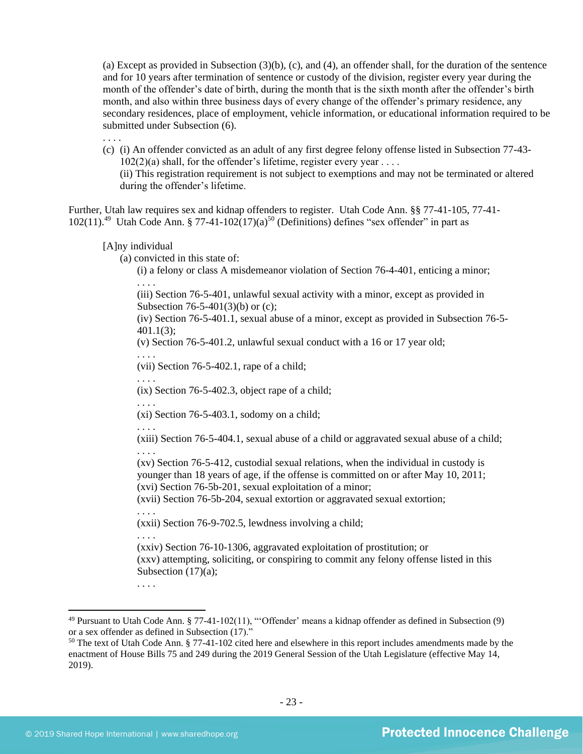(a) Except as provided in Subsection (3)(b), (c), and (4), an offender shall, for the duration of the sentence and for 10 years after termination of sentence or custody of the division, register every year during the month of the offender's date of birth, during the month that is the sixth month after the offender's birth month, and also within three business days of every change of the offender's primary residence, any secondary residences, place of employment, vehicle information, or educational information required to be submitted under Subsection (6).

(c) (i) An offender convicted as an adult of any first degree felony offense listed in Subsection 77-43-  $102(2)(a)$  shall, for the offender's lifetime, register every year .... (ii) This registration requirement is not subject to exemptions and may not be terminated or altered during the offender's lifetime.

Further, Utah law requires sex and kidnap offenders to register. Utah Code Ann. §§ 77-41-105, 77-41-  $102(11).^{49}$  Utah Code Ann. § 77-41-102(17)(a)<sup>50</sup> (Definitions) defines "sex offender" in part as

#### <span id="page-22-0"></span>[A]ny individual

. . . .

(a) convicted in this state of:

<span id="page-22-1"></span>(i) a felony or class A misdemeanor violation of Section 76-4-401, enticing a minor; . . . .

(iii) Section 76-5-401, unlawful sexual activity with a minor, except as provided in Subsection 76-5-401(3)(b) or (c);

(iv) Section 76-5-401.1, sexual abuse of a minor, except as provided in Subsection 76-5- 401.1(3);

(v) Section 76-5-401.2, unlawful sexual conduct with a 16 or 17 year old;

. . . .

(vii) Section 76-5-402.1, rape of a child;

. . . .

(ix) Section 76-5-402.3, object rape of a child;

. . . .

(xi) Section 76-5-403.1, sodomy on a child;

. . . .

(xiii) Section 76-5-404.1, sexual abuse of a child or aggravated sexual abuse of a child; . . . .

(xv) Section 76-5-412, custodial sexual relations, when the individual in custody is younger than 18 years of age, if the offense is committed on or after May 10, 2011; (xvi) Section 76-5b-201, sexual exploitation of a minor;

(xvii) Section 76-5b-204, sexual extortion or aggravated sexual extortion;

. . . . (xxii) Section 76-9-702.5, lewdness involving a child;

. . . .

(xxiv) Section 76-10-1306, aggravated exploitation of prostitution; or (xxv) attempting, soliciting, or conspiring to commit any felony offense listed in this Subsection  $(17)(a)$ ;

. . . .

 $49$  Pursuant to Utah Code Ann. § 77-41-102(11), "Offender' means a kidnap offender as defined in Subsection (9) or a sex offender as defined in Subsection (17)."

 $50$  The text of Utah Code Ann. § 77-41-102 cited here and elsewhere in this report includes amendments made by the enactment of House Bills 75 and 249 during the 2019 General Session of the Utah Legislature (effective May 14, 2019).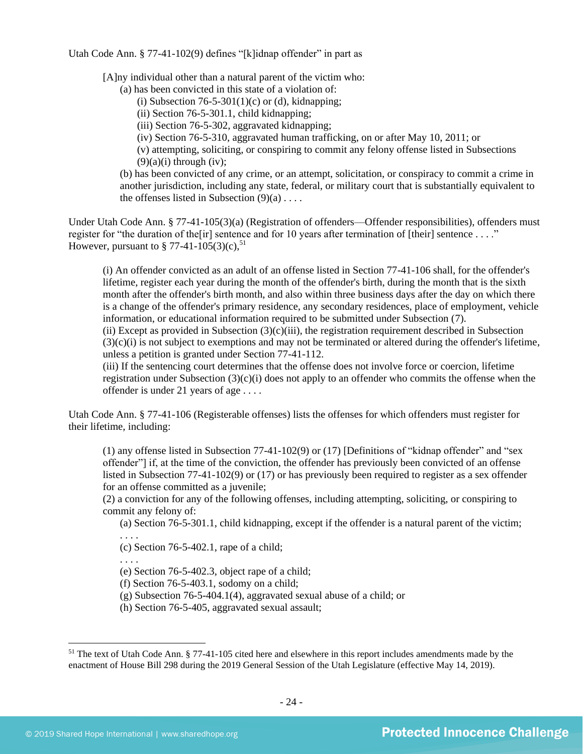Utah Code Ann. § 77-41-102(9) defines "[k]idnap offender" in part as

[A]ny individual other than a natural parent of the victim who:

- (a) has been convicted in this state of a violation of:
	- (i) Subsection  $76-5-301(1)(c)$  or (d), kidnapping;
	- (ii) Section 76-5-301.1, child kidnapping;
	- (iii) Section 76-5-302, aggravated kidnapping;
	- (iv) Section 76-5-310, aggravated human trafficking, on or after May 10, 2011; or

(v) attempting, soliciting, or conspiring to commit any felony offense listed in Subsections  $(9)(a)(i)$  through (iv);

(b) has been convicted of any crime, or an attempt, solicitation, or conspiracy to commit a crime in another jurisdiction, including any state, federal, or military court that is substantially equivalent to the offenses listed in Subsection  $(9)(a)$ ...

Under Utah Code Ann. § 77-41-105(3)(a) (Registration of offenders—Offender responsibilities), offenders must register for "the duration of the [ir] sentence and for 10 years after termination of [their] sentence ...." However, pursuant to  $\S 77-41-105(3)(c)$ ,  $51$ 

(i) An offender convicted as an adult of an offense listed in Section 77-41-106 shall, for the offender's lifetime, register each year during the month of the offender's birth, during the month that is the sixth month after the offender's birth month, and also within three business days after the day on which there is a change of the offender's primary residence, any secondary residences, place of employment, vehicle information, or educational information required to be submitted under Subsection (7).

(ii) Except as provided in Subsection (3)(c)(iii), the registration requirement described in Subsection  $(3)(c)(i)$  is not subject to exemptions and may not be terminated or altered during the offender's lifetime, unless a petition is granted under Section 77-41-112.

(iii) If the sentencing court determines that the offense does not involve force or coercion, lifetime registration under Subsection  $(3)(c)(i)$  does not apply to an offender who commits the offense when the offender is under 21 years of age . . . .

Utah Code Ann. § 77-41-106 (Registerable offenses) lists the offenses for which offenders must register for their lifetime, including:

(1) any offense listed in Subsection 77-41-102(9) or (17) [Definitions of "kidnap offender" and "sex offender"] if, at the time of the conviction, the offender has previously been convicted of an offense listed in Subsection 77-41-102(9) or (17) or has previously been required to register as a sex offender for an offense committed as a juvenile;

(2) a conviction for any of the following offenses, including attempting, soliciting, or conspiring to commit any felony of:

(a) Section 76-5-301.1, child kidnapping, except if the offender is a natural parent of the victim; . . . .

(c) Section 76-5-402.1, rape of a child;

. . . .

(e) Section 76-5-402.3, object rape of a child;

(f) Section 76-5-403.1, sodomy on a child;

(g) Subsection 76-5-404.1(4), aggravated sexual abuse of a child; or

(h) Section 76-5-405, aggravated sexual assault;

 $51$  The text of Utah Code Ann. § 77-41-105 cited here and elsewhere in this report includes amendments made by the enactment of House Bill 298 during the 2019 General Session of the Utah Legislature (effective May 14, 2019).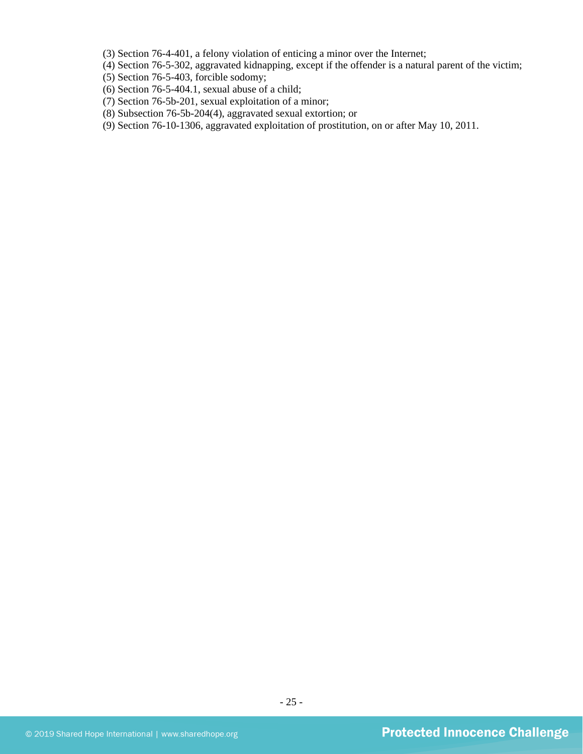(3) Section 76-4-401, a felony violation of enticing a minor over the Internet;

(4) Section 76-5-302, aggravated kidnapping, except if the offender is a natural parent of the victim;

(5) Section 76-5-403, forcible sodomy;

- (6) Section 76-5-404.1, sexual abuse of a child;
- (7) Section 76-5b-201, sexual exploitation of a minor;
- (8) Subsection 76-5b-204(4), aggravated sexual extortion; or
- (9) Section 76-10-1306, aggravated exploitation of prostitution, on or after May 10, 2011.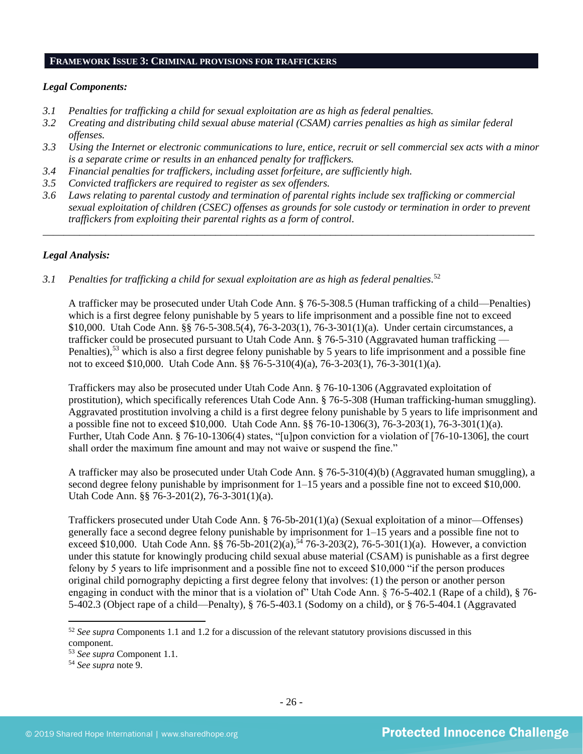## **FRAMEWORK ISSUE 3: CRIMINAL PROVISIONS FOR TRAFFICKERS**

## *Legal Components:*

- *3.1 Penalties for trafficking a child for sexual exploitation are as high as federal penalties.*
- *3.2 Creating and distributing child sexual abuse material (CSAM) carries penalties as high as similar federal offenses.*
- *3.3 Using the Internet or electronic communications to lure, entice, recruit or sell commercial sex acts with a minor is a separate crime or results in an enhanced penalty for traffickers.*
- *3.4 Financial penalties for traffickers, including asset forfeiture, are sufficiently high.*
- *3.5 Convicted traffickers are required to register as sex offenders.*
- *3.6 Laws relating to parental custody and termination of parental rights include sex trafficking or commercial sexual exploitation of children (CSEC) offenses as grounds for sole custody or termination in order to prevent traffickers from exploiting their parental rights as a form of control.*

*\_\_\_\_\_\_\_\_\_\_\_\_\_\_\_\_\_\_\_\_\_\_\_\_\_\_\_\_\_\_\_\_\_\_\_\_\_\_\_\_\_\_\_\_\_\_\_\_\_\_\_\_\_\_\_\_\_\_\_\_\_\_\_\_\_\_\_\_\_\_\_\_\_\_\_\_\_\_\_\_\_\_\_\_\_\_\_\_\_\_\_\_\_\_*

## *Legal Analysis:*

*3.1 Penalties for trafficking a child for sexual exploitation are as high as federal penalties.* 52

A trafficker may be prosecuted under Utah Code Ann. § 76-5-308.5 (Human trafficking of a child—Penalties) which is a first degree felony punishable by 5 years to life imprisonment and a possible fine not to exceed \$10,000. Utah Code Ann. §§ 76-5-308.5(4), 76-3-203(1), 76-3-301(1)(a). Under certain circumstances, a trafficker could be prosecuted pursuant to Utah Code Ann. § 76-5-310 (Aggravated human trafficking — Penalties),<sup>53</sup> which is also a first degree felony punishable by 5 years to life imprisonment and a possible fine not to exceed \$10,000. Utah Code Ann. §§ 76-5-310(4)(a), 76-3-203(1), 76-3-301(1)(a).

Traffickers may also be prosecuted under Utah Code Ann. § 76-10-1306 (Aggravated exploitation of prostitution), which specifically references Utah Code Ann. § 76-5-308 (Human trafficking-human smuggling). Aggravated prostitution involving a child is a first degree felony punishable by 5 years to life imprisonment and a possible fine not to exceed \$10,000. Utah Code Ann. §§ 76-10-1306(3), 76-3-203(1), 76-3-301(1)(a). Further, Utah Code Ann. § 76-10-1306(4) states, "[u]pon conviction for a violation of [76-10-1306], the court shall order the maximum fine amount and may not waive or suspend the fine."

A trafficker may also be prosecuted under Utah Code Ann. § 76-5-310(4)(b) (Aggravated human smuggling), a second degree felony punishable by imprisonment for 1–15 years and a possible fine not to exceed \$10,000. Utah Code Ann. §§ 76-3-201(2), 76-3-301(1)(a).

Traffickers prosecuted under Utah Code Ann. § 76-5b-201(1)(a) (Sexual exploitation of a minor—Offenses) generally face a second degree felony punishable by imprisonment for 1–15 years and a possible fine not to exceed \$10,000. Utah Code Ann. §§ 76-5b-201(2)(a),<sup>54</sup> 76-3-203(2), 76-5-301(1)(a). However, a conviction under this statute for knowingly producing child sexual abuse material (CSAM) is punishable as a first degree felony by 5 years to life imprisonment and a possible fine not to exceed \$10,000 "if the person produces original child pornography depicting a first degree felony that involves: (1) the person or another person engaging in conduct with the minor that is a violation of" Utah Code Ann. § 76-5-402.1 (Rape of a child), § 76- 5-402.3 (Object rape of a child—Penalty), § 76-5-403.1 (Sodomy on a child), or § 76-5-404.1 (Aggravated

<sup>52</sup> *See supra* Components 1.1 and 1.2 for a discussion of the relevant statutory provisions discussed in this component.

<sup>53</sup> *See supra* Component 1.1.

<sup>54</sup> *See supra* note [9.](#page-4-1)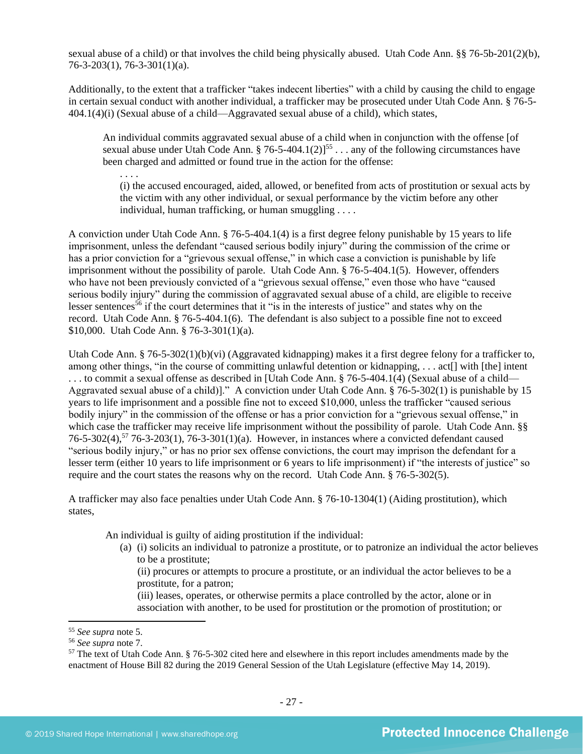sexual abuse of a child) or that involves the child being physically abused. Utah Code Ann. §§ 76-5b-201(2)(b), 76-3-203(1), 76-3-301(1)(a).

Additionally, to the extent that a trafficker "takes indecent liberties" with a child by causing the child to engage in certain sexual conduct with another individual, a trafficker may be prosecuted under Utah Code Ann. § 76-5- 404.1(4)(i) (Sexual abuse of a child—Aggravated sexual abuse of a child), which states,

An individual commits aggravated sexual abuse of a child when in conjunction with the offense [of sexual abuse under Utah Code Ann. § 76-5-404.1(2)]<sup>55</sup> . . . any of the following circumstances have been charged and admitted or found true in the action for the offense:

. . . .

(i) the accused encouraged, aided, allowed, or benefited from acts of prostitution or sexual acts by the victim with any other individual, or sexual performance by the victim before any other individual, human trafficking, or human smuggling . . . .

A conviction under Utah Code Ann. § 76-5-404.1(4) is a first degree felony punishable by 15 years to life imprisonment, unless the defendant "caused serious bodily injury" during the commission of the crime or has a prior conviction for a "grievous sexual offense," in which case a conviction is punishable by life imprisonment without the possibility of parole. Utah Code Ann. § 76-5-404.1(5). However, offenders who have not been previously convicted of a "grievous sexual offense," even those who have "caused serious bodily injury" during the commission of aggravated sexual abuse of a child, are eligible to receive lesser sentences<sup>56</sup> if the court determines that it "is in the interests of justice" and states why on the record. Utah Code Ann. § 76-5-404.1(6). The defendant is also subject to a possible fine not to exceed \$10,000. Utah Code Ann. § 76-3-301(1)(a).

Utah Code Ann. § 76-5-302(1)(b)(vi) (Aggravated kidnapping) makes it a first degree felony for a trafficker to, among other things, "in the course of committing unlawful detention or kidnapping, . . . act[] with [the] intent . . . to commit a sexual offense as described in [Utah Code Ann. § 76-5-404.1(4) (Sexual abuse of a child— Aggravated sexual abuse of a child)]." A conviction under Utah Code Ann. § 76-5-302(1) is punishable by 15 years to life imprisonment and a possible fine not to exceed \$10,000, unless the trafficker "caused serious bodily injury" in the commission of the offense or has a prior conviction for a "grievous sexual offense," in which case the trafficker may receive life imprisonment without the possibility of parole. Utah Code Ann. §§ 76-5-302(4),<sup>57</sup> 76-3-203(1), 76-3-301(1)(a). However, in instances where a convicted defendant caused "serious bodily injury," or has no prior sex offense convictions, the court may imprison the defendant for a lesser term (either 10 years to life imprisonment or 6 years to life imprisonment) if "the interests of justice" so require and the court states the reasons why on the record. Utah Code Ann. § 76-5-302(5).

<span id="page-26-0"></span>A trafficker may also face penalties under Utah Code Ann. § 76-10-1304(1) (Aiding prostitution), which states,

An individual is guilty of aiding prostitution if the individual:

(a) (i) solicits an individual to patronize a prostitute, or to patronize an individual the actor believes to be a prostitute;

(ii) procures or attempts to procure a prostitute, or an individual the actor believes to be a prostitute, for a patron;

(iii) leases, operates, or otherwise permits a place controlled by the actor, alone or in association with another, to be used for prostitution or the promotion of prostitution; or

<sup>55</sup> *See supra* note [5.](#page-3-0)

<sup>56</sup> *See supra* note [7.](#page-3-2) 

 $57$  The text of Utah Code Ann. § 76-5-302 cited here and elsewhere in this report includes amendments made by the enactment of House Bill 82 during the 2019 General Session of the Utah Legislature (effective May 14, 2019).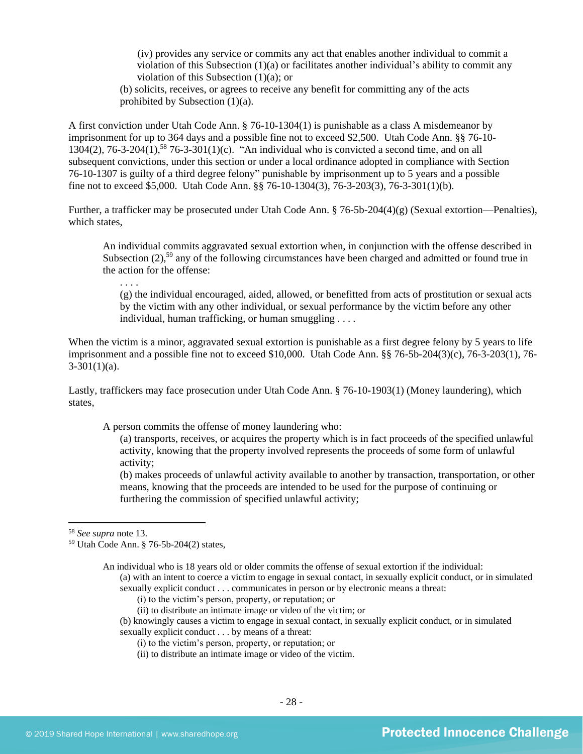(iv) provides any service or commits any act that enables another individual to commit a violation of this Subsection (1)(a) or facilitates another individual's ability to commit any violation of this Subsection (1)(a); or

(b) solicits, receives, or agrees to receive any benefit for committing any of the acts prohibited by Subsection (1)(a).

A first conviction under Utah Code Ann. § 76-10-1304(1) is punishable as a class A misdemeanor by imprisonment for up to 364 days and a possible fine not to exceed \$2,500. Utah Code Ann. §§ 76-10- 1304(2), 76-3-204(1),<sup>58</sup> 76-3-301(1)(c). "An individual who is convicted a second time, and on all subsequent convictions, under this section or under a local ordinance adopted in compliance with Section 76-10-1307 is guilty of a third degree felony" punishable by imprisonment up to 5 years and a possible fine not to exceed \$5,000. Utah Code Ann. §§ 76-10-1304(3), 76-3-203(3), 76-3-301(1)(b).

Further, a trafficker may be prosecuted under Utah Code Ann. § 76-5b-204(4)(g) (Sexual extortion—Penalties), which states,

An individual commits aggravated sexual extortion when, in conjunction with the offense described in Subsection  $(2)$ ,<sup>59</sup> any of the following circumstances have been charged and admitted or found true in the action for the offense:

. . . .

(g) the individual encouraged, aided, allowed, or benefitted from acts of prostitution or sexual acts by the victim with any other individual, or sexual performance by the victim before any other individual, human trafficking, or human smuggling . . . .

When the victim is a minor, aggravated sexual extortion is punishable as a first degree felony by 5 years to life imprisonment and a possible fine not to exceed \$10,000. Utah Code Ann. §§ 76-5b-204(3)(c), 76-3-203(1), 76-  $3-301(1)(a)$ .

Lastly, traffickers may face prosecution under Utah Code Ann. § 76-10-1903(1) (Money laundering), which states,

A person commits the offense of money laundering who:

(a) transports, receives, or acquires the property which is in fact proceeds of the specified unlawful activity, knowing that the property involved represents the proceeds of some form of unlawful activity;

(b) makes proceeds of unlawful activity available to another by transaction, transportation, or other means, knowing that the proceeds are intended to be used for the purpose of continuing or furthering the commission of specified unlawful activity;

sexually explicit conduct . . . communicates in person or by electronic means a threat:

- (ii) to distribute an intimate image or video of the victim; or
- (b) knowingly causes a victim to engage in sexual contact, in sexually explicit conduct, or in simulated sexually explicit conduct . . . by means of a threat:
	- (i) to the victim's person, property, or reputation; or
	- (ii) to distribute an intimate image or video of the victim.

<sup>58</sup> *See supra* note [13.](#page-7-1)

<sup>59</sup> Utah Code Ann. § 76-5b-204(2) states,

An individual who is 18 years old or older commits the offense of sexual extortion if the individual: (a) with an intent to coerce a victim to engage in sexual contact, in sexually explicit conduct, or in simulated

<sup>(</sup>i) to the victim's person, property, or reputation; or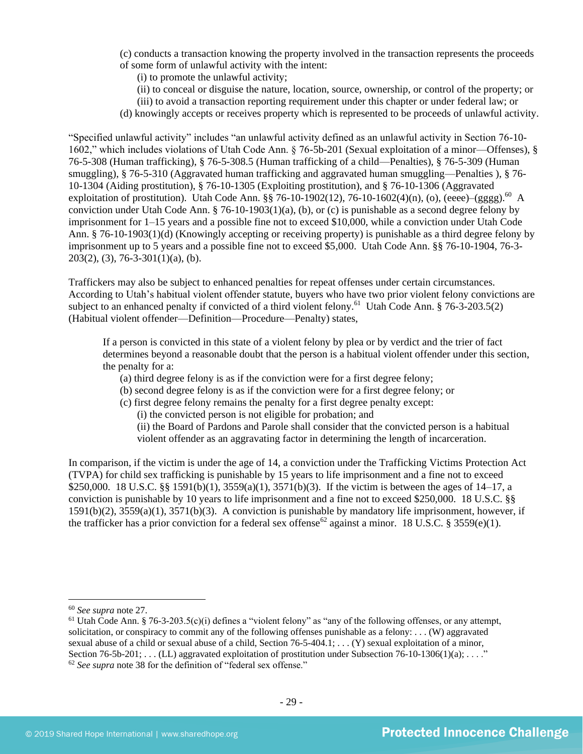(c) conducts a transaction knowing the property involved in the transaction represents the proceeds of some form of unlawful activity with the intent:

(i) to promote the unlawful activity;

(ii) to conceal or disguise the nature, location, source, ownership, or control of the property; or

(iii) to avoid a transaction reporting requirement under this chapter or under federal law; or

(d) knowingly accepts or receives property which is represented to be proceeds of unlawful activity.

"Specified unlawful activity" includes "an unlawful activity defined as an unlawful activity in Section 76-10- 1602," which includes violations of Utah Code Ann. § 76-5b-201 (Sexual exploitation of a minor—Offenses), § 76-5-308 (Human trafficking), § 76-5-308.5 (Human trafficking of a child—Penalties), § 76-5-309 (Human smuggling), § 76-5-310 (Aggravated human trafficking and aggravated human smuggling—Penalties ), § 76- 10-1304 (Aiding prostitution), § 76-10-1305 (Exploiting prostitution), and § 76-10-1306 (Aggravated exploitation of prostitution). Utah Code Ann.  $\S$  $\S$  76-10-1902(12), 76-10-1602(4)(n), (o), (eeee)–(gggg).<sup>60</sup> A conviction under Utah Code Ann. § 76-10-1903(1)(a), (b), or (c) is punishable as a second degree felony by imprisonment for 1–15 years and a possible fine not to exceed \$10,000, while a conviction under Utah Code Ann. § 76-10-1903(1)(d) (Knowingly accepting or receiving property) is punishable as a third degree felony by imprisonment up to 5 years and a possible fine not to exceed \$5,000. Utah Code Ann. §§ 76-10-1904, 76-3- 203(2), (3), 76-3-301(1)(a), (b).

Traffickers may also be subject to enhanced penalties for repeat offenses under certain circumstances. According to Utah's habitual violent offender statute, buyers who have two prior violent felony convictions are subject to an enhanced penalty if convicted of a third violent felony.<sup>61</sup> Utah Code Ann. § 76-3-203.5(2) (Habitual violent offender—Definition—Procedure—Penalty) states,

If a person is convicted in this state of a violent felony by plea or by verdict and the trier of fact determines beyond a reasonable doubt that the person is a habitual violent offender under this section, the penalty for a:

- (a) third degree felony is as if the conviction were for a first degree felony;
- (b) second degree felony is as if the conviction were for a first degree felony; or
- (c) first degree felony remains the penalty for a first degree penalty except:

(i) the convicted person is not eligible for probation; and

(ii) the Board of Pardons and Parole shall consider that the convicted person is a habitual violent offender as an aggravating factor in determining the length of incarceration.

In comparison, if the victim is under the age of 14, a conviction under the Trafficking Victims Protection Act (TVPA) for child sex trafficking is punishable by 15 years to life imprisonment and a fine not to exceed \$250,000. 18 U.S.C. §§ 1591(b)(1), 3559(a)(1), 3571(b)(3). If the victim is between the ages of 14–17, a conviction is punishable by 10 years to life imprisonment and a fine not to exceed \$250,000. 18 U.S.C. §§ 1591(b)(2), 3559(a)(1), 3571(b)(3). A conviction is punishable by mandatory life imprisonment, however, if the trafficker has a prior conviction for a federal sex offense<sup>62</sup> against a minor. 18 U.S.C. § 3559(e)(1).

<sup>60</sup> *See supra* note [27.](#page-11-0)

<sup>&</sup>lt;sup>61</sup> Utah Code Ann. § 76-3-203.5(c)(i) defines a "violent felony" as "any of the following offenses, or any attempt, solicitation, or conspiracy to commit any of the following offenses punishable as a felony: . . . (W) aggravated sexual abuse of a child or sexual abuse of a child, Section  $76-5-404.1$ ; ... (Y) sexual exploitation of a minor, Section  $76-5b-201$ ; ... (LL) aggravated exploitation of prostitution under Subsection  $76-10-1306(1)(a)$ ; ..." <sup>62</sup> *See supra* note [38](#page-18-0) for the definition of "federal sex offense."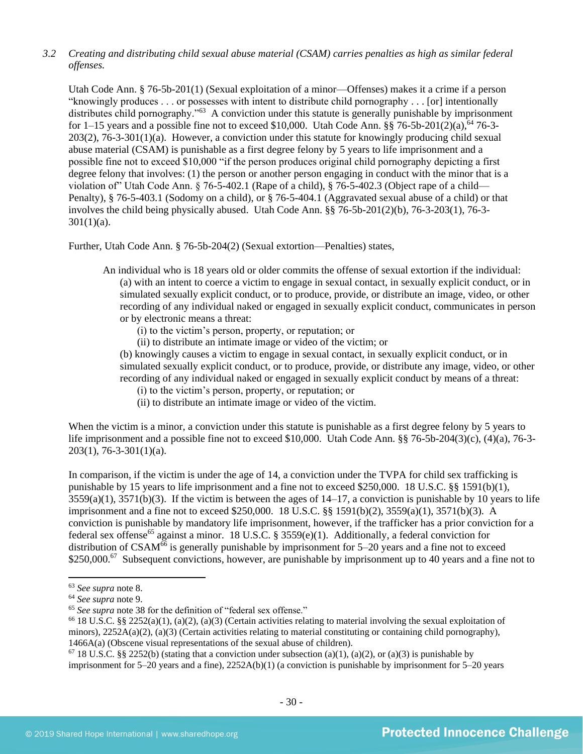## *3.2 Creating and distributing child sexual abuse material (CSAM) carries penalties as high as similar federal offenses.*

Utah Code Ann. § 76-5b-201(1) (Sexual exploitation of a minor—Offenses) makes it a crime if a person "knowingly produces . . . or possesses with intent to distribute child pornography . . . [or] intentionally distributes child pornography."<sup>63</sup> A conviction under this statute is generally punishable by imprisonment for 1–15 years and a possible fine not to exceed \$10,000. Utah Code Ann.  $\S$ § 76-5b-201(2)(a), <sup>64</sup> 76-3-203(2), 76-3-301(1)(a). However, a conviction under this statute for knowingly producing child sexual abuse material (CSAM) is punishable as a first degree felony by 5 years to life imprisonment and a possible fine not to exceed \$10,000 "if the person produces original child pornography depicting a first degree felony that involves: (1) the person or another person engaging in conduct with the minor that is a violation of" Utah Code Ann. § 76-5-402.1 (Rape of a child), § 76-5-402.3 (Object rape of a child— Penalty), § 76-5-403.1 (Sodomy on a child), or § 76-5-404.1 (Aggravated sexual abuse of a child) or that involves the child being physically abused. Utah Code Ann. §§ 76-5b-201(2)(b), 76-3-203(1), 76-3-  $301(1)(a)$ .

Further, Utah Code Ann. § 76-5b-204(2) (Sexual extortion—Penalties) states,

- An individual who is 18 years old or older commits the offense of sexual extortion if the individual: (a) with an intent to coerce a victim to engage in sexual contact, in sexually explicit conduct, or in simulated sexually explicit conduct, or to produce, provide, or distribute an image, video, or other recording of any individual naked or engaged in sexually explicit conduct, communicates in person or by electronic means a threat:
	- (i) to the victim's person, property, or reputation; or
	- (ii) to distribute an intimate image or video of the victim; or
	- (b) knowingly causes a victim to engage in sexual contact, in sexually explicit conduct, or in simulated sexually explicit conduct, or to produce, provide, or distribute any image, video, or other recording of any individual naked or engaged in sexually explicit conduct by means of a threat:
		- (i) to the victim's person, property, or reputation; or
		- (ii) to distribute an intimate image or video of the victim.

When the victim is a minor, a conviction under this statute is punishable as a first degree felony by 5 years to life imprisonment and a possible fine not to exceed \$10,000. Utah Code Ann. §§ 76-5b-204(3)(c), (4)(a), 76-3- 203(1), 76-3-301(1)(a).

In comparison, if the victim is under the age of 14, a conviction under the TVPA for child sex trafficking is punishable by 15 years to life imprisonment and a fine not to exceed \$250,000. 18 U.S.C. §§ 1591(b)(1),  $3559(a)(1)$ ,  $3571(b)(3)$ . If the victim is between the ages of  $14-17$ , a conviction is punishable by 10 years to life imprisonment and a fine not to exceed \$250,000. 18 U.S.C. §§ 1591(b)(2), 3559(a)(1), 3571(b)(3). A conviction is punishable by mandatory life imprisonment, however, if the trafficker has a prior conviction for a federal sex offense<sup>65</sup> against a minor. 18 U.S.C. § 3559(e)(1). Additionally, a federal conviction for distribution of  $CSAM^{66}$  is generally punishable by imprisonment for  $5-20$  years and a fine not to exceed \$250,000.<sup>67</sup> Subsequent convictions, however, are punishable by imprisonment up to 40 years and a fine not to

<sup>63</sup> *See supra* note [8.](#page-4-0)

<sup>64</sup> *See supra* note [9.](#page-4-1)

<sup>65</sup> *See supra* note [38](#page-18-0) for the definition of "federal sex offense."

<sup>&</sup>lt;sup>66</sup> 18 U.S.C. §§ 2252(a)(1), (a)(2), (a)(3) (Certain activities relating to material involving the sexual exploitation of minors),  $2252A(a)(2)$ , (a)(3) (Certain activities relating to material constituting or containing child pornography), 1466A(a) (Obscene visual representations of the sexual abuse of children).

<sup>&</sup>lt;sup>67</sup> 18 U.S.C. §§ 2252(b) (stating that a conviction under subsection (a)(1), (a)(2), or (a)(3) is punishable by imprisonment for 5–20 years and a fine), 2252A(b)(1) (a conviction is punishable by imprisonment for 5–20 years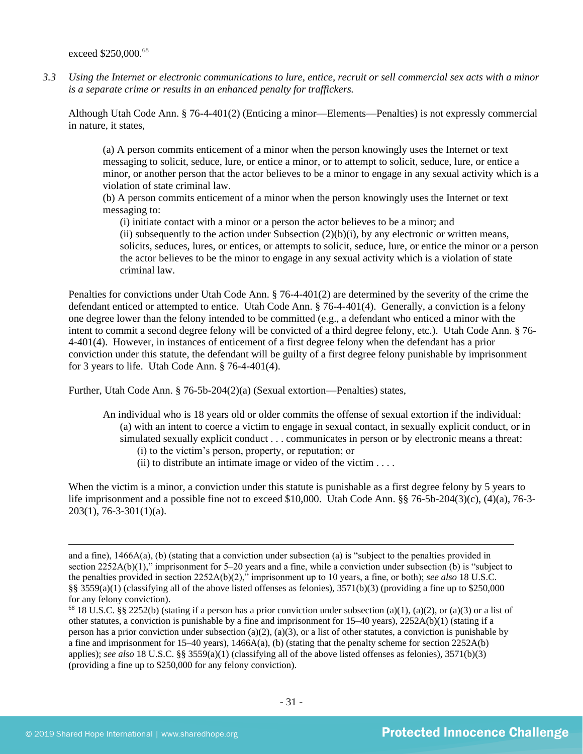exceed \$250,000.<sup>68</sup>

*3.3 Using the Internet or electronic communications to lure, entice, recruit or sell commercial sex acts with a minor is a separate crime or results in an enhanced penalty for traffickers.*

Although Utah Code Ann. § 76-4-401(2) (Enticing a minor—Elements—Penalties) is not expressly commercial in nature, it states,

(a) A person commits enticement of a minor when the person knowingly uses the Internet or text messaging to solicit, seduce, lure, or entice a minor, or to attempt to solicit, seduce, lure, or entice a minor, or another person that the actor believes to be a minor to engage in any sexual activity which is a violation of state criminal law.

(b) A person commits enticement of a minor when the person knowingly uses the Internet or text messaging to:

(i) initiate contact with a minor or a person the actor believes to be a minor; and (ii) subsequently to the action under Subsection  $(2)(b)(i)$ , by any electronic or written means, solicits, seduces, lures, or entices, or attempts to solicit, seduce, lure, or entice the minor or a person the actor believes to be the minor to engage in any sexual activity which is a violation of state criminal law.

Penalties for convictions under Utah Code Ann. § 76-4-401(2) are determined by the severity of the crime the defendant enticed or attempted to entice. Utah Code Ann. § 76-4-401(4). Generally, a conviction is a felony one degree lower than the felony intended to be committed (e.g., a defendant who enticed a minor with the intent to commit a second degree felony will be convicted of a third degree felony, etc.). Utah Code Ann. § 76- 4-401(4). However, in instances of enticement of a first degree felony when the defendant has a prior conviction under this statute, the defendant will be guilty of a first degree felony punishable by imprisonment for 3 years to life. Utah Code Ann. § 76-4-401(4).

Further, Utah Code Ann. § 76-5b-204(2)(a) (Sexual extortion—Penalties) states,

- An individual who is 18 years old or older commits the offense of sexual extortion if the individual: (a) with an intent to coerce a victim to engage in sexual contact, in sexually explicit conduct, or in simulated sexually explicit conduct . . . communicates in person or by electronic means a threat: (i) to the victim's person, property, or reputation; or
	- (ii) to distribute an intimate image or video of the victim  $\dots$

When the victim is a minor, a conviction under this statute is punishable as a first degree felony by 5 years to life imprisonment and a possible fine not to exceed \$10,000. Utah Code Ann. §§ 76-5b-204(3)(c), (4)(a), 76-3- 203(1), 76-3-301(1)(a).

and a fine), 1466A(a), (b) (stating that a conviction under subsection (a) is "subject to the penalties provided in section 2252A(b)(1)," imprisonment for 5–20 years and a fine, while a conviction under subsection (b) is "subject to the penalties provided in section 2252A(b)(2)," imprisonment up to 10 years, a fine, or both); *see also* 18 U.S.C. §§ 3559(a)(1) (classifying all of the above listed offenses as felonies), 3571(b)(3) (providing a fine up to \$250,000 for any felony conviction).

<sup>&</sup>lt;sup>68</sup> 18 U.S.C. §§ 2252(b) (stating if a person has a prior conviction under subsection (a)(1), (a)(2), or (a)(3) or a list of other statutes, a conviction is punishable by a fine and imprisonment for 15–40 years), 2252A(b)(1) (stating if a person has a prior conviction under subsection (a)(2), (a)(3), or a list of other statutes, a conviction is punishable by a fine and imprisonment for  $15-40$  years),  $1466A(a)$ , (b) (stating that the penalty scheme for section  $2252A(b)$ applies); *see also* 18 U.S.C. §§ 3559(a)(1) (classifying all of the above listed offenses as felonies), 3571(b)(3) (providing a fine up to \$250,000 for any felony conviction).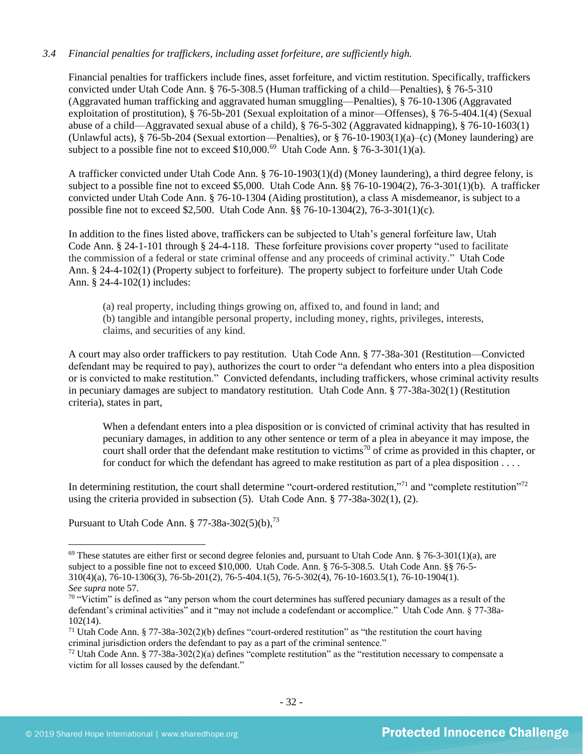## *3.4 Financial penalties for traffickers, including asset forfeiture, are sufficiently high.*

Financial penalties for traffickers include fines, asset forfeiture, and victim restitution. Specifically, traffickers convicted under Utah Code Ann. § 76-5-308.5 (Human trafficking of a child—Penalties), § 76-5-310 (Aggravated human trafficking and aggravated human smuggling—Penalties), § 76-10-1306 (Aggravated exploitation of prostitution), § 76-5b-201 (Sexual exploitation of a minor—Offenses), § 76-5-404.1(4) (Sexual abuse of a child—Aggravated sexual abuse of a child), § 76-5-302 (Aggravated kidnapping), § 76-10-1603(1) (Unlawful acts), § 76-5b-204 (Sexual extortion—Penalties), or § 76-10-1903(1)(a)–(c) (Money laundering) are subject to a possible fine not to exceed \$10,000.<sup>69</sup> Utah Code Ann. § 76-3-301(1)(a).

A trafficker convicted under Utah Code Ann. § 76-10-1903(1)(d) (Money laundering), a third degree felony, is subject to a possible fine not to exceed \$5,000. Utah Code Ann. §§ 76-10-1904(2), 76-3-301(1)(b). A trafficker convicted under Utah Code Ann. § 76-10-1304 (Aiding prostitution), a class A misdemeanor, is subject to a possible fine not to exceed \$2,500. Utah Code Ann. §§ 76-10-1304(2), 76-3-301(1)(c).

In addition to the fines listed above, traffickers can be subjected to Utah's general forfeiture law, Utah Code Ann. § 24-1-101 through § 24-4-118. These forfeiture provisions cover property "used to facilitate the commission of a federal or state criminal offense and any proceeds of criminal activity." Utah Code Ann. § 24-4-102(1) (Property subject to forfeiture). The property subject to forfeiture under Utah Code Ann. § 24-4-102(1) includes:

(a) real property, including things growing on, affixed to, and found in land; and (b) tangible and intangible personal property, including money, rights, privileges, interests, claims, and securities of any kind.

A court may also order traffickers to pay restitution. Utah Code Ann. § 77-38a-301 (Restitution—Convicted defendant may be required to pay), authorizes the court to order "a defendant who enters into a plea disposition or is convicted to make restitution." Convicted defendants, including traffickers, whose criminal activity results in pecuniary damages are subject to mandatory restitution. Utah Code Ann. § 77-38a-302(1) (Restitution criteria), states in part,

<span id="page-31-0"></span>When a defendant enters into a plea disposition or is convicted of criminal activity that has resulted in pecuniary damages, in addition to any other sentence or term of a plea in abeyance it may impose, the court shall order that the defendant make restitution to victims<sup>70</sup> of crime as provided in this chapter, or for conduct for which the defendant has agreed to make restitution as part of a plea disposition . . . .

In determining restitution, the court shall determine "court-ordered restitution,"<sup>71</sup> and "complete restitution"<sup>72</sup> using the criteria provided in subsection (5). Utah Code Ann. § 77-38a-302(1), (2).

Pursuant to Utah Code Ann.  $\S 77-38a-302(5)(b)$ ,  $^{73}$ 

 $69$  These statutes are either first or second degree felonies and, pursuant to Utah Code Ann. § 76-3-301(1)(a), are subject to a possible fine not to exceed \$10,000. Utah Code. Ann. § 76-5-308.5. Utah Code Ann. §§ 76-5- 310(4)(a), 76-10-1306(3), 76-5b-201(2), 76-5-404.1(5), 76-5-302(4), 76-10-1603.5(1), 76-10-1904(1). *See supra* note [57.](#page-26-0)

<sup>&</sup>lt;sup>70</sup> "Victim" is defined as "any person whom the court determines has suffered pecuniary damages as a result of the defendant's criminal activities" and it "may not include a codefendant or accomplice." Utah Code Ann. § 77-38a-102(14).

<sup>&</sup>lt;sup>71</sup> Utah Code Ann. § 77-38a-302(2)(b) defines "court-ordered restitution" as "the restitution the court having criminal jurisdiction orders the defendant to pay as a part of the criminal sentence."

 $72$  Utah Code Ann. § 77-38a-302(2)(a) defines "complete restitution" as the "restitution necessary to compensate a victim for all losses caused by the defendant."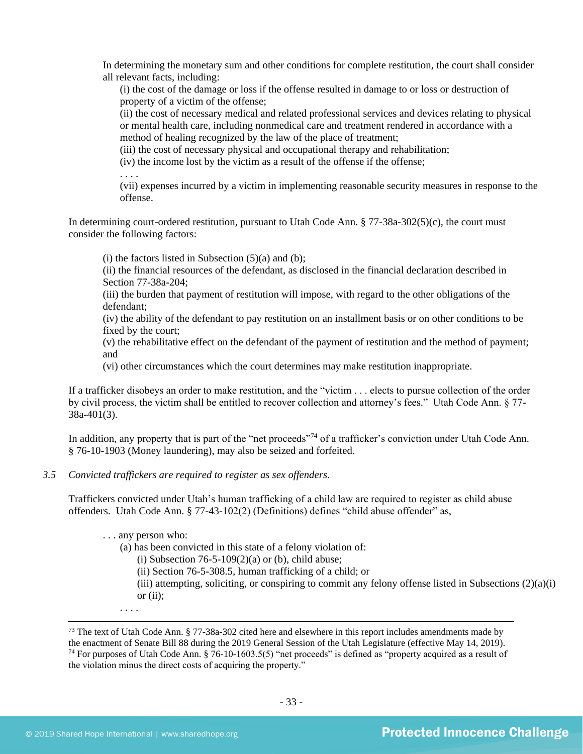In determining the monetary sum and other conditions for complete restitution, the court shall consider all relevant facts, including:

(i) the cost of the damage or loss if the offense resulted in damage to or loss or destruction of property of a victim of the offense;

(ii) the cost of necessary medical and related professional services and devices relating to physical or mental health care, including nonmedical care and treatment rendered in accordance with a method of healing recognized by the law of the place of treatment;

(iii) the cost of necessary physical and occupational therapy and rehabilitation;

(iv) the income lost by the victim as a result of the offense if the offense;

. . . .

(vii) expenses incurred by a victim in implementing reasonable security measures in response to the offense.

In determining court-ordered restitution, pursuant to Utah Code Ann. § 77-38a-302(5)(c), the court must consider the following factors:

 $(i)$  the factors listed in Subsection  $(5)(a)$  and  $(b)$ :

(ii) the financial resources of the defendant, as disclosed in the financial declaration described in Section 77-38a-204;

(iii) the burden that payment of restitution will impose, with regard to the other obligations of the defendant;

(iv) the ability of the defendant to pay restitution on an installment basis or on other conditions to be fixed by the court;

(v) the rehabilitative effect on the defendant of the payment of restitution and the method of payment; and

(vi) other circumstances which the court determines may make restitution inappropriate.

If a trafficker disobeys an order to make restitution, and the "victim . . . elects to pursue collection of the order by civil process, the victim shall be entitled to recover collection and attorney's fees." Utah Code Ann. § 77- 38a-401(3).

In addition, any property that is part of the "net proceeds"<sup>74</sup> of a trafficker's conviction under Utah Code Ann. § 76-10-1903 (Money laundering), may also be seized and forfeited.

#### *3.5 Convicted traffickers are required to register as sex offenders.*

Traffickers convicted under Utah's human trafficking of a child law are required to register as child abuse offenders. Utah Code Ann. § 77-43-102(2) (Definitions) defines "child abuse offender" as,

(a) has been convicted in this state of a felony violation of:

(i) Subsection  $76-5-109(2)(a)$  or (b), child abuse;

(ii) Section 76-5-308.5, human trafficking of a child; or

(iii) attempting, soliciting, or conspiring to commit any felony offense listed in Subsections  $(2)(a)(i)$ or  $(ii)$ ;

. . . .

<sup>. . .</sup> any person who:

<sup>&</sup>lt;sup>73</sup> The text of Utah Code Ann. § 77-38a-302 cited here and elsewhere in this report includes amendments made by the enactment of Senate Bill 88 during the 2019 General Session of the Utah Legislature (effective May 14, 2019). <sup>74</sup> For purposes of Utah Code Ann. § 76-10-1603.5(5) "net proceeds" is defined as "property acquired as a result of the violation minus the direct costs of acquiring the property."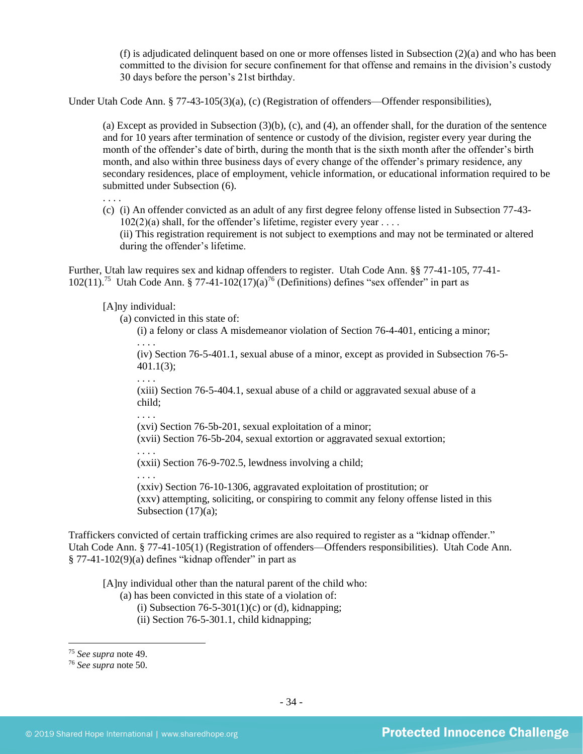(f) is adjudicated delinquent based on one or more offenses listed in Subsection (2)(a) and who has been committed to the division for secure confinement for that offense and remains in the division's custody 30 days before the person's 21st birthday.

Under Utah Code Ann. § 77-43-105(3)(a), (c) (Registration of offenders—Offender responsibilities),

(a) Except as provided in Subsection (3)(b), (c), and (4), an offender shall, for the duration of the sentence and for 10 years after termination of sentence or custody of the division, register every year during the month of the offender's date of birth, during the month that is the sixth month after the offender's birth month, and also within three business days of every change of the offender's primary residence, any secondary residences, place of employment, vehicle information, or educational information required to be submitted under Subsection (6).

. . . .

(c) (i) An offender convicted as an adult of any first degree felony offense listed in Subsection 77-43-  $102(2)(a)$  shall, for the offender's lifetime, register every year .... (ii) This registration requirement is not subject to exemptions and may not be terminated or altered during the offender's lifetime.

Further, Utah law requires sex and kidnap offenders to register. Utah Code Ann. §§ 77-41-105, 77-41-  $102(11)$ .<sup>75</sup> Utah Code Ann. § 77-41-102(17)(a)<sup>76</sup> (Definitions) defines "sex offender" in part as

[A]ny individual:

(a) convicted in this state of:

(i) a felony or class A misdemeanor violation of Section 76-4-401, enticing a minor;

(iv) Section 76-5-401.1, sexual abuse of a minor, except as provided in Subsection 76-5- 401.1(3);

. . . .

. . . .

. . . .

(xiii) Section 76-5-404.1, sexual abuse of a child or aggravated sexual abuse of a child;

(xvi) Section 76-5b-201, sexual exploitation of a minor;

(xvii) Section 76-5b-204, sexual extortion or aggravated sexual extortion;

. . . . (xxii) Section 76-9-702.5, lewdness involving a child;

. . . . (xxiv) Section 76-10-1306, aggravated exploitation of prostitution; or (xxv) attempting, soliciting, or conspiring to commit any felony offense listed in this Subsection  $(17)(a)$ ;

Traffickers convicted of certain trafficking crimes are also required to register as a "kidnap offender." Utah Code Ann. § 77-41-105(1) (Registration of offenders—Offenders responsibilities). Utah Code Ann.  $§ 77-41-102(9)(a)$  defines "kidnap offender" in part as

[A]ny individual other than the natural parent of the child who:

- (a) has been convicted in this state of a violation of:
	- (i) Subsection 76-5-301(1)(c) or (d), kidnapping;
	- (ii) Section 76-5-301.1, child kidnapping;

<sup>75</sup> *See supra* note [49.](#page-22-0)

<sup>76</sup> *See supra* note [50.](#page-22-1)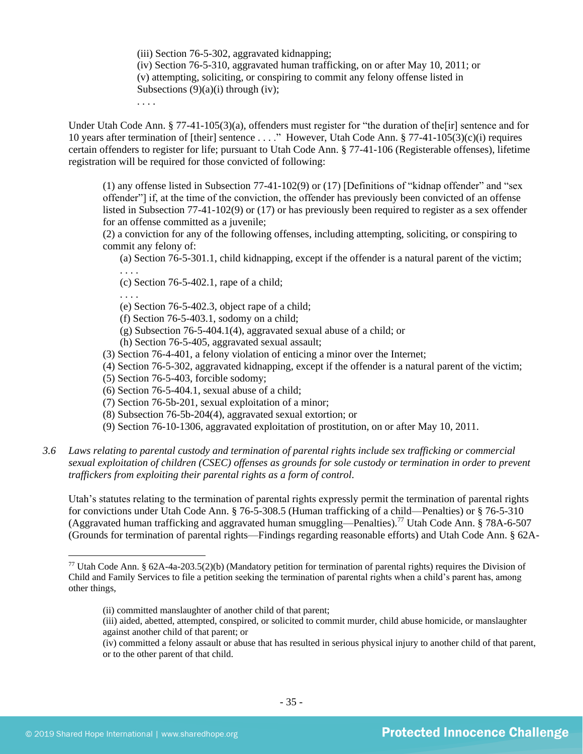(iii) Section 76-5-302, aggravated kidnapping; (iv) Section 76-5-310, aggravated human trafficking, on or after May 10, 2011; or (v) attempting, soliciting, or conspiring to commit any felony offense listed in Subsections  $(9)(a)(i)$  through (iv);

. . . .

Under Utah Code Ann. § 77-41-105(3)(a), offenders must register for "the duration of the[ir] sentence and for 10 years after termination of [their] sentence . . . ." However, Utah Code Ann. § 77-41-105(3)(c)(i) requires certain offenders to register for life; pursuant to Utah Code Ann. § 77-41-106 (Registerable offenses), lifetime registration will be required for those convicted of following:

(1) any offense listed in Subsection 77-41-102(9) or (17) [Definitions of "kidnap offender" and "sex offender"] if, at the time of the conviction, the offender has previously been convicted of an offense listed in Subsection 77-41-102(9) or (17) or has previously been required to register as a sex offender for an offense committed as a juvenile;

(2) a conviction for any of the following offenses, including attempting, soliciting, or conspiring to commit any felony of:

(a) Section 76-5-301.1, child kidnapping, except if the offender is a natural parent of the victim;

. . . .

(c) Section 76-5-402.1, rape of a child;

. . . .

- (e) Section 76-5-402.3, object rape of a child;
- (f) Section 76-5-403.1, sodomy on a child;
- (g) Subsection 76-5-404.1(4), aggravated sexual abuse of a child; or
- (h) Section 76-5-405, aggravated sexual assault;
- (3) Section 76-4-401, a felony violation of enticing a minor over the Internet;
- (4) Section 76-5-302, aggravated kidnapping, except if the offender is a natural parent of the victim;
- (5) Section 76-5-403, forcible sodomy;
- (6) Section 76-5-404.1, sexual abuse of a child;
- (7) Section 76-5b-201, sexual exploitation of a minor;
- (8) Subsection 76-5b-204(4), aggravated sexual extortion; or
- (9) Section 76-10-1306, aggravated exploitation of prostitution, on or after May 10, 2011.
- *3.6 Laws relating to parental custody and termination of parental rights include sex trafficking or commercial sexual exploitation of children (CSEC) offenses as grounds for sole custody or termination in order to prevent traffickers from exploiting their parental rights as a form of control.*

Utah's statutes relating to the termination of parental rights expressly permit the termination of parental rights for convictions under Utah Code Ann. § 76-5-308.5 (Human trafficking of a child—Penalties) or § 76-5-310 (Aggravated human trafficking and aggravated human smuggling—Penalties). <sup>77</sup> Utah Code Ann. § 78A-6-507 (Grounds for termination of parental rights—Findings regarding reasonable efforts) and Utah Code Ann. § 62A-

- (ii) committed manslaughter of another child of that parent;
- (iii) aided, abetted, attempted, conspired, or solicited to commit murder, child abuse homicide, or manslaughter against another child of that parent; or

<sup>77</sup> Utah Code Ann. § 62A-4a-203.5(2)(b) (Mandatory petition for termination of parental rights) requires the Division of Child and Family Services to file a petition seeking the termination of parental rights when a child's parent has, among other things,

<sup>(</sup>iv) committed a felony assault or abuse that has resulted in serious physical injury to another child of that parent, or to the other parent of that child.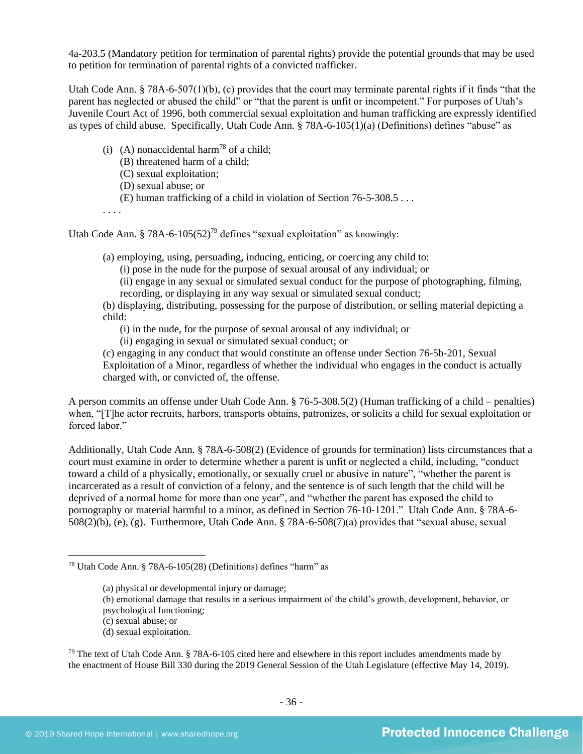4a-203.5 (Mandatory petition for termination of parental rights) provide the potential grounds that may be used to petition for termination of parental rights of a convicted trafficker.

Utah Code Ann. § 78A-6-507(1)(b), (c) provides that the court may terminate parental rights if it finds "that the parent has neglected or abused the child" or "that the parent is unfit or incompetent." For purposes of Utah's Juvenile Court Act of 1996, both commercial sexual exploitation and human trafficking are expressly identified as types of child abuse. Specifically, Utah Code Ann. § 78A-6-105(1)(a) (Definitions) defines "abuse" as

- <span id="page-35-0"></span>(i) (A) nonaccidental harm<sup>78</sup> of a child;
	- (B) threatened harm of a child;
	- (C) sexual exploitation;
	- (D) sexual abuse; or
	- (E) human trafficking of a child in violation of Section 76-5-308.5 . . .

. . . .

Utah Code Ann. § 78A-6-105 $(52)^{79}$  defines "sexual exploitation" as knowingly:

(a) employing, using, persuading, inducing, enticing, or coercing any child to:

<span id="page-35-1"></span>(i) pose in the nude for the purpose of sexual arousal of any individual; or

(ii) engage in any sexual or simulated sexual conduct for the purpose of photographing, filming, recording, or displaying in any way sexual or simulated sexual conduct;

(b) displaying, distributing, possessing for the purpose of distribution, or selling material depicting a child:

(i) in the nude, for the purpose of sexual arousal of any individual; or

(ii) engaging in sexual or simulated sexual conduct; or

(c) engaging in any conduct that would constitute an offense under Section 76-5b-201, Sexual Exploitation of a Minor, regardless of whether the individual who engages in the conduct is actually charged with, or convicted of, the offense.

A person commits an offense under Utah Code Ann. § 76-5-308.5(2) (Human trafficking of a child – penalties) when, "[T]he actor recruits, harbors, transports obtains, patronizes, or solicits a child for sexual exploitation or forced labor."

Additionally, Utah Code Ann. § 78A-6-508(2) (Evidence of grounds for termination) lists circumstances that a court must examine in order to determine whether a parent is unfit or neglected a child, including, "conduct toward a child of a physically, emotionally, or sexually cruel or abusive in nature", "whether the parent is incarcerated as a result of conviction of a felony, and the sentence is of such length that the child will be deprived of a normal home for more than one year", and "whether the parent has exposed the child to pornography or material harmful to a minor, as defined in Section 76-10-1201." Utah Code Ann. § 78A-6- 508(2)(b), (e), (g). Furthermore, Utah Code Ann. § 78A-6-508(7)(a) provides that "sexual abuse, sexual

- (b) emotional damage that results in a serious impairment of the child's growth, development, behavior, or
- psychological functioning;

(d) sexual exploitation.

 $79$  The text of Utah Code Ann. § 78A-6-105 cited here and elsewhere in this report includes amendments made by the enactment of House Bill 330 during the 2019 General Session of the Utah Legislature (effective May 14, 2019).

<sup>78</sup> Utah Code Ann. § 78A-6-105(28) (Definitions) defines "harm" as

<sup>(</sup>a) physical or developmental injury or damage;

<sup>(</sup>c) sexual abuse; or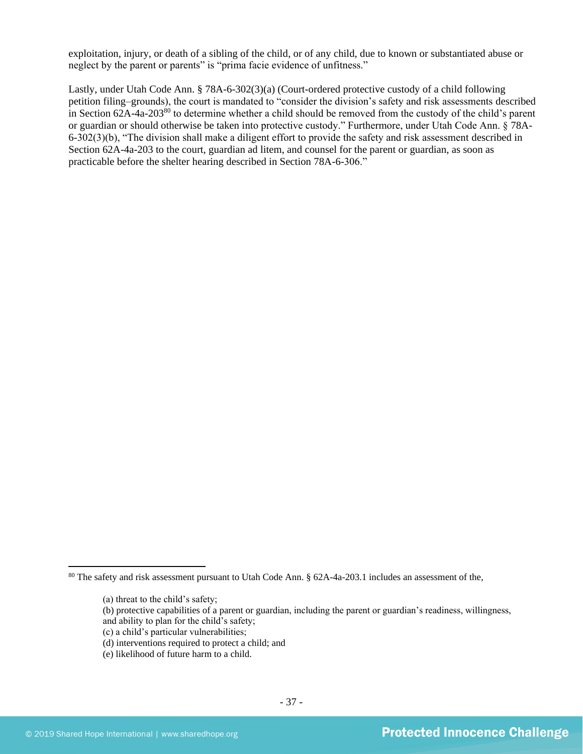exploitation, injury, or death of a sibling of the child, or of any child, due to known or substantiated abuse or neglect by the parent or parents" is "prima facie evidence of unfitness."

Lastly, under Utah Code Ann. § 78A-6-302(3)(a) (Court-ordered protective custody of a child following petition filing–grounds), the court is mandated to "consider the division's safety and risk assessments described in Section 62A-4a-203<sup>80</sup> to determine whether a child should be removed from the custody of the child's parent or guardian or should otherwise be taken into protective custody." Furthermore, under Utah Code Ann. § 78A-6-302(3)(b), "The division shall make a diligent effort to provide the safety and risk assessment described in Section 62A-4a-203 to the court, guardian ad litem, and counsel for the parent or guardian, as soon as practicable before the shelter hearing described in Section 78A-6-306."

<sup>80</sup> The safety and risk assessment pursuant to Utah Code Ann. § 62A-4a-203.1 includes an assessment of the,

<sup>(</sup>a) threat to the child's safety;

<sup>(</sup>b) protective capabilities of a parent or guardian, including the parent or guardian's readiness, willingness, and ability to plan for the child's safety;

<sup>(</sup>c) a child's particular vulnerabilities;

<sup>(</sup>d) interventions required to protect a child; and

<sup>(</sup>e) likelihood of future harm to a child.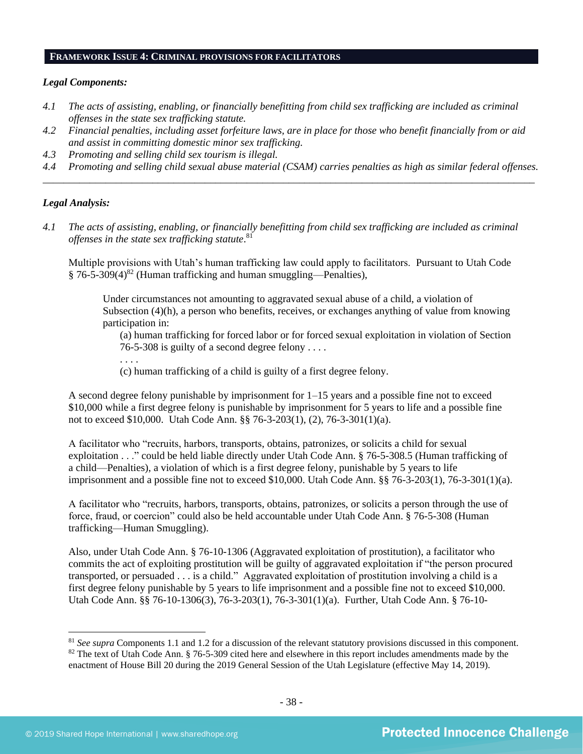#### **FRAMEWORK ISSUE 4: CRIMINAL PROVISIONS FOR FACILITATORS**

#### *Legal Components:*

- *4.1 The acts of assisting, enabling, or financially benefitting from child sex trafficking are included as criminal offenses in the state sex trafficking statute.*
- *4.2 Financial penalties, including asset forfeiture laws, are in place for those who benefit financially from or aid and assist in committing domestic minor sex trafficking.*
- *4.3 Promoting and selling child sex tourism is illegal.*
- *4.4 Promoting and selling child sexual abuse material (CSAM) carries penalties as high as similar federal offenses. \_\_\_\_\_\_\_\_\_\_\_\_\_\_\_\_\_\_\_\_\_\_\_\_\_\_\_\_\_\_\_\_\_\_\_\_\_\_\_\_\_\_\_\_\_\_\_\_\_\_\_\_\_\_\_\_\_\_\_\_\_\_\_\_\_\_\_\_\_\_\_\_\_\_\_\_\_\_\_\_\_\_\_\_\_\_\_\_\_\_\_\_\_\_*

## *Legal Analysis:*

*4.1 The acts of assisting, enabling, or financially benefitting from child sex trafficking are included as criminal offenses in the state sex trafficking statute*. 81

Multiple provisions with Utah's human trafficking law could apply to facilitators. Pursuant to Utah Code  $§ 76-5-309(4)^{82}$  (Human trafficking and human smuggling—Penalties),

Under circumstances not amounting to aggravated sexual abuse of a child, a violation of Subsection (4)(h), a person who benefits, receives, or exchanges anything of value from knowing participation in:

(a) human trafficking for forced labor or for forced sexual exploitation in violation of Section 76-5-308 is guilty of a second degree felony . . . .

- . . . .
- (c) human trafficking of a child is guilty of a first degree felony.

A second degree felony punishable by imprisonment for 1–15 years and a possible fine not to exceed \$10,000 while a first degree felony is punishable by imprisonment for 5 years to life and a possible fine not to exceed \$10,000. Utah Code Ann. §§ 76-3-203(1), (2), 76-3-301(1)(a).

A facilitator who "recruits, harbors, transports, obtains, patronizes, or solicits a child for sexual exploitation . . ." could be held liable directly under Utah Code Ann. § 76-5-308.5 (Human trafficking of a child—Penalties), a violation of which is a first degree felony, punishable by 5 years to life imprisonment and a possible fine not to exceed \$10,000. Utah Code Ann. §§ 76-3-203(1), 76-3-301(1)(a).

A facilitator who "recruits, harbors, transports, obtains, patronizes, or solicits a person through the use of force, fraud, or coercion" could also be held accountable under Utah Code Ann. § 76-5-308 (Human trafficking—Human Smuggling).

Also, under Utah Code Ann. § 76-10-1306 (Aggravated exploitation of prostitution), a facilitator who commits the act of exploiting prostitution will be guilty of aggravated exploitation if "the person procured transported, or persuaded . . . is a child." Aggravated exploitation of prostitution involving a child is a first degree felony punishable by 5 years to life imprisonment and a possible fine not to exceed \$10,000. Utah Code Ann. §§ 76-10-1306(3), 76-3-203(1), 76-3-301(1)(a). Further, Utah Code Ann. § 76-10-

<sup>81</sup> *See supra* Components 1.1 and 1.2 for a discussion of the relevant statutory provisions discussed in this component.  $82$  The text of Utah Code Ann. § 76-5-309 cited here and elsewhere in this report includes amendments made by the enactment of House Bill 20 during the 2019 General Session of the Utah Legislature (effective May 14, 2019).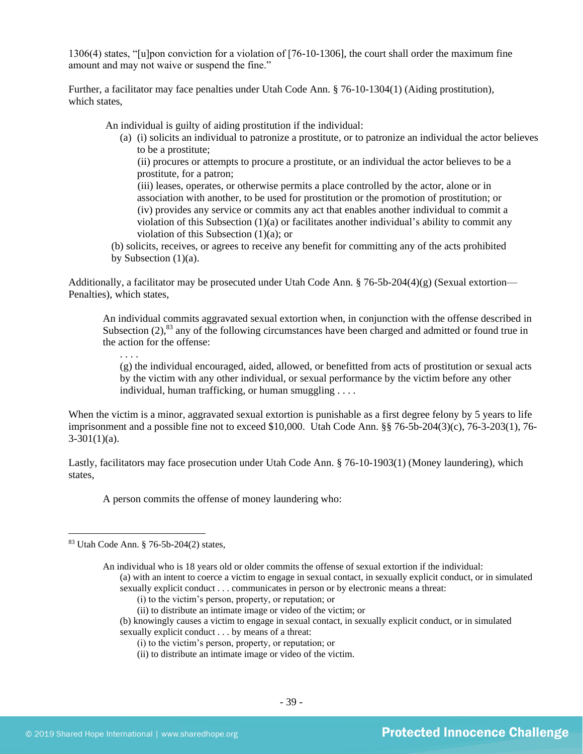1306(4) states, "[u]pon conviction for a violation of [76-10-1306], the court shall order the maximum fine amount and may not waive or suspend the fine."

Further, a facilitator may face penalties under Utah Code Ann. § 76-10-1304(1) (Aiding prostitution), which states.

An individual is guilty of aiding prostitution if the individual:

(a) (i) solicits an individual to patronize a prostitute, or to patronize an individual the actor believes to be a prostitute;

(ii) procures or attempts to procure a prostitute, or an individual the actor believes to be a prostitute, for a patron;

(iii) leases, operates, or otherwise permits a place controlled by the actor, alone or in association with another, to be used for prostitution or the promotion of prostitution; or (iv) provides any service or commits any act that enables another individual to commit a violation of this Subsection  $(1)(a)$  or facilitates another individual's ability to commit any violation of this Subsection  $(1)(a)$ ; or

(b) solicits, receives, or agrees to receive any benefit for committing any of the acts prohibited by Subsection  $(1)(a)$ .

Additionally, a facilitator may be prosecuted under Utah Code Ann. § 76-5b-204(4)(g) (Sexual extortion— Penalties), which states,

An individual commits aggravated sexual extortion when, in conjunction with the offense described in Subsection  $(2)$ ,<sup>83</sup> any of the following circumstances have been charged and admitted or found true in the action for the offense:

. . . . (g) the individual encouraged, aided, allowed, or benefitted from acts of prostitution or sexual acts by the victim with any other individual, or sexual performance by the victim before any other individual, human trafficking, or human smuggling . . . .

When the victim is a minor, aggravated sexual extortion is punishable as a first degree felony by 5 years to life imprisonment and a possible fine not to exceed \$10,000. Utah Code Ann. §§ 76-5b-204(3)(c), 76-3-203(1), 76-  $3-301(1)(a)$ .

Lastly, facilitators may face prosecution under Utah Code Ann. § 76-10-1903(1) (Money laundering), which states,

A person commits the offense of money laundering who:

sexually explicit conduct . . . communicates in person or by electronic means a threat:

- (i) to the victim's person, property, or reputation; or
- (ii) to distribute an intimate image or video of the victim; or
- (b) knowingly causes a victim to engage in sexual contact, in sexually explicit conduct, or in simulated sexually explicit conduct . . . by means of a threat:
	- (i) to the victim's person, property, or reputation; or
	- (ii) to distribute an intimate image or video of the victim.

<sup>83</sup> Utah Code Ann. § 76-5b-204(2) states,

An individual who is 18 years old or older commits the offense of sexual extortion if the individual: (a) with an intent to coerce a victim to engage in sexual contact, in sexually explicit conduct, or in simulated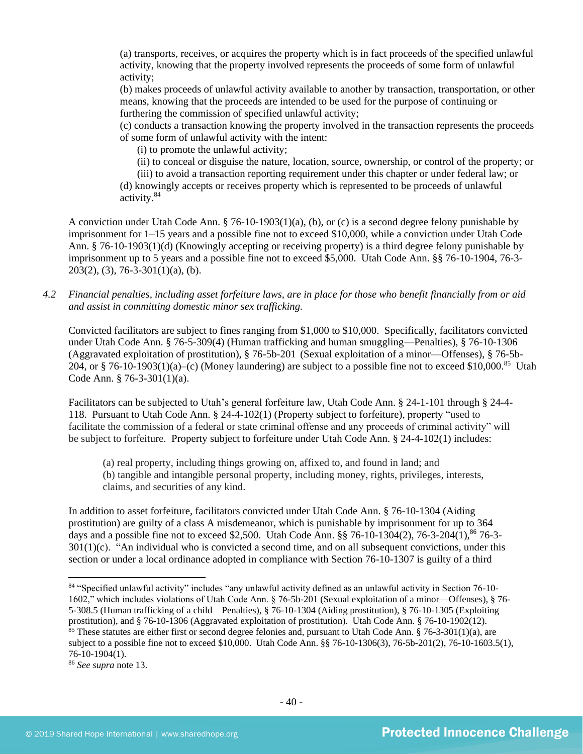(a) transports, receives, or acquires the property which is in fact proceeds of the specified unlawful activity, knowing that the property involved represents the proceeds of some form of unlawful activity;

(b) makes proceeds of unlawful activity available to another by transaction, transportation, or other means, knowing that the proceeds are intended to be used for the purpose of continuing or furthering the commission of specified unlawful activity;

(c) conducts a transaction knowing the property involved in the transaction represents the proceeds of some form of unlawful activity with the intent:

(i) to promote the unlawful activity;

(ii) to conceal or disguise the nature, location, source, ownership, or control of the property; or

(iii) to avoid a transaction reporting requirement under this chapter or under federal law; or (d) knowingly accepts or receives property which is represented to be proceeds of unlawful activity.<sup>84</sup>

A conviction under Utah Code Ann. § 76-10-1903(1)(a), (b), or (c) is a second degree felony punishable by imprisonment for 1–15 years and a possible fine not to exceed \$10,000, while a conviction under Utah Code Ann. § 76-10-1903(1)(d) (Knowingly accepting or receiving property) is a third degree felony punishable by imprisonment up to 5 years and a possible fine not to exceed \$5,000. Utah Code Ann. §§ 76-10-1904, 76-3-  $203(2)$ , (3), 76-3-301(1)(a), (b).

*4.2 Financial penalties, including asset forfeiture laws, are in place for those who benefit financially from or aid and assist in committing domestic minor sex trafficking.*

Convicted facilitators are subject to fines ranging from \$1,000 to \$10,000. Specifically, facilitators convicted under Utah Code Ann. § 76-5-309(4) (Human trafficking and human smuggling—Penalties), § 76-10-1306 (Aggravated exploitation of prostitution), § 76-5b-201 (Sexual exploitation of a minor—Offenses), § 76-5b-204, or § 76-10-1903(1)(a)–(c) (Money laundering) are subject to a possible fine not to exceed \$10,000.<sup>85</sup> Utah Code Ann. § 76-3-301(1)(a).

Facilitators can be subjected to Utah's general forfeiture law, Utah Code Ann. § 24-1-101 through § 24-4- 118. Pursuant to Utah Code Ann. § 24-4-102(1) (Property subject to forfeiture), property "used to facilitate the commission of a federal or state criminal offense and any proceeds of criminal activity" will be subject to forfeiture. Property subject to forfeiture under Utah Code Ann. § 24-4-102(1) includes:

(a) real property, including things growing on, affixed to, and found in land; and (b) tangible and intangible personal property, including money, rights, privileges, interests, claims, and securities of any kind.

In addition to asset forfeiture, facilitators convicted under Utah Code Ann. § 76-10-1304 (Aiding prostitution) are guilty of a class A misdemeanor, which is punishable by imprisonment for up to 364 days and a possible fine not to exceed \$2,500. Utah Code Ann. §§ 76-10-1304(2), 76-3-204(1),<sup>86</sup> 76-3- $301(1)(c)$ . "An individual who is convicted a second time, and on all subsequent convictions, under this section or under a local ordinance adopted in compliance with Section 76-10-1307 is guilty of a third

<sup>84</sup> "Specified unlawful activity" includes "any unlawful activity defined as an unlawful activity in Section 76-10- 1602," which includes violations of Utah Code Ann. § 76-5b-201 (Sexual exploitation of a minor—Offenses), § 76- 5-308.5 (Human trafficking of a child—Penalties), § 76-10-1304 (Aiding prostitution), § 76-10-1305 (Exploiting prostitution), and § 76-10-1306 (Aggravated exploitation of prostitution). Utah Code Ann. § 76-10-1902(12). <sup>85</sup> These statutes are either first or second degree felonies and, pursuant to Utah Code Ann. § 76-3-301(1)(a), are subject to a possible fine not to exceed \$10,000. Utah Code Ann. §§ 76-10-1306(3), 76-5b-201(2), 76-10-1603.5(1), 76-10-1904(1).

<sup>86</sup> *See supra* note [13.](#page-7-1)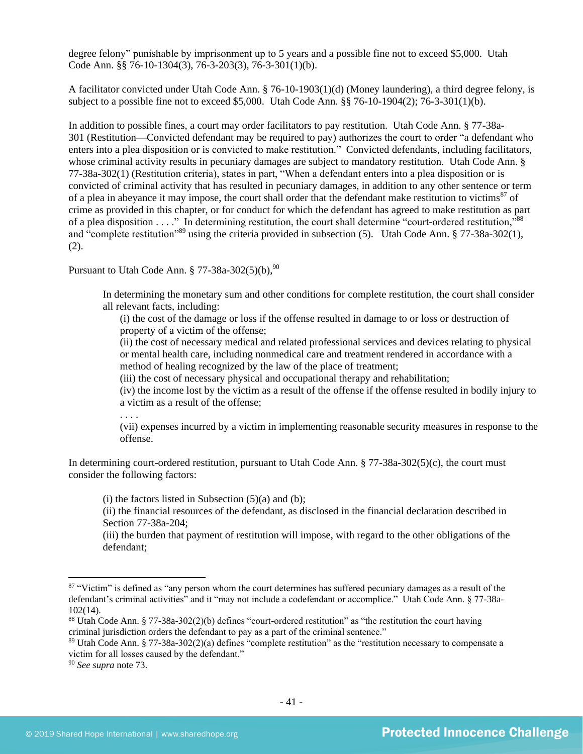degree felony" punishable by imprisonment up to 5 years and a possible fine not to exceed \$5,000. Utah Code Ann. §§ 76-10-1304(3), 76-3-203(3), 76-3-301(1)(b).

A facilitator convicted under Utah Code Ann. § 76-10-1903(1)(d) (Money laundering), a third degree felony, is subject to a possible fine not to exceed \$5,000. Utah Code Ann. §§ 76-10-1904(2); 76-3-301(1)(b).

In addition to possible fines, a court may order facilitators to pay restitution. Utah Code Ann. § 77-38a-301 (Restitution—Convicted defendant may be required to pay) authorizes the court to order "a defendant who enters into a plea disposition or is convicted to make restitution." Convicted defendants, including facilitators, whose criminal activity results in pecuniary damages are subject to mandatory restitution. Utah Code Ann. § 77-38a-302(1) (Restitution criteria), states in part, "When a defendant enters into a plea disposition or is convicted of criminal activity that has resulted in pecuniary damages, in addition to any other sentence or term of a plea in abeyance it may impose, the court shall order that the defendant make restitution to victims<sup>87</sup> of crime as provided in this chapter, or for conduct for which the defendant has agreed to make restitution as part of a plea disposition . . . ." In determining restitution, the court shall determine "court-ordered restitution,"<sup>88</sup> and "complete restitution"<sup>89</sup> using the criteria provided in subsection (5). Utah Code Ann. § 77-38a-302(1), (2).

Pursuant to Utah Code Ann.  $\S 77-38a-302(5)(b)$ , <sup>90</sup>

In determining the monetary sum and other conditions for complete restitution, the court shall consider all relevant facts, including:

(i) the cost of the damage or loss if the offense resulted in damage to or loss or destruction of property of a victim of the offense;

(ii) the cost of necessary medical and related professional services and devices relating to physical or mental health care, including nonmedical care and treatment rendered in accordance with a method of healing recognized by the law of the place of treatment;

(iii) the cost of necessary physical and occupational therapy and rehabilitation;

(iv) the income lost by the victim as a result of the offense if the offense resulted in bodily injury to a victim as a result of the offense;

. . . .

(vii) expenses incurred by a victim in implementing reasonable security measures in response to the offense.

In determining court-ordered restitution, pursuant to Utah Code Ann. § 77-38a-302(5)(c), the court must consider the following factors:

 $(i)$  the factors listed in Subsection  $(5)(a)$  and  $(b)$ ;

(ii) the financial resources of the defendant, as disclosed in the financial declaration described in Section 77-38a-204;

(iii) the burden that payment of restitution will impose, with regard to the other obligations of the defendant;

<sup>&</sup>lt;sup>87</sup> "Victim" is defined as "any person whom the court determines has suffered pecuniary damages as a result of the defendant's criminal activities" and it "may not include a codefendant or accomplice." Utah Code Ann. § 77-38a-102(14).

<sup>88</sup> Utah Code Ann. § 77-38a-302(2)(b) defines "court-ordered restitution" as "the restitution the court having criminal jurisdiction orders the defendant to pay as a part of the criminal sentence."

<sup>89</sup> Utah Code Ann. § 77-38a-302(2)(a) defines "complete restitution" as the "restitution necessary to compensate a victim for all losses caused by the defendant."

<sup>90</sup> *See supra* note [73.](#page-31-0)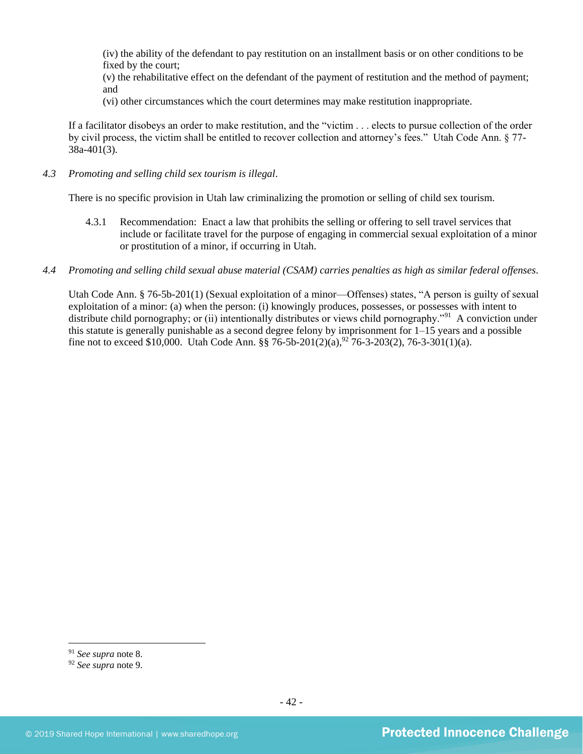(iv) the ability of the defendant to pay restitution on an installment basis or on other conditions to be fixed by the court;

(v) the rehabilitative effect on the defendant of the payment of restitution and the method of payment; and

(vi) other circumstances which the court determines may make restitution inappropriate.

If a facilitator disobeys an order to make restitution, and the "victim . . . elects to pursue collection of the order by civil process, the victim shall be entitled to recover collection and attorney's fees." Utah Code Ann. § 77- 38a-401(3).

*4.3 Promoting and selling child sex tourism is illegal*.

There is no specific provision in Utah law criminalizing the promotion or selling of child sex tourism.

- 4.3.1 Recommendation: Enact a law that prohibits the selling or offering to sell travel services that include or facilitate travel for the purpose of engaging in commercial sexual exploitation of a minor or prostitution of a minor, if occurring in Utah.
- *4.4 Promoting and selling child sexual abuse material (CSAM) carries penalties as high as similar federal offenses*.

Utah Code Ann. § 76-5b-201(1) (Sexual exploitation of a minor—Offenses) states, "A person is guilty of sexual exploitation of a minor: (a) when the person: (i) knowingly produces, possesses, or possesses with intent to distribute child pornography; or (ii) intentionally distributes or views child pornography."<sup>91</sup> A conviction under this statute is generally punishable as a second degree felony by imprisonment for 1–15 years and a possible fine not to exceed \$10,000. Utah Code Ann. §§ 76-5b-201(2)(a),<sup>92</sup> 76-3-203(2), 76-3-301(1)(a).

<sup>91</sup> *See supra* note [8.](#page-4-0)

<sup>92</sup> *See supra* note [9.](#page-4-1)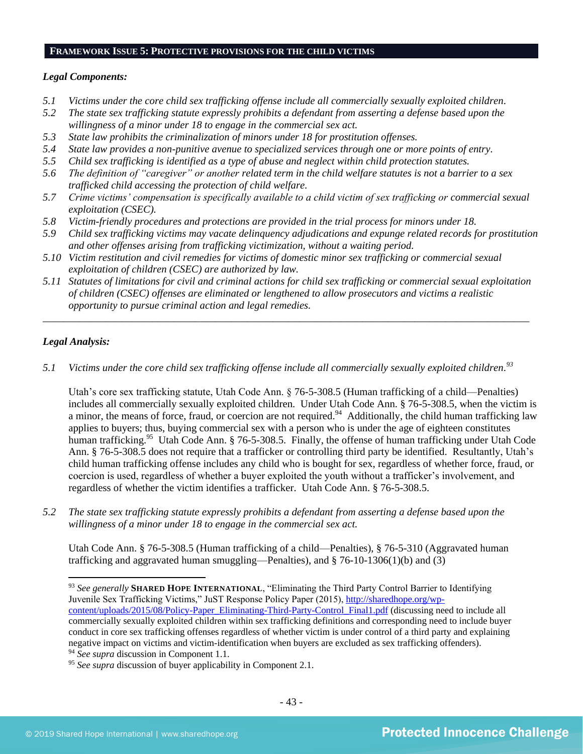#### **FRAMEWORK ISSUE 5: PROTECTIVE PROVISIONS FOR THE CHILD VICTIMS**

#### *Legal Components:*

- *5.1 Victims under the core child sex trafficking offense include all commercially sexually exploited children.*
- *5.2 The state sex trafficking statute expressly prohibits a defendant from asserting a defense based upon the willingness of a minor under 18 to engage in the commercial sex act.*
- *5.3 State law prohibits the criminalization of minors under 18 for prostitution offenses.*
- *5.4 State law provides a non-punitive avenue to specialized services through one or more points of entry.*
- *5.5 Child sex trafficking is identified as a type of abuse and neglect within child protection statutes.*
- *5.6 The definition of "caregiver" or another related term in the child welfare statutes is not a barrier to a sex trafficked child accessing the protection of child welfare.*
- *5.7 Crime victims' compensation is specifically available to a child victim of sex trafficking or commercial sexual exploitation (CSEC).*
- *5.8 Victim-friendly procedures and protections are provided in the trial process for minors under 18.*
- *5.9 Child sex trafficking victims may vacate delinquency adjudications and expunge related records for prostitution and other offenses arising from trafficking victimization, without a waiting period.*
- *5.10 Victim restitution and civil remedies for victims of domestic minor sex trafficking or commercial sexual exploitation of children (CSEC) are authorized by law.*
- *5.11 Statutes of limitations for civil and criminal actions for child sex trafficking or commercial sexual exploitation of children (CSEC) offenses are eliminated or lengthened to allow prosecutors and victims a realistic opportunity to pursue criminal action and legal remedies.*

*\_\_\_\_\_\_\_\_\_\_\_\_\_\_\_\_\_\_\_\_\_\_\_\_\_\_\_\_\_\_\_\_\_\_\_\_\_\_\_\_\_\_\_\_\_\_\_\_\_\_\_\_\_\_\_\_\_\_\_\_\_\_\_\_\_\_\_\_\_\_\_\_\_\_\_\_\_\_\_\_\_\_\_\_\_\_\_\_\_\_\_\_\_*

## *Legal Analysis:*

*5.1 Victims under the core child sex trafficking offense include all commercially sexually exploited children. 93*

Utah's core sex trafficking statute, Utah Code Ann. § 76-5-308.5 (Human trafficking of a child—Penalties) includes all commercially sexually exploited children. Under Utah Code Ann. § 76-5-308.5, when the victim is a minor, the means of force, fraud, or coercion are not required.<sup>94</sup> Additionally, the child human trafficking law applies to buyers; thus, buying commercial sex with a person who is under the age of eighteen constitutes human trafficking.<sup>95</sup> Utah Code Ann. § 76-5-308.5. Finally, the offense of human trafficking under Utah Code Ann. § 76-5-308.5 does not require that a trafficker or controlling third party be identified. Resultantly, Utah's child human trafficking offense includes any child who is bought for sex, regardless of whether force, fraud, or coercion is used, regardless of whether a buyer exploited the youth without a trafficker's involvement, and regardless of whether the victim identifies a trafficker. Utah Code Ann. § 76-5-308.5.

*5.2 The state sex trafficking statute expressly prohibits a defendant from asserting a defense based upon the willingness of a minor under 18 to engage in the commercial sex act.* 

Utah Code Ann. § 76-5-308.5 (Human trafficking of a child—Penalties), § 76-5-310 (Aggravated human trafficking and aggravated human smuggling—Penalties), and § 76-10-1306(1)(b) and (3)

<sup>93</sup> *See generally* **SHARED HOPE INTERNATIONAL**, "Eliminating the Third Party Control Barrier to Identifying Juvenile Sex Trafficking Victims," JuST Response Policy Paper (2015), [http://sharedhope.org/wp](http://sharedhope.org/wp-content/uploads/2015/08/Policy-Paper_Eliminating-Third-Party-Control_Final1.pdf)[content/uploads/2015/08/Policy-Paper\\_Eliminating-Third-Party-Control\\_Final1.pdf](http://sharedhope.org/wp-content/uploads/2015/08/Policy-Paper_Eliminating-Third-Party-Control_Final1.pdf) (discussing need to include all commercially sexually exploited children within sex trafficking definitions and corresponding need to include buyer conduct in core sex trafficking offenses regardless of whether victim is under control of a third party and explaining negative impact on victims and victim-identification when buyers are excluded as sex trafficking offenders). <sup>94</sup> *See supra* discussion in Component 1.1.

<sup>95</sup> *See supra* discussion of buyer applicability in Component 2.1.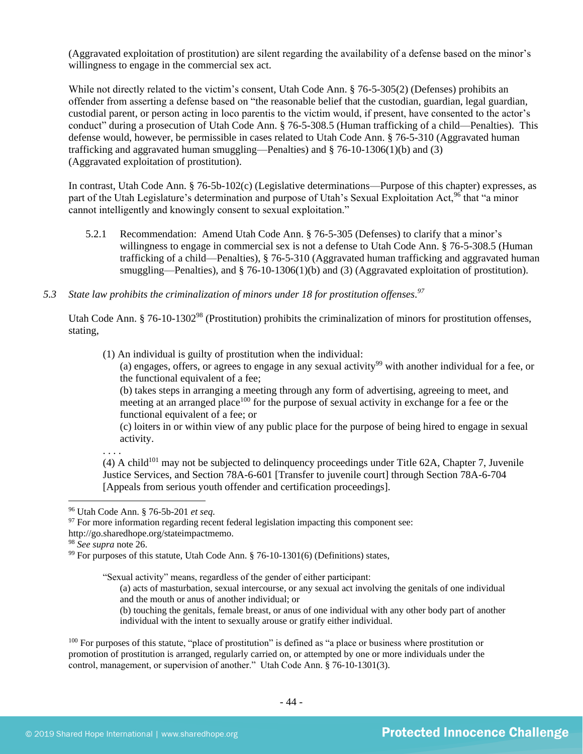(Aggravated exploitation of prostitution) are silent regarding the availability of a defense based on the minor's willingness to engage in the commercial sex act.

While not directly related to the victim's consent, Utah Code Ann. § 76-5-305(2) (Defenses) prohibits an offender from asserting a defense based on "the reasonable belief that the custodian, guardian, legal guardian, custodial parent, or person acting in loco parentis to the victim would, if present, have consented to the actor's conduct" during a prosecution of Utah Code Ann. § 76-5-308.5 (Human trafficking of a child—Penalties). This defense would, however, be permissible in cases related to Utah Code Ann. § 76-5-310 (Aggravated human trafficking and aggravated human smuggling—Penalties) and § 76-10-1306(1)(b) and (3) (Aggravated exploitation of prostitution).

In contrast, Utah Code Ann. § 76-5b-102(c) (Legislative determinations—Purpose of this chapter) expresses, as part of the Utah Legislature's determination and purpose of Utah's Sexual Exploitation Act,<sup>96</sup> that "a minor cannot intelligently and knowingly consent to sexual exploitation."

- 5.2.1 Recommendation: Amend Utah Code Ann. § 76-5-305 (Defenses) to clarify that a minor's willingness to engage in commercial sex is not a defense to Utah Code Ann. § 76-5-308.5 (Human trafficking of a child—Penalties), § 76-5-310 (Aggravated human trafficking and aggravated human smuggling—Penalties), and § 76-10-1306(1)(b) and (3) (Aggravated exploitation of prostitution).
- *5.3 State law prohibits the criminalization of minors under 18 for prostitution offenses. 97*

Utah Code Ann. § 76-10-1302<sup>98</sup> (Prostitution) prohibits the criminalization of minors for prostitution offenses, stating,

(1) An individual is guilty of prostitution when the individual:

(a) engages, offers, or agrees to engage in any sexual activity<sup>99</sup> with another individual for a fee, or the functional equivalent of a fee;

(b) takes steps in arranging a meeting through any form of advertising, agreeing to meet, and meeting at an arranged place<sup>100</sup> for the purpose of sexual activity in exchange for a fee or the functional equivalent of a fee; or

(c) loiters in or within view of any public place for the purpose of being hired to engage in sexual activity.

 $(4)$  A child<sup>101</sup> may not be subjected to delinguency proceedings under Title 62A, Chapter 7, Juvenile Justice Services, and Section 78A-6-601 [Transfer to juvenile court] through Section 78A-6-704 [Appeals from serious youth offender and certification proceedings].

. . . .

"Sexual activity" means, regardless of the gender of either participant:

- (a) acts of masturbation, sexual intercourse, or any sexual act involving the genitals of one individual and the mouth or anus of another individual; or
- (b) touching the genitals, female breast, or anus of one individual with any other body part of another individual with the intent to sexually arouse or gratify either individual.

<sup>100</sup> For purposes of this statute, "place of prostitution" is defined as "a place or business where prostitution or promotion of prostitution is arranged, regularly carried on, or attempted by one or more individuals under the control, management, or supervision of another." Utah Code Ann. § 76-10-1301(3).

<sup>96</sup> Utah Code Ann. § 76-5b-201 *et seq*.

 $97$  For more information regarding recent federal legislation impacting this component see:

http://go.sharedhope.org/stateimpactmemo.

<sup>98</sup> *See supra* note [26.](#page-10-0)

 $99$  For purposes of this statute, Utah Code Ann. § 76-10-1301(6) (Definitions) states,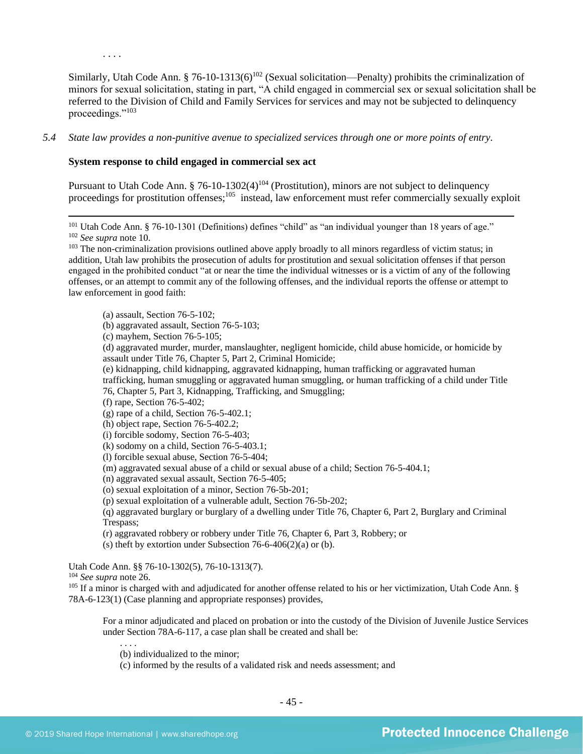Similarly, Utah Code Ann. § 76-10-1313(6)<sup>102</sup> (Sexual solicitation—Penalty) prohibits the criminalization of minors for sexual solicitation, stating in part, "A child engaged in commercial sex or sexual solicitation shall be referred to the Division of Child and Family Services for services and may not be subjected to delinquency proceedings."<sup>103</sup>

#### *5.4 State law provides a non-punitive avenue to specialized services through one or more points of entry.*

#### **System response to child engaged in commercial sex act**

Pursuant to Utah Code Ann.  $\S 76-10-1302(4)^{104}$  (Prostitution), minors are not subject to delinquency proceedings for prostitution offenses;<sup>105</sup> instead, law enforcement must refer commercially sexually exploit

<sup>101</sup> Utah Code Ann. § 76-10-1301 (Definitions) defines "child" as "an individual younger than 18 years of age." <sup>102</sup> *See supra* not[e 10.](#page-5-0)

. . . .

(a) assault, Section 76-5-102;

(b) aggravated assault, Section 76-5-103;

(c) mayhem, Section 76-5-105;

(d) aggravated murder, murder, manslaughter, negligent homicide, child abuse homicide, or homicide by assault under Title 76, Chapter 5, Part 2, Criminal Homicide;

(e) kidnapping, child kidnapping, aggravated kidnapping, human trafficking or aggravated human trafficking, human smuggling or aggravated human smuggling, or human trafficking of a child under Title 76, Chapter 5, Part 3, Kidnapping, Trafficking, and Smuggling;

(f) rape, Section 76-5-402;

(g) rape of a child, Section 76-5-402.1;

(h) object rape, Section 76-5-402.2;

(i) forcible sodomy, Section 76-5-403;

(k) sodomy on a child, Section 76-5-403.1;

(l) forcible sexual abuse, Section 76-5-404;

(m) aggravated sexual abuse of a child or sexual abuse of a child; Section 76-5-404.1;

(n) aggravated sexual assault, Section 76-5-405;

(o) sexual exploitation of a minor, Section 76-5b-201;

(p) sexual exploitation of a vulnerable adult, Section 76-5b-202;

(q) aggravated burglary or burglary of a dwelling under Title 76, Chapter 6, Part 2, Burglary and Criminal Trespass;

(r) aggravated robbery or robbery under Title 76, Chapter 6, Part 3, Robbery; or

(s) theft by extortion under Subsection 76-6-406(2)(a) or (b).

Utah Code Ann. §§ 76-10-1302(5), 76-10-1313(7).

<sup>104</sup> *See supra* not[e 26.](#page-10-0)

<sup>105</sup> If a minor is charged with and adjudicated for another offense related to his or her victimization, Utah Code Ann. § 78A-6-123(1) (Case planning and appropriate responses) provides,

For a minor adjudicated and placed on probation or into the custody of the Division of Juvenile Justice Services under Section 78A-6-117, a case plan shall be created and shall be:

(b) individualized to the minor;

(c) informed by the results of a validated risk and needs assessment; and

<sup>&</sup>lt;sup>103</sup> The non-criminalization provisions outlined above apply broadly to all minors regardless of victim status; in addition, Utah law prohibits the prosecution of adults for prostitution and sexual solicitation offenses if that person engaged in the prohibited conduct "at or near the time the individual witnesses or is a victim of any of the following offenses, or an attempt to commit any of the following offenses, and the individual reports the offense or attempt to law enforcement in good faith: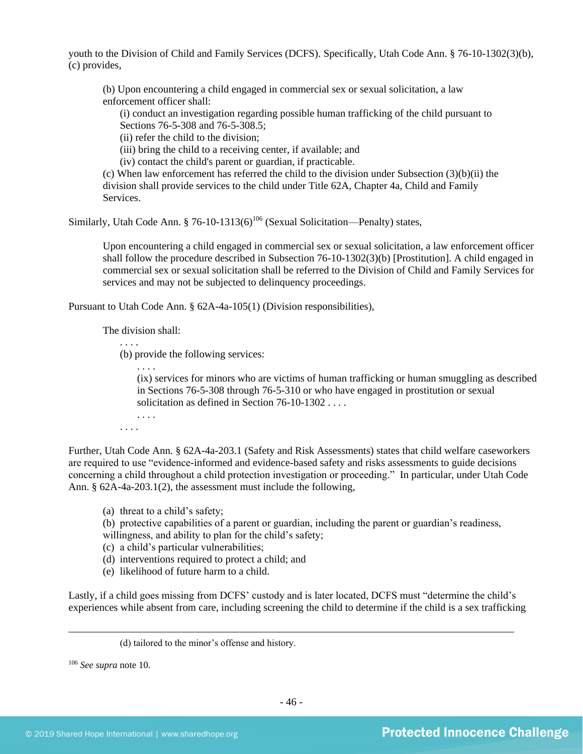youth to the Division of Child and Family Services (DCFS). Specifically, Utah Code Ann. § 76-10-1302(3)(b), (c) provides,

(b) Upon encountering a child engaged in commercial sex or sexual solicitation, a law enforcement officer shall:

(i) conduct an investigation regarding possible human trafficking of the child pursuant to Sections 76-5-308 and 76-5-308.5;

(ii) refer the child to the division;

(iii) bring the child to a receiving center, if available; and

(iv) contact the child's parent or guardian, if practicable.

(c) When law enforcement has referred the child to the division under Subsection  $(3)(b)(ii)$  the division shall provide services to the child under Title 62A, Chapter 4a, Child and Family Services.

Similarly, Utah Code Ann. § 76-10-1313(6)<sup>106</sup> (Sexual Solicitation—Penalty) states,

Upon encountering a child engaged in commercial sex or sexual solicitation, a law enforcement officer shall follow the procedure described in Subsection 76-10-1302(3)(b) [Prostitution]. A child engaged in commercial sex or sexual solicitation shall be referred to the Division of Child and Family Services for services and may not be subjected to delinquency proceedings.

Pursuant to Utah Code Ann. § 62A-4a-105(1) (Division responsibilities),

The division shall:

. . . .

(b) provide the following services:

. . . . (ix) services for minors who are victims of human trafficking or human smuggling as described in Sections 76-5-308 through 76-5-310 or who have engaged in prostitution or sexual solicitation as defined in Section 76-10-1302 . . . .

. . . . . . . .

Further, Utah Code Ann. § 62A-4a-203.1 (Safety and Risk Assessments) states that child welfare caseworkers are required to use "evidence-informed and evidence-based safety and risks assessments to guide decisions concerning a child throughout a child protection investigation or proceeding." In particular, under Utah Code Ann. § 62A-4a-203.1(2), the assessment must include the following,

(a) threat to a child's safety;

(b) protective capabilities of a parent or guardian, including the parent or guardian's readiness,

willingness, and ability to plan for the child's safety;

(c) a child's particular vulnerabilities;

(d) interventions required to protect a child; and

(e) likelihood of future harm to a child.

Lastly, if a child goes missing from DCFS' custody and is later located, DCFS must "determine the child's experiences while absent from care, including screening the child to determine if the child is a sex trafficking

<sup>106</sup> *See supra* not[e 10.](#page-5-0)

<sup>(</sup>d) tailored to the minor's offense and history.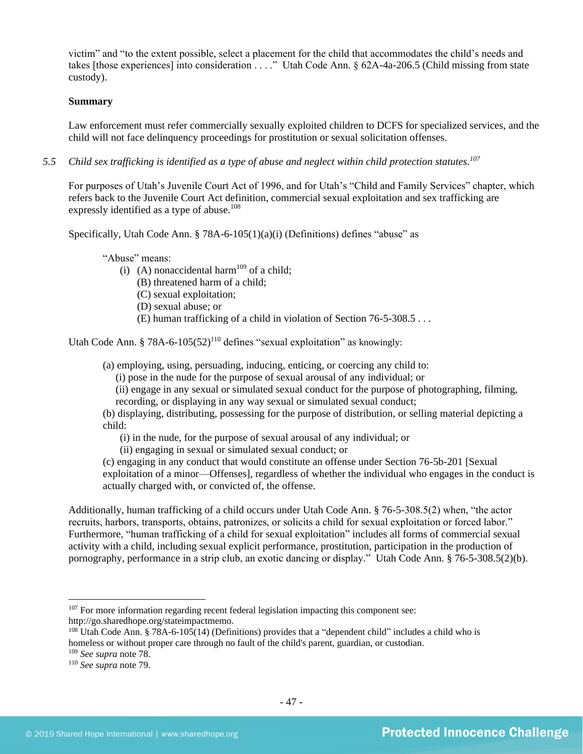victim" and "to the extent possible, select a placement for the child that accommodates the child's needs and takes [those experiences] into consideration . . . ." Utah Code Ann. § 62A-4a-206.5 (Child missing from state custody).

## **Summary**

Law enforcement must refer commercially sexually exploited children to DCFS for specialized services, and the child will not face delinquency proceedings for prostitution or sexual solicitation offenses.

*5.5 Child sex trafficking is identified as a type of abuse and neglect within child protection statutes. 107*

For purposes of Utah's Juvenile Court Act of 1996, and for Utah's "Child and Family Services" chapter, which refers back to the Juvenile Court Act definition, commercial sexual exploitation and sex trafficking are expressly identified as a type of abuse.<sup>108</sup>

Specifically, Utah Code Ann. § 78A-6-105(1)(a)(i) (Definitions) defines "abuse" as

"Abuse" means:

- (i) (A) nonaccidental harm<sup>109</sup> of a child;
	- (B) threatened harm of a child;
	- (C) sexual exploitation;
	- (D) sexual abuse; or
	- (E) human trafficking of a child in violation of Section 76-5-308.5 . . .

Utah Code Ann. § 78A-6-105 $(52)^{110}$  defines "sexual exploitation" as knowingly:

(a) employing, using, persuading, inducing, enticing, or coercing any child to:

(i) pose in the nude for the purpose of sexual arousal of any individual; or

(ii) engage in any sexual or simulated sexual conduct for the purpose of photographing, filming, recording, or displaying in any way sexual or simulated sexual conduct;

(b) displaying, distributing, possessing for the purpose of distribution, or selling material depicting a child:

(i) in the nude, for the purpose of sexual arousal of any individual; or

(ii) engaging in sexual or simulated sexual conduct; or

(c) engaging in any conduct that would constitute an offense under Section 76-5b-201 [Sexual exploitation of a minor—Offenses], regardless of whether the individual who engages in the conduct is actually charged with, or convicted of, the offense.

Additionally, human trafficking of a child occurs under Utah Code Ann. § 76-5-308.5(2) when, "the actor recruits, harbors, transports, obtains, patronizes, or solicits a child for sexual exploitation or forced labor." Furthermore, "human trafficking of a child for sexual exploitation" includes all forms of commercial sexual activity with a child, including sexual explicit performance, prostitution, participation in the production of pornography, performance in a strip club, an exotic dancing or display." Utah Code Ann. § 76-5-308.5(2)(b).

<sup>107</sup> For more information regarding recent federal legislation impacting this component see: http://go.sharedhope.org/stateimpactmemo.

<sup>108</sup> Utah Code Ann. § 78A-6-105(14) (Definitions) provides that a "dependent child" includes a child who is homeless or without proper care through no fault of the child's parent, guardian, or custodian.

<sup>109</sup> *See supra* not[e 78.](#page-35-0)

<sup>110</sup> *See supra* not[e 79.](#page-35-1)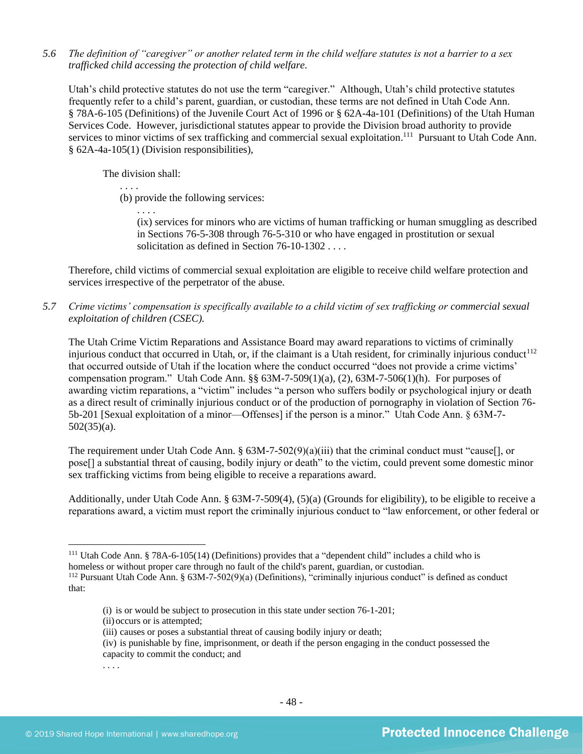*5.6 The definition of "caregiver" or another related term in the child welfare statutes is not a barrier to a sex trafficked child accessing the protection of child welfare.*

Utah's child protective statutes do not use the term "caregiver." Although, Utah's child protective statutes frequently refer to a child's parent, guardian, or custodian, these terms are not defined in Utah Code Ann. § 78A-6-105 (Definitions) of the Juvenile Court Act of 1996 or § 62A-4a-101 (Definitions) of the Utah Human Services Code. However, jurisdictional statutes appear to provide the Division broad authority to provide services to minor victims of sex trafficking and commercial sexual exploitation.<sup>111</sup> Pursuant to Utah Code Ann. § 62A-4a-105(1) (Division responsibilities),

The division shall:

. . . .

. . . .

(b) provide the following services:

(ix) services for minors who are victims of human trafficking or human smuggling as described in Sections 76-5-308 through 76-5-310 or who have engaged in prostitution or sexual solicitation as defined in Section 76-10-1302 . . . .

Therefore, child victims of commercial sexual exploitation are eligible to receive child welfare protection and services irrespective of the perpetrator of the abuse.

*5.7 Crime victims' compensation is specifically available to a child victim of sex trafficking or commercial sexual exploitation of children (CSEC).*

The Utah Crime Victim Reparations and Assistance Board may award reparations to victims of criminally injurious conduct that occurred in Utah, or, if the claimant is a Utah resident, for criminally injurious conduct<sup>112</sup> that occurred outside of Utah if the location where the conduct occurred "does not provide a crime victims' compensation program." Utah Code Ann. §§  $63M-7-509(1)(a)$ ,  $(2)$ ,  $63M-7-506(1)(h)$ . For purposes of awarding victim reparations, a "victim" includes "a person who suffers bodily or psychological injury or death as a direct result of criminally injurious conduct or of the production of pornography in violation of Section 76- 5b-201 [Sexual exploitation of a minor—Offenses] if the person is a minor." Utah Code Ann. § 63M-7- 502(35)(a).

The requirement under Utah Code Ann. § 63M-7-502(9)(a)(iii) that the criminal conduct must "cause[], or pose[] a substantial threat of causing, bodily injury or death" to the victim, could prevent some domestic minor sex trafficking victims from being eligible to receive a reparations award.

Additionally, under Utah Code Ann. § 63M-7-509(4), (5)(a) (Grounds for eligibility), to be eligible to receive a reparations award, a victim must report the criminally injurious conduct to "law enforcement, or other federal or

. . . .

<sup>111</sup> Utah Code Ann. § 78A-6-105(14) (Definitions) provides that a "dependent child" includes a child who is

homeless or without proper care through no fault of the child's parent, guardian, or custodian.

<sup>112</sup> Pursuant Utah Code Ann. § 63M-7-502(9)(a) (Definitions), "criminally injurious conduct" is defined as conduct that:

<sup>(</sup>i) is or would be subject to prosecution in this state under section 76-1-201;

<sup>(</sup>ii) occurs or is attempted;

<sup>(</sup>iii) causes or poses a substantial threat of causing bodily injury or death;

<sup>(</sup>iv) is punishable by fine, imprisonment, or death if the person engaging in the conduct possessed the capacity to commit the conduct; and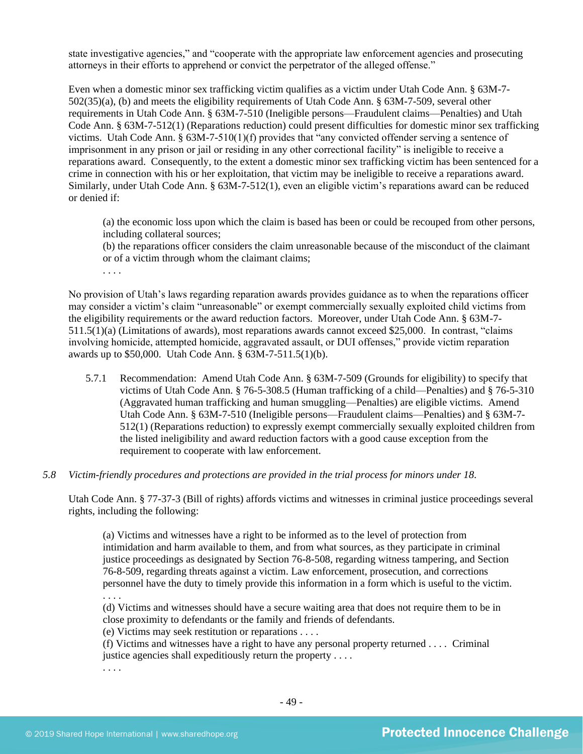state investigative agencies," and "cooperate with the appropriate law enforcement agencies and prosecuting attorneys in their efforts to apprehend or convict the perpetrator of the alleged offense."

Even when a domestic minor sex trafficking victim qualifies as a victim under Utah Code Ann. § 63M-7- 502(35)(a), (b) and meets the eligibility requirements of Utah Code Ann. § 63M-7-509, several other requirements in Utah Code Ann. § 63M-7-510 (Ineligible persons—Fraudulent claims—Penalties) and Utah Code Ann. § 63M-7-512(1) (Reparations reduction) could present difficulties for domestic minor sex trafficking victims. Utah Code Ann. § 63M-7-510(1)(f) provides that "any convicted offender serving a sentence of imprisonment in any prison or jail or residing in any other correctional facility" is ineligible to receive a reparations award. Consequently, to the extent a domestic minor sex trafficking victim has been sentenced for a crime in connection with his or her exploitation, that victim may be ineligible to receive a reparations award. Similarly, under Utah Code Ann. § 63M-7-512(1), even an eligible victim's reparations award can be reduced or denied if:

(a) the economic loss upon which the claim is based has been or could be recouped from other persons, including collateral sources;

(b) the reparations officer considers the claim unreasonable because of the misconduct of the claimant or of a victim through whom the claimant claims;

. . . .

No provision of Utah's laws regarding reparation awards provides guidance as to when the reparations officer may consider a victim's claim "unreasonable" or exempt commercially sexually exploited child victims from the eligibility requirements or the award reduction factors. Moreover, under Utah Code Ann. § 63M-7- 511.5(1)(a) (Limitations of awards), most reparations awards cannot exceed \$25,000. In contrast, "claims involving homicide, attempted homicide, aggravated assault, or DUI offenses," provide victim reparation awards up to \$50,000. Utah Code Ann. § 63M-7-511.5(1)(b).

- 5.7.1 Recommendation: Amend Utah Code Ann. § 63M-7-509 (Grounds for eligibility) to specify that victims of Utah Code Ann. § 76-5-308.5 (Human trafficking of a child—Penalties) and § 76-5-310 (Aggravated human trafficking and human smuggling—Penalties) are eligible victims. Amend Utah Code Ann. § 63M-7-510 (Ineligible persons—Fraudulent claims—Penalties) and § 63M-7- 512(1) (Reparations reduction) to expressly exempt commercially sexually exploited children from the listed ineligibility and award reduction factors with a good cause exception from the requirement to cooperate with law enforcement.
- *5.8 Victim-friendly procedures and protections are provided in the trial process for minors under 18.*

Utah Code Ann. § 77-37-3 (Bill of rights) affords victims and witnesses in criminal justice proceedings several rights, including the following:

(a) Victims and witnesses have a right to be informed as to the level of protection from intimidation and harm available to them, and from what sources, as they participate in criminal justice proceedings as designated by Section 76-8-508, regarding witness tampering, and Section 76-8-509, regarding threats against a victim. Law enforcement, prosecution, and corrections personnel have the duty to timely provide this information in a form which is useful to the victim. . . . .

(d) Victims and witnesses should have a secure waiting area that does not require them to be in close proximity to defendants or the family and friends of defendants.

(e) Victims may seek restitution or reparations . . . .

(f) Victims and witnesses have a right to have any personal property returned . . . . Criminal justice agencies shall expeditiously return the property . . . .

. . . .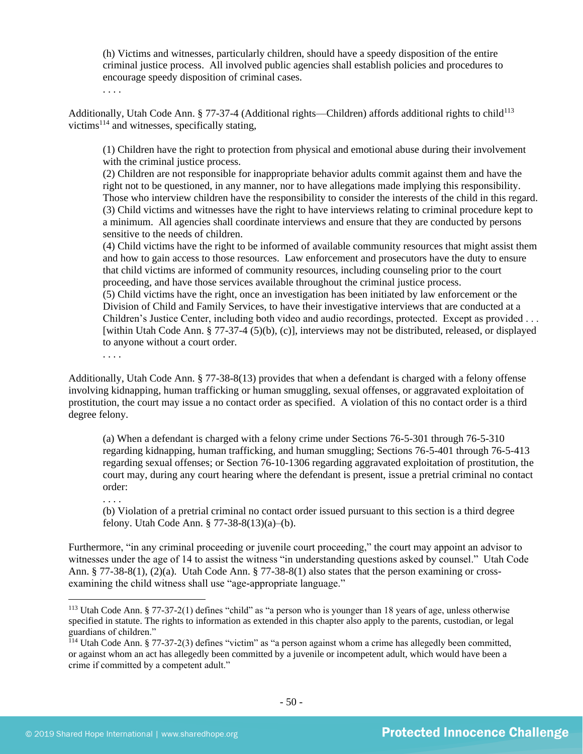(h) Victims and witnesses, particularly children, should have a speedy disposition of the entire criminal justice process. All involved public agencies shall establish policies and procedures to encourage speedy disposition of criminal cases.

. . . .

Additionally, Utah Code Ann. § 77-37-4 (Additional rights—Children) affords additional rights to child<sup>113</sup> victims<sup>114</sup> and witnesses, specifically stating,

(1) Children have the right to protection from physical and emotional abuse during their involvement with the criminal justice process.

(2) Children are not responsible for inappropriate behavior adults commit against them and have the right not to be questioned, in any manner, nor to have allegations made implying this responsibility. Those who interview children have the responsibility to consider the interests of the child in this regard. (3) Child victims and witnesses have the right to have interviews relating to criminal procedure kept to a minimum. All agencies shall coordinate interviews and ensure that they are conducted by persons sensitive to the needs of children.

(4) Child victims have the right to be informed of available community resources that might assist them and how to gain access to those resources. Law enforcement and prosecutors have the duty to ensure that child victims are informed of community resources, including counseling prior to the court proceeding, and have those services available throughout the criminal justice process.

(5) Child victims have the right, once an investigation has been initiated by law enforcement or the Division of Child and Family Services, to have their investigative interviews that are conducted at a Children's Justice Center, including both video and audio recordings, protected. Except as provided . . . [within Utah Code Ann. § 77-37-4 (5)(b), (c)], interviews may not be distributed, released, or displayed to anyone without a court order.

. . . .

. . . .

Additionally, Utah Code Ann. § 77-38-8(13) provides that when a defendant is charged with a felony offense involving kidnapping, human trafficking or human smuggling, sexual offenses, or aggravated exploitation of prostitution, the court may issue a no contact order as specified. A violation of this no contact order is a third degree felony.

(a) When a defendant is charged with a felony crime under Sections 76-5-301 through 76-5-310 regarding kidnapping, human trafficking, and human smuggling; Sections 76-5-401 through 76-5-413 regarding sexual offenses; or Section 76-10-1306 regarding aggravated exploitation of prostitution, the court may, during any court hearing where the defendant is present, issue a pretrial criminal no contact order:

(b) Violation of a pretrial criminal no contact order issued pursuant to this section is a third degree felony. Utah Code Ann. § 77-38-8(13)(a)–(b).

Furthermore, "in any criminal proceeding or juvenile court proceeding," the court may appoint an advisor to witnesses under the age of 14 to assist the witness "in understanding questions asked by counsel." Utah Code Ann. § 77-38-8(1), (2)(a). Utah Code Ann. § 77-38-8(1) also states that the person examining or crossexamining the child witness shall use "age-appropriate language."

<sup>113</sup> Utah Code Ann. § 77-37-2(1) defines "child" as "a person who is younger than 18 years of age, unless otherwise specified in statute. The rights to information as extended in this chapter also apply to the parents, custodian, or legal guardians of children."

 $^{114}$  Utah Code Ann. § 77-37-2(3) defines "victim" as "a person against whom a crime has allegedly been committed, or against whom an act has allegedly been committed by a juvenile or incompetent adult, which would have been a crime if committed by a competent adult."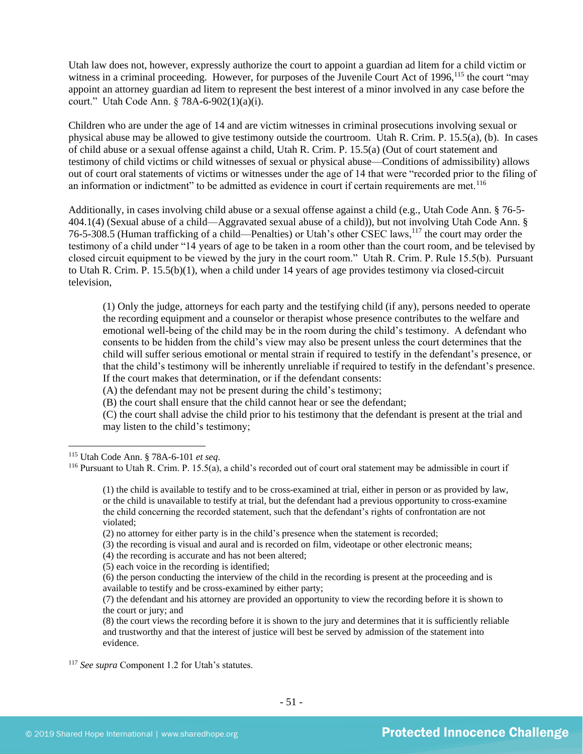Utah law does not, however, expressly authorize the court to appoint a guardian ad litem for a child victim or witness in a criminal proceeding. However, for purposes of the Juvenile Court Act of 1996,<sup>115</sup> the court "may appoint an attorney guardian ad litem to represent the best interest of a minor involved in any case before the court." Utah Code Ann. § 78A-6-902(1)(a)(i).

Children who are under the age of 14 and are victim witnesses in criminal prosecutions involving sexual or physical abuse may be allowed to give testimony outside the courtroom. Utah R. Crim. P. 15.5(a), (b). In cases of child abuse or a sexual offense against a child, Utah R. Crim. P. 15.5(a) (Out of court statement and testimony of child victims or child witnesses of sexual or physical abuse—Conditions of admissibility) allows out of court oral statements of victims or witnesses under the age of 14 that were "recorded prior to the filing of an information or indictment" to be admitted as evidence in court if certain requirements are met.<sup>116</sup>

Additionally, in cases involving child abuse or a sexual offense against a child (e.g., Utah Code Ann. § 76-5- 404.1(4) (Sexual abuse of a child—Aggravated sexual abuse of a child)), but not involving Utah Code Ann. § 76-5-308.5 (Human trafficking of a child—Penalties) or Utah's other CSEC laws,<sup>117</sup> the court may order the testimony of a child under "14 years of age to be taken in a room other than the court room, and be televised by closed circuit equipment to be viewed by the jury in the court room." Utah R. Crim. P. Rule 15.5(b). Pursuant to Utah R. Crim. P. 15.5(b)(1), when a child under 14 years of age provides testimony via closed-circuit television,

(1) Only the judge, attorneys for each party and the testifying child (if any), persons needed to operate the recording equipment and a counselor or therapist whose presence contributes to the welfare and emotional well-being of the child may be in the room during the child's testimony. A defendant who consents to be hidden from the child's view may also be present unless the court determines that the child will suffer serious emotional or mental strain if required to testify in the defendant's presence, or that the child's testimony will be inherently unreliable if required to testify in the defendant's presence. If the court makes that determination, or if the defendant consents:

(A) the defendant may not be present during the child's testimony;

(B) the court shall ensure that the child cannot hear or see the defendant;

(C) the court shall advise the child prior to his testimony that the defendant is present at the trial and may listen to the child's testimony;

<sup>115</sup> Utah Code Ann. § 78A-6-101 *et seq*.

 $116$  Pursuant to Utah R. Crim. P. 15.5(a), a child's recorded out of court oral statement may be admissible in court if

<sup>(1)</sup> the child is available to testify and to be cross-examined at trial, either in person or as provided by law, or the child is unavailable to testify at trial, but the defendant had a previous opportunity to cross-examine the child concerning the recorded statement, such that the defendant's rights of confrontation are not violated;

<sup>(2)</sup> no attorney for either party is in the child's presence when the statement is recorded;

<sup>(3)</sup> the recording is visual and aural and is recorded on film, videotape or other electronic means;

<sup>(4)</sup> the recording is accurate and has not been altered;

<sup>(5)</sup> each voice in the recording is identified;

<sup>(6)</sup> the person conducting the interview of the child in the recording is present at the proceeding and is available to testify and be cross-examined by either party;

<sup>(7)</sup> the defendant and his attorney are provided an opportunity to view the recording before it is shown to the court or jury; and

<sup>(8)</sup> the court views the recording before it is shown to the jury and determines that it is sufficiently reliable and trustworthy and that the interest of justice will best be served by admission of the statement into evidence.

<sup>117</sup> *See supra* Component 1.2 for Utah's statutes.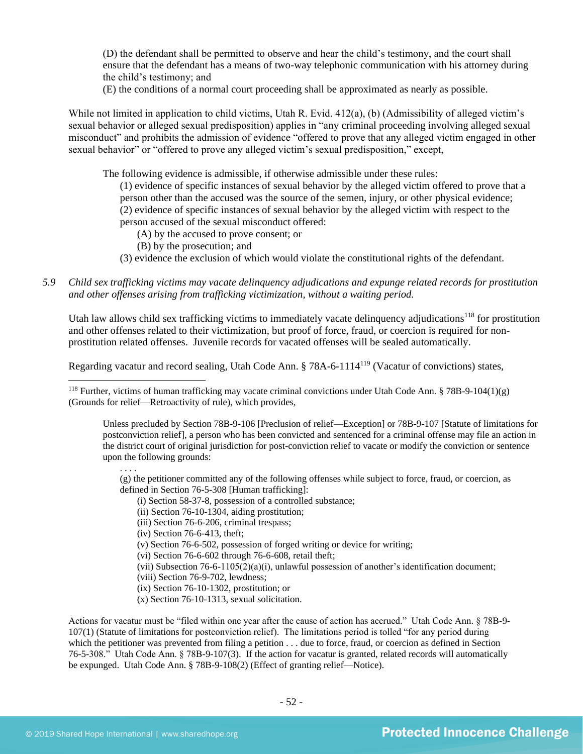(D) the defendant shall be permitted to observe and hear the child's testimony, and the court shall ensure that the defendant has a means of two-way telephonic communication with his attorney during the child's testimony; and

(E) the conditions of a normal court proceeding shall be approximated as nearly as possible.

While not limited in application to child victims, Utah R. Evid. 412(a), (b) (Admissibility of alleged victim's sexual behavior or alleged sexual predisposition) applies in "any criminal proceeding involving alleged sexual misconduct" and prohibits the admission of evidence "offered to prove that any alleged victim engaged in other sexual behavior" or "offered to prove any alleged victim's sexual predisposition," except,

The following evidence is admissible, if otherwise admissible under these rules:

(1) evidence of specific instances of sexual behavior by the alleged victim offered to prove that a person other than the accused was the source of the semen, injury, or other physical evidence; (2) evidence of specific instances of sexual behavior by the alleged victim with respect to the person accused of the sexual misconduct offered:

- (A) by the accused to prove consent; or
- (B) by the prosecution; and
- (3) evidence the exclusion of which would violate the constitutional rights of the defendant.
- *5.9 Child sex trafficking victims may vacate delinquency adjudications and expunge related records for prostitution and other offenses arising from trafficking victimization, without a waiting period.*

Utah law allows child sex trafficking victims to immediately vacate delinquency adjudications<sup>118</sup> for prostitution and other offenses related to their victimization, but proof of force, fraud, or coercion is required for nonprostitution related offenses. Juvenile records for vacated offenses will be sealed automatically.

Regarding vacatur and record sealing, Utah Code Ann. § 78A-6-1114<sup>119</sup> (Vacatur of convictions) states,

Unless precluded by Section 78B-9-106 [Preclusion of relief—Exception] or 78B-9-107 [Statute of limitations for postconviction relief], a person who has been convicted and sentenced for a criminal offense may file an action in the district court of original jurisdiction for post-conviction relief to vacate or modify the conviction or sentence upon the following grounds:

(g) the petitioner committed any of the following offenses while subject to force, fraud, or coercion, as defined in Section 76-5-308 [Human trafficking]:

- (i) Section 58-37-8, possession of a controlled substance;
- (ii) Section 76-10-1304, aiding prostitution;
- (iii) Section 76-6-206, criminal trespass;

(iv) Section 76-6-413, theft;

(v) Section 76-6-502, possession of forged writing or device for writing;

- (vi) Section 76-6-602 through 76-6-608, retail theft;
- (vii) Subsection 76-6-1105(2)(a)(i), unlawful possession of another's identification document;

(viii) Section 76-9-702, lewdness;

- (ix) Section 76-10-1302, prostitution; or
- (x) Section 76-10-1313, sexual solicitation.

Actions for vacatur must be "filed within one year after the cause of action has accrued." Utah Code Ann. § 78B-9- 107(1) (Statute of limitations for postconviction relief). The limitations period is tolled "for any period during which the petitioner was prevented from filing a petition . . . due to force, fraud, or coercion as defined in Section 76-5-308." Utah Code Ann. § 78B-9-107(3). If the action for vacatur is granted, related records will automatically be expunged. Utah Code Ann. § 78B-9-108(2) (Effect of granting relief—Notice).

. . . .

<sup>&</sup>lt;sup>118</sup> Further, victims of human trafficking may vacate criminal convictions under Utah Code Ann. § 78B-9-104(1)(g) (Grounds for relief—Retroactivity of rule), which provides,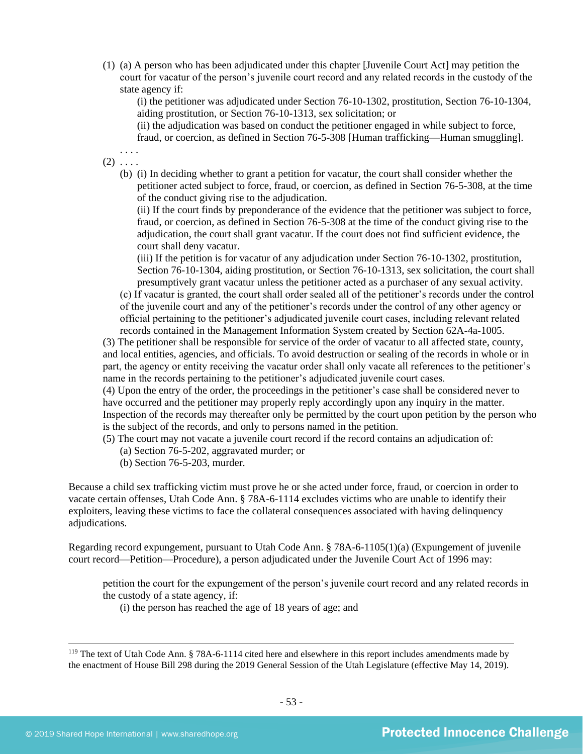(1) (a) A person who has been adjudicated under this chapter [Juvenile Court Act] may petition the court for vacatur of the person's juvenile court record and any related records in the custody of the state agency if:

(i) the petitioner was adjudicated under Section 76-10-1302, prostitution, Section 76-10-1304, aiding prostitution, or Section 76-10-1313, sex solicitation; or

(ii) the adjudication was based on conduct the petitioner engaged in while subject to force, fraud, or coercion, as defined in Section 76-5-308 [Human trafficking—Human smuggling].

. . . .  $(2) \ldots$ 

> (b) (i) In deciding whether to grant a petition for vacatur, the court shall consider whether the petitioner acted subject to force, fraud, or coercion, as defined in Section 76-5-308, at the time of the conduct giving rise to the adjudication.

(ii) If the court finds by preponderance of the evidence that the petitioner was subject to force, fraud, or coercion, as defined in Section 76-5-308 at the time of the conduct giving rise to the adjudication, the court shall grant vacatur. If the court does not find sufficient evidence, the court shall deny vacatur.

(iii) If the petition is for vacatur of any adjudication under Section 76-10-1302, prostitution, Section 76-10-1304, aiding prostitution, or Section 76-10-1313, sex solicitation, the court shall presumptively grant vacatur unless the petitioner acted as a purchaser of any sexual activity.

(c) If vacatur is granted, the court shall order sealed all of the petitioner's records under the control of the juvenile court and any of the petitioner's records under the control of any other agency or official pertaining to the petitioner's adjudicated juvenile court cases, including relevant related records contained in the Management Information System created by Section 62A-4a-1005.

(3) The petitioner shall be responsible for service of the order of vacatur to all affected state, county, and local entities, agencies, and officials. To avoid destruction or sealing of the records in whole or in part, the agency or entity receiving the vacatur order shall only vacate all references to the petitioner's name in the records pertaining to the petitioner's adjudicated juvenile court cases.

(4) Upon the entry of the order, the proceedings in the petitioner's case shall be considered never to have occurred and the petitioner may properly reply accordingly upon any inquiry in the matter. Inspection of the records may thereafter only be permitted by the court upon petition by the person who is the subject of the records, and only to persons named in the petition.

- (5) The court may not vacate a juvenile court record if the record contains an adjudication of:
	- (a) Section 76-5-202, aggravated murder; or
	- (b) Section 76-5-203, murder.

Because a child sex trafficking victim must prove he or she acted under force, fraud, or coercion in order to vacate certain offenses, Utah Code Ann. § 78A-6-1114 excludes victims who are unable to identify their exploiters, leaving these victims to face the collateral consequences associated with having delinquency adjudications.

Regarding record expungement, pursuant to Utah Code Ann. § 78A-6-1105(1)(a) (Expungement of juvenile court record—Petition—Procedure), a person adjudicated under the Juvenile Court Act of 1996 may:

petition the court for the expungement of the person's juvenile court record and any related records in the custody of a state agency, if:

(i) the person has reached the age of 18 years of age; and

<sup>&</sup>lt;sup>119</sup> The text of Utah Code Ann. § 78A-6-1114 cited here and elsewhere in this report includes amendments made by the enactment of House Bill 298 during the 2019 General Session of the Utah Legislature (effective May 14, 2019).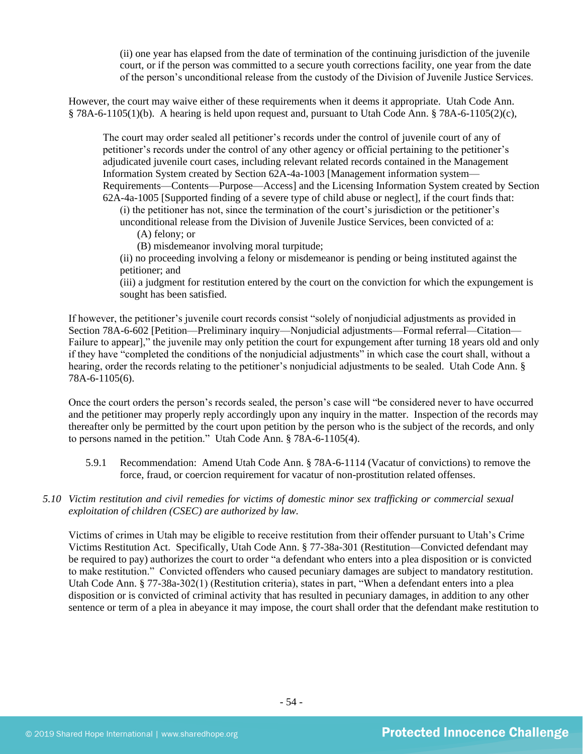(ii) one year has elapsed from the date of termination of the continuing jurisdiction of the juvenile court, or if the person was committed to a secure youth corrections facility, one year from the date of the person's unconditional release from the custody of the Division of Juvenile Justice Services.

However, the court may waive either of these requirements when it deems it appropriate. Utah Code Ann. § 78A-6-1105(1)(b). A hearing is held upon request and, pursuant to Utah Code Ann. § 78A-6-1105(2)(c),

The court may order sealed all petitioner's records under the control of juvenile court of any of petitioner's records under the control of any other agency or official pertaining to the petitioner's adjudicated juvenile court cases, including relevant related records contained in the Management Information System created by Section 62A-4a-1003 [Management information system— Requirements—Contents—Purpose—Access] and the Licensing Information System created by Section 62A-4a-1005 [Supported finding of a severe type of child abuse or neglect], if the court finds that:

(i) the petitioner has not, since the termination of the court's jurisdiction or the petitioner's unconditional release from the Division of Juvenile Justice Services, been convicted of a:

(A) felony; or

(B) misdemeanor involving moral turpitude;

(ii) no proceeding involving a felony or misdemeanor is pending or being instituted against the petitioner; and

(iii) a judgment for restitution entered by the court on the conviction for which the expungement is sought has been satisfied.

If however, the petitioner's juvenile court records consist "solely of nonjudicial adjustments as provided in Section 78A-6-602 [Petition—Preliminary inquiry—Nonjudicial adjustments—Formal referral—Citation— Failure to appear]," the juvenile may only petition the court for expungement after turning 18 years old and only if they have "completed the conditions of the nonjudicial adjustments" in which case the court shall, without a hearing, order the records relating to the petitioner's nonjudicial adjustments to be sealed. Utah Code Ann. § 78A-6-1105(6).

Once the court orders the person's records sealed, the person's case will "be considered never to have occurred and the petitioner may properly reply accordingly upon any inquiry in the matter. Inspection of the records may thereafter only be permitted by the court upon petition by the person who is the subject of the records, and only to persons named in the petition." Utah Code Ann. § 78A-6-1105(4).

- 5.9.1 Recommendation: Amend Utah Code Ann. § 78A-6-1114 (Vacatur of convictions) to remove the force, fraud, or coercion requirement for vacatur of non-prostitution related offenses.
- *5.10 Victim restitution and civil remedies for victims of domestic minor sex trafficking or commercial sexual exploitation of children (CSEC) are authorized by law.*

Victims of crimes in Utah may be eligible to receive restitution from their offender pursuant to Utah's Crime Victims Restitution Act. Specifically, Utah Code Ann. § 77-38a-301 (Restitution—Convicted defendant may be required to pay) authorizes the court to order "a defendant who enters into a plea disposition or is convicted to make restitution." Convicted offenders who caused pecuniary damages are subject to mandatory restitution. Utah Code Ann. § 77-38a-302(1) (Restitution criteria), states in part, "When a defendant enters into a plea disposition or is convicted of criminal activity that has resulted in pecuniary damages, in addition to any other sentence or term of a plea in abeyance it may impose, the court shall order that the defendant make restitution to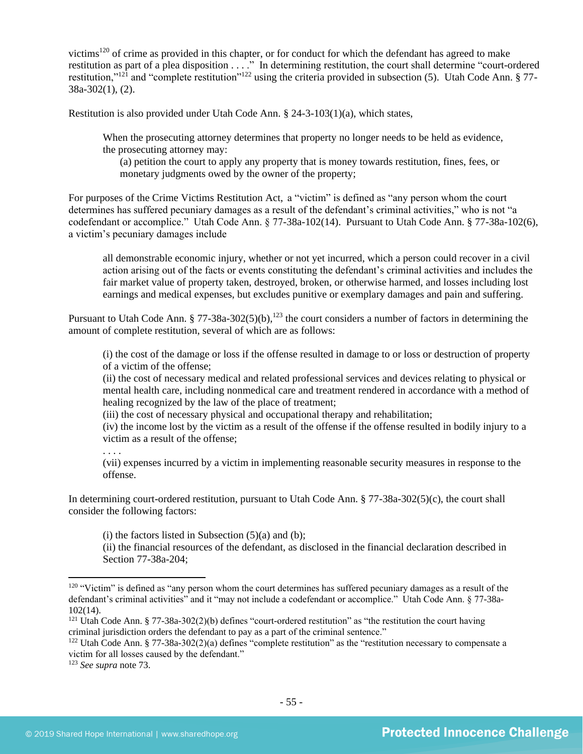victims<sup>120</sup> of crime as provided in this chapter, or for conduct for which the defendant has agreed to make restitution as part of a plea disposition . . . ." In determining restitution, the court shall determine "court-ordered restitution,"<sup>121</sup> and "complete restitution"<sup>122</sup> using the criteria provided in subsection (5). Utah Code Ann. § 77-38a-302(1), (2).

Restitution is also provided under Utah Code Ann.  $\S$  24-3-103(1)(a), which states,

When the prosecuting attorney determines that property no longer needs to be held as evidence, the prosecuting attorney may:

(a) petition the court to apply any property that is money towards restitution, fines, fees, or monetary judgments owed by the owner of the property;

For purposes of the Crime Victims Restitution Act, a "victim" is defined as "any person whom the court determines has suffered pecuniary damages as a result of the defendant's criminal activities," who is not "a codefendant or accomplice." Utah Code Ann. § 77-38a-102(14). Pursuant to Utah Code Ann. § 77-38a-102(6), a victim's pecuniary damages include

all demonstrable economic injury, whether or not yet incurred, which a person could recover in a civil action arising out of the facts or events constituting the defendant's criminal activities and includes the fair market value of property taken, destroyed, broken, or otherwise harmed, and losses including lost earnings and medical expenses, but excludes punitive or exemplary damages and pain and suffering.

Pursuant to Utah Code Ann. § 77-38a-302(5)(b),<sup>123</sup> the court considers a number of factors in determining the amount of complete restitution, several of which are as follows:

(i) the cost of the damage or loss if the offense resulted in damage to or loss or destruction of property of a victim of the offense;

(ii) the cost of necessary medical and related professional services and devices relating to physical or mental health care, including nonmedical care and treatment rendered in accordance with a method of healing recognized by the law of the place of treatment;

(iii) the cost of necessary physical and occupational therapy and rehabilitation;

(iv) the income lost by the victim as a result of the offense if the offense resulted in bodily injury to a victim as a result of the offense;

. . . .

(vii) expenses incurred by a victim in implementing reasonable security measures in response to the offense.

In determining court-ordered restitution, pursuant to Utah Code Ann. § 77-38a-302(5)(c), the court shall consider the following factors:

 $(i)$  the factors listed in Subsection  $(5)(a)$  and  $(b)$ ;

(ii) the financial resources of the defendant, as disclosed in the financial declaration described in Section 77-38a-204;

<sup>&</sup>lt;sup>120</sup> "Victim" is defined as "any person whom the court determines has suffered pecuniary damages as a result of the defendant's criminal activities" and it "may not include a codefendant or accomplice." Utah Code Ann. § 77-38a-102(14).

<sup>&</sup>lt;sup>121</sup> Utah Code Ann. § 77-38a-302(2)(b) defines "court-ordered restitution" as "the restitution the court having criminal jurisdiction orders the defendant to pay as a part of the criminal sentence."

<sup>&</sup>lt;sup>122</sup> Utah Code Ann. § 77-38a-302(2)(a) defines "complete restitution" as the "restitution necessary to compensate a victim for all losses caused by the defendant."

<sup>123</sup> *See supra* not[e 73.](#page-31-0)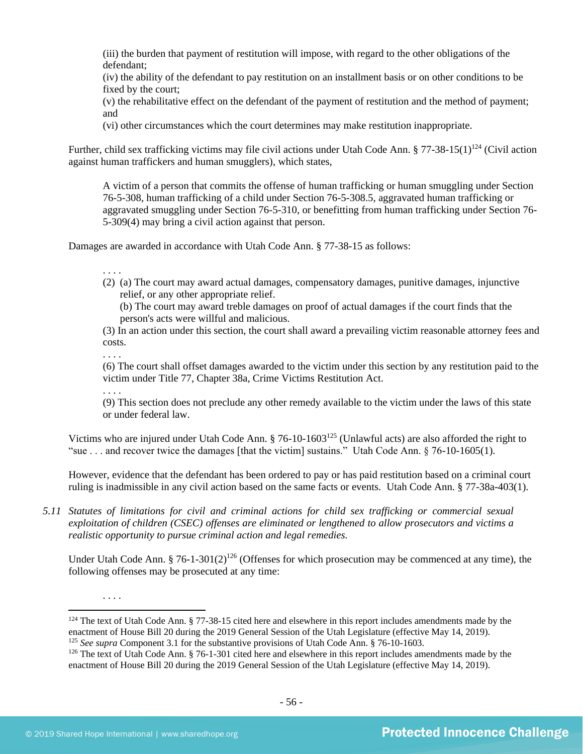(iii) the burden that payment of restitution will impose, with regard to the other obligations of the defendant;

(iv) the ability of the defendant to pay restitution on an installment basis or on other conditions to be fixed by the court;

(v) the rehabilitative effect on the defendant of the payment of restitution and the method of payment; and

<span id="page-55-0"></span>(vi) other circumstances which the court determines may make restitution inappropriate.

Further, child sex trafficking victims may file civil actions under Utah Code Ann. § 77-38-15(1)<sup>124</sup> (Civil action against human traffickers and human smugglers), which states,

A victim of a person that commits the offense of human trafficking or human smuggling under Section 76-5-308, human trafficking of a child under Section 76-5-308.5, aggravated human trafficking or aggravated smuggling under Section 76-5-310, or benefitting from human trafficking under Section 76- 5-309(4) may bring a civil action against that person.

Damages are awarded in accordance with Utah Code Ann. § 77-38-15 as follows:

. . . .

(2) (a) The court may award actual damages, compensatory damages, punitive damages, injunctive relief, or any other appropriate relief.

(b) The court may award treble damages on proof of actual damages if the court finds that the person's acts were willful and malicious.

(3) In an action under this section, the court shall award a prevailing victim reasonable attorney fees and costs.

. . . .

(6) The court shall offset damages awarded to the victim under this section by any restitution paid to the victim under Title 77, Chapter 38a, Crime Victims Restitution Act.

. . . .

(9) This section does not preclude any other remedy available to the victim under the laws of this state or under federal law.

Victims who are injured under Utah Code Ann. § 76-10-1603<sup>125</sup> (Unlawful acts) are also afforded the right to "sue . . . and recover twice the damages [that the victim] sustains." Utah Code Ann. § 76-10-1605(1).

However, evidence that the defendant has been ordered to pay or has paid restitution based on a criminal court ruling is inadmissible in any civil action based on the same facts or events. Utah Code Ann. § 77-38a-403(1).

*5.11 Statutes of limitations for civil and criminal actions for child sex trafficking or commercial sexual exploitation of children (CSEC) offenses are eliminated or lengthened to allow prosecutors and victims a realistic opportunity to pursue criminal action and legal remedies.*

Under Utah Code Ann. § 76-1-301(2)<sup>126</sup> (Offenses for which prosecution may be commenced at any time), the following offenses may be prosecuted at any time:

. . . .

 $124$  The text of Utah Code Ann. § 77-38-15 cited here and elsewhere in this report includes amendments made by the enactment of House Bill 20 during the 2019 General Session of the Utah Legislature (effective May 14, 2019). <sup>125</sup> *See supra* Component 3.1 for the substantive provisions of Utah Code Ann. § 76-10-1603.

 $126$  The text of Utah Code Ann. § 76-1-301 cited here and elsewhere in this report includes amendments made by the enactment of House Bill 20 during the 2019 General Session of the Utah Legislature (effective May 14, 2019).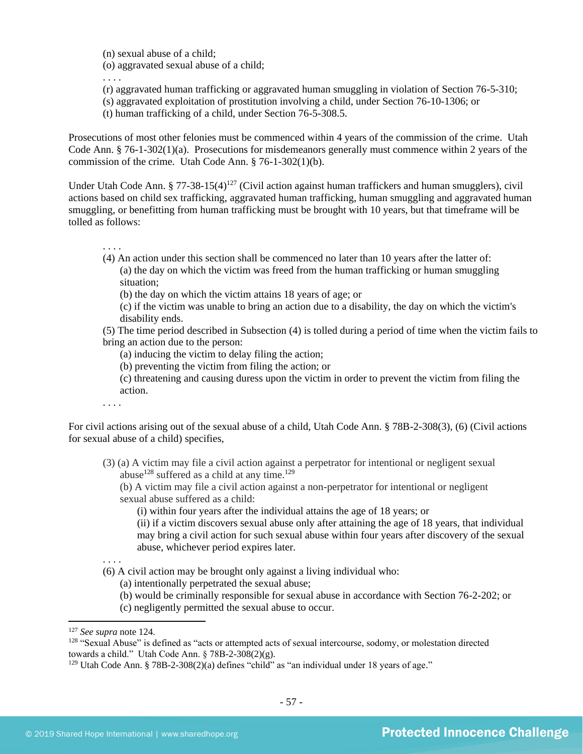(n) sexual abuse of a child;

(o) aggravated sexual abuse of a child;

. . . .

- (r) aggravated human trafficking or aggravated human smuggling in violation of Section 76-5-310;
- (s) aggravated exploitation of prostitution involving a child, under Section 76-10-1306; or
- (t) human trafficking of a child, under Section 76-5-308.5.

Prosecutions of most other felonies must be commenced within 4 years of the commission of the crime. Utah Code Ann. § 76-1-302(1)(a). Prosecutions for misdemeanors generally must commence within 2 years of the commission of the crime. Utah Code Ann. § 76-1-302(1)(b).

Under Utah Code Ann. § 77-38-15(4)<sup>127</sup> (Civil action against human traffickers and human smugglers), civil actions based on child sex trafficking, aggravated human trafficking, human smuggling and aggravated human smuggling, or benefitting from human trafficking must be brought with 10 years, but that timeframe will be tolled as follows:

. . . .

- (4) An action under this section shall be commenced no later than 10 years after the latter of: (a) the day on which the victim was freed from the human trafficking or human smuggling situation;
	- (b) the day on which the victim attains 18 years of age; or
	- (c) if the victim was unable to bring an action due to a disability, the day on which the victim's disability ends.
- (5) The time period described in Subsection (4) is tolled during a period of time when the victim fails to bring an action due to the person:
	- (a) inducing the victim to delay filing the action;
	- (b) preventing the victim from filing the action; or
	- (c) threatening and causing duress upon the victim in order to prevent the victim from filing the action.

. . . .

For civil actions arising out of the sexual abuse of a child, Utah Code Ann. § 78B-2-308(3), (6) (Civil actions for sexual abuse of a child) specifies,

(3) (a) A victim may file a civil action against a perpetrator for intentional or negligent sexual abuse<sup>128</sup> suffered as a child at any time.<sup>129</sup>

(b) A victim may file a civil action against a non-perpetrator for intentional or negligent sexual abuse suffered as a child:

(i) within four years after the individual attains the age of 18 years; or

(ii) if a victim discovers sexual abuse only after attaining the age of 18 years, that individual may bring a civil action for such sexual abuse within four years after discovery of the sexual abuse, whichever period expires later.

- . . . .
- (6) A civil action may be brought only against a living individual who:
	- (a) intentionally perpetrated the sexual abuse;
	- (b) would be criminally responsible for sexual abuse in accordance with Section 76-2-202; or
	- (c) negligently permitted the sexual abuse to occur.

<sup>127</sup> *See supra* not[e 124.](#page-55-0)

<sup>&</sup>lt;sup>128</sup> "Sexual Abuse" is defined as "acts or attempted acts of sexual intercourse, sodomy, or molestation directed towards a child." Utah Code Ann. § 78B-2-308(2)(g).

<sup>&</sup>lt;sup>129</sup> Utah Code Ann. § 78B-2-308(2)(a) defines "child" as "an individual under 18 years of age."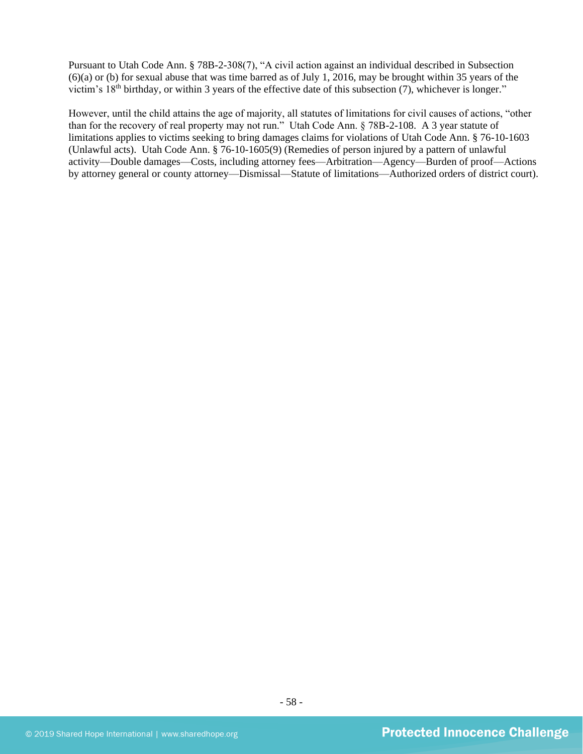Pursuant to Utah Code Ann. § 78B-2-308(7), "A civil action against an individual described in Subsection (6)(a) or (b) for sexual abuse that was time barred as of July 1, 2016, may be brought within 35 years of the victim's 18<sup>th</sup> birthday, or within 3 years of the effective date of this subsection (7), whichever is longer."

However, until the child attains the age of majority, all statutes of limitations for civil causes of actions, "other than for the recovery of real property may not run." Utah Code Ann. § 78B-2-108. A 3 year statute of limitations applies to victims seeking to bring damages claims for violations of Utah Code Ann. § 76-10-1603 (Unlawful acts). Utah Code Ann. § 76-10-1605(9) (Remedies of person injured by a pattern of unlawful activity—Double damages—Costs, including attorney fees—Arbitration—Agency—Burden of proof—Actions by attorney general or county attorney—Dismissal—Statute of limitations—Authorized orders of district court).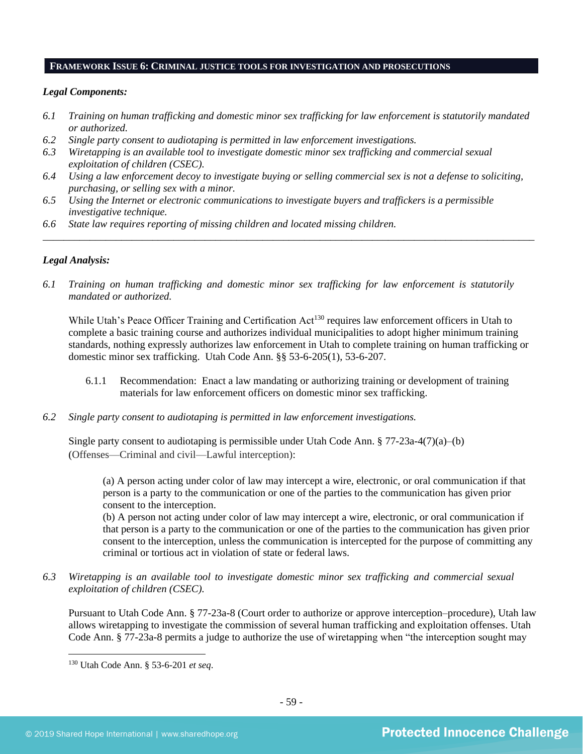#### **FRAMEWORK ISSUE 6: CRIMINAL JUSTICE TOOLS FOR INVESTIGATION AND PROSECUTIONS**

## *Legal Components:*

- *6.1 Training on human trafficking and domestic minor sex trafficking for law enforcement is statutorily mandated or authorized.*
- *6.2 Single party consent to audiotaping is permitted in law enforcement investigations.*
- *6.3 Wiretapping is an available tool to investigate domestic minor sex trafficking and commercial sexual exploitation of children (CSEC).*
- *6.4 Using a law enforcement decoy to investigate buying or selling commercial sex is not a defense to soliciting, purchasing, or selling sex with a minor.*

*\_\_\_\_\_\_\_\_\_\_\_\_\_\_\_\_\_\_\_\_\_\_\_\_\_\_\_\_\_\_\_\_\_\_\_\_\_\_\_\_\_\_\_\_\_\_\_\_\_\_\_\_\_\_\_\_\_\_\_\_\_\_\_\_\_\_\_\_\_\_\_\_\_\_\_\_\_\_\_\_\_\_\_\_\_\_\_\_\_\_\_\_\_\_*

- *6.5 Using the Internet or electronic communications to investigate buyers and traffickers is a permissible investigative technique.*
- *6.6 State law requires reporting of missing children and located missing children.*

## *Legal Analysis:*

*6.1 Training on human trafficking and domestic minor sex trafficking for law enforcement is statutorily mandated or authorized.*

While Utah's Peace Officer Training and Certification Act<sup>130</sup> requires law enforcement officers in Utah to complete a basic training course and authorizes individual municipalities to adopt higher minimum training standards, nothing expressly authorizes law enforcement in Utah to complete training on human trafficking or domestic minor sex trafficking. Utah Code Ann. §§ 53-6-205(1), 53-6-207.

- 6.1.1 Recommendation: Enact a law mandating or authorizing training or development of training materials for law enforcement officers on domestic minor sex trafficking.
- *6.2 Single party consent to audiotaping is permitted in law enforcement investigations.*

Single party consent to audiotaping is permissible under Utah Code Ann.  $\S 77-23a-4(7)(a)$ –(b) (Offenses—Criminal and civil—Lawful interception):

(a) A person acting under color of law may intercept a wire, electronic, or oral communication if that person is a party to the communication or one of the parties to the communication has given prior consent to the interception.

(b) A person not acting under color of law may intercept a wire, electronic, or oral communication if that person is a party to the communication or one of the parties to the communication has given prior consent to the interception, unless the communication is intercepted for the purpose of committing any criminal or tortious act in violation of state or federal laws.

*6.3 Wiretapping is an available tool to investigate domestic minor sex trafficking and commercial sexual exploitation of children (CSEC).* 

Pursuant to Utah Code Ann. § 77-23a-8 (Court order to authorize or approve interception–procedure), Utah law allows wiretapping to investigate the commission of several human trafficking and exploitation offenses. Utah Code Ann. § 77-23a-8 permits a judge to authorize the use of wiretapping when "the interception sought may

<sup>130</sup> Utah Code Ann. § 53-6-201 *et seq*.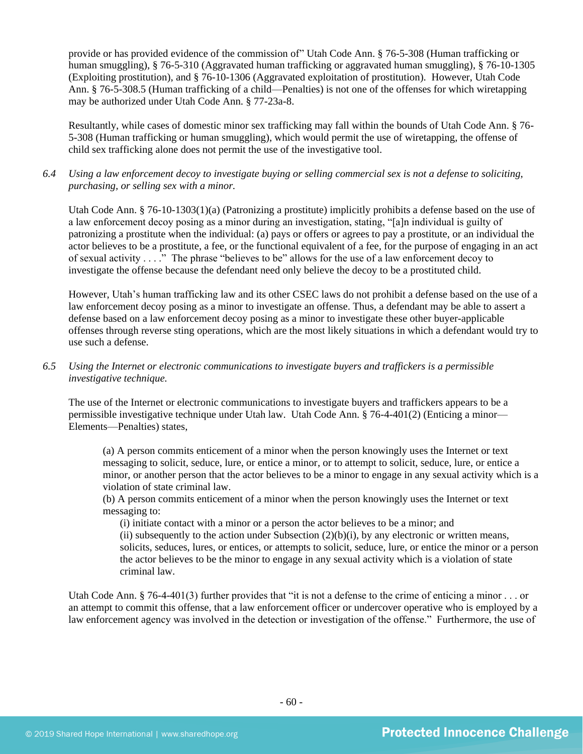provide or has provided evidence of the commission of" Utah Code Ann. § 76-5-308 (Human trafficking or human smuggling), § 76-5-310 (Aggravated human trafficking or aggravated human smuggling), § 76-10-1305 (Exploiting prostitution), and § 76-10-1306 (Aggravated exploitation of prostitution). However, Utah Code Ann. § 76-5-308.5 (Human trafficking of a child—Penalties) is not one of the offenses for which wiretapping may be authorized under Utah Code Ann. § 77-23a-8.

Resultantly, while cases of domestic minor sex trafficking may fall within the bounds of Utah Code Ann. § 76- 5-308 (Human trafficking or human smuggling), which would permit the use of wiretapping, the offense of child sex trafficking alone does not permit the use of the investigative tool.

*6.4 Using a law enforcement decoy to investigate buying or selling commercial sex is not a defense to soliciting, purchasing, or selling sex with a minor.*

Utah Code Ann. § 76-10-1303(1)(a) (Patronizing a prostitute) implicitly prohibits a defense based on the use of a law enforcement decoy posing as a minor during an investigation, stating, "[a]n individual is guilty of patronizing a prostitute when the individual: (a) pays or offers or agrees to pay a prostitute, or an individual the actor believes to be a prostitute, a fee, or the functional equivalent of a fee, for the purpose of engaging in an act of sexual activity . . . ." The phrase "believes to be" allows for the use of a law enforcement decoy to investigate the offense because the defendant need only believe the decoy to be a prostituted child.

However, Utah's human trafficking law and its other CSEC laws do not prohibit a defense based on the use of a law enforcement decoy posing as a minor to investigate an offense. Thus, a defendant may be able to assert a defense based on a law enforcement decoy posing as a minor to investigate these other buyer-applicable offenses through reverse sting operations, which are the most likely situations in which a defendant would try to use such a defense.

*6.5 Using the Internet or electronic communications to investigate buyers and traffickers is a permissible investigative technique.*

The use of the Internet or electronic communications to investigate buyers and traffickers appears to be a permissible investigative technique under Utah law. Utah Code Ann. § 76-4-401(2) (Enticing a minor— Elements—Penalties) states,

(a) A person commits enticement of a minor when the person knowingly uses the Internet or text messaging to solicit, seduce, lure, or entice a minor, or to attempt to solicit, seduce, lure, or entice a minor, or another person that the actor believes to be a minor to engage in any sexual activity which is a violation of state criminal law.

(b) A person commits enticement of a minor when the person knowingly uses the Internet or text messaging to:

(i) initiate contact with a minor or a person the actor believes to be a minor; and (ii) subsequently to the action under Subsection  $(2)(b)(i)$ , by any electronic or written means, solicits, seduces, lures, or entices, or attempts to solicit, seduce, lure, or entice the minor or a person the actor believes to be the minor to engage in any sexual activity which is a violation of state criminal law.

Utah Code Ann. § 76-4-401(3) further provides that "it is not a defense to the crime of enticing a minor  $\ldots$  or an attempt to commit this offense, that a law enforcement officer or undercover operative who is employed by a law enforcement agency was involved in the detection or investigation of the offense." Furthermore, the use of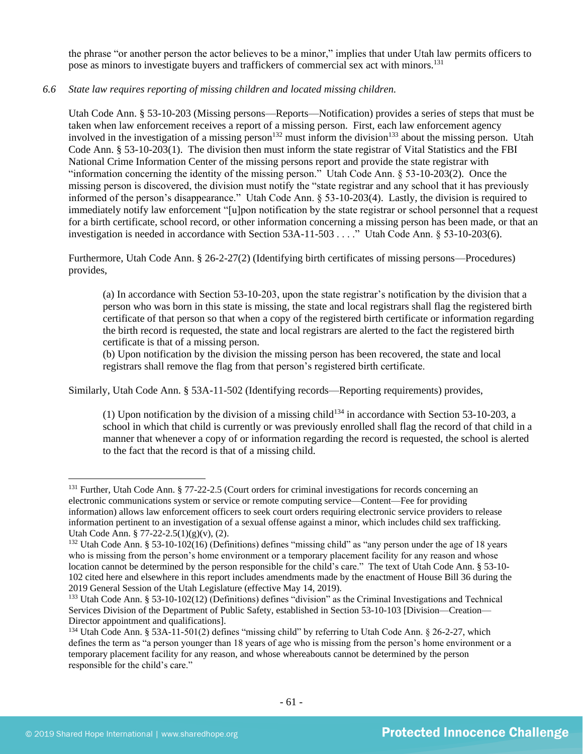the phrase "or another person the actor believes to be a minor," implies that under Utah law permits officers to pose as minors to investigate buyers and traffickers of commercial sex act with minors.<sup>131</sup>

## *6.6 State law requires reporting of missing children and located missing children.*

Utah Code Ann. § 53-10-203 (Missing persons—Reports—Notification) provides a series of steps that must be taken when law enforcement receives a report of a missing person. First, each law enforcement agency involved in the investigation of a missing person<sup>132</sup> must inform the division<sup>133</sup> about the missing person. Utah Code Ann. § 53-10-203(1). The division then must inform the state registrar of Vital Statistics and the FBI National Crime Information Center of the missing persons report and provide the state registrar with "information concerning the identity of the missing person." Utah Code Ann. § 53-10-203(2). Once the missing person is discovered, the division must notify the "state registrar and any school that it has previously informed of the person's disappearance." Utah Code Ann. § 53-10-203(4). Lastly, the division is required to immediately notify law enforcement "[u]pon notification by the state registrar or school personnel that a request for a birth certificate, school record, or other information concerning a missing person has been made, or that an investigation is needed in accordance with Section 53A-11-503 . . . ." Utah Code Ann. § 53-10-203(6).

Furthermore, Utah Code Ann. § 26-2-27(2) (Identifying birth certificates of missing persons—Procedures) provides,

(a) In accordance with Section 53-10-203, upon the state registrar's notification by the division that a person who was born in this state is missing, the state and local registrars shall flag the registered birth certificate of that person so that when a copy of the registered birth certificate or information regarding the birth record is requested, the state and local registrars are alerted to the fact the registered birth certificate is that of a missing person.

(b) Upon notification by the division the missing person has been recovered, the state and local registrars shall remove the flag from that person's registered birth certificate.

Similarly, Utah Code Ann. § 53A-11-502 (Identifying records—Reporting requirements) provides,

(1) Upon notification by the division of a missing child<sup>134</sup> in accordance with Section 53-10-203, a school in which that child is currently or was previously enrolled shall flag the record of that child in a manner that whenever a copy of or information regarding the record is requested, the school is alerted to the fact that the record is that of a missing child.

<sup>&</sup>lt;sup>131</sup> Further, Utah Code Ann. § 77-22-2.5 (Court orders for criminal investigations for records concerning an electronic communications system or service or remote computing service—Content—Fee for providing information) allows law enforcement officers to seek court orders requiring electronic service providers to release information pertinent to an investigation of a sexual offense against a minor, which includes child sex trafficking. Utah Code Ann. § 77-22-2.5(1)(g)(v), (2).

<sup>&</sup>lt;sup>132</sup> Utah Code Ann. § 53-10-102(16) (Definitions) defines "missing child" as "any person under the age of 18 years who is missing from the person's home environment or a temporary placement facility for any reason and whose location cannot be determined by the person responsible for the child's care." The text of Utah Code Ann. § 53-10- 102 cited here and elsewhere in this report includes amendments made by the enactment of House Bill 36 during the 2019 General Session of the Utah Legislature (effective May 14, 2019).

<sup>133</sup> Utah Code Ann. § 53-10-102(12) (Definitions) defines "division" as the Criminal Investigations and Technical Services Division of the Department of Public Safety, established in Section 53-10-103 [Division—Creation— Director appointment and qualifications].

<sup>134</sup> Utah Code Ann. § 53A-11-501(2) defines "missing child" by referring to Utah Code Ann. § 26-2-27, which defines the term as "a person younger than 18 years of age who is missing from the person's home environment or a temporary placement facility for any reason, and whose whereabouts cannot be determined by the person responsible for the child's care."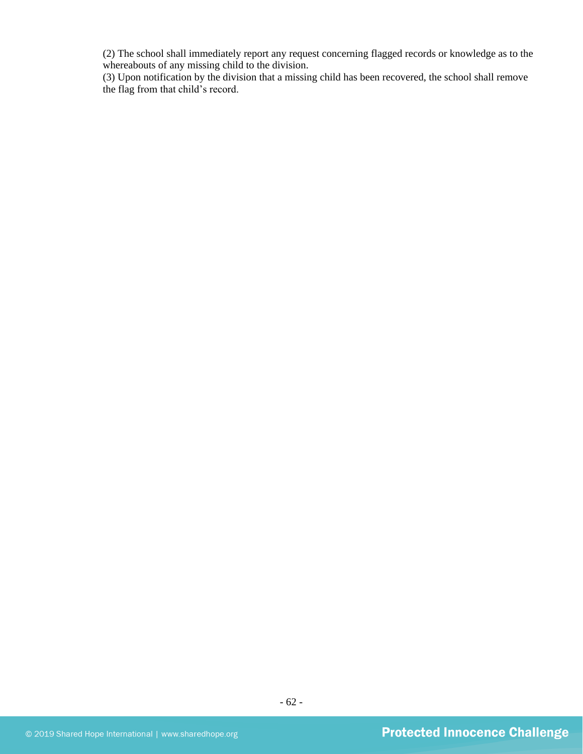(2) The school shall immediately report any request concerning flagged records or knowledge as to the whereabouts of any missing child to the division.

(3) Upon notification by the division that a missing child has been recovered, the school shall remove the flag from that child's record.